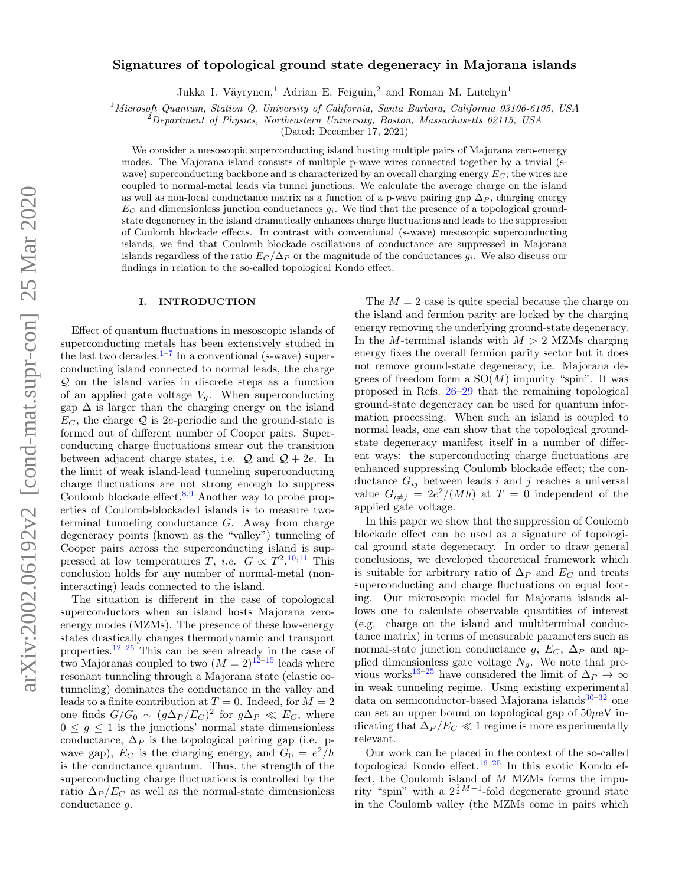# Signatures of topological ground state degeneracy in Majorana islands

Jukka I. Väyrynen,<sup>1</sup> Adrian E. Feiguin,<sup>2</sup> and Roman M. Lutchyn<sup>1</sup>

<sup>1</sup> Microsoft Quantum, Station Q, University of California, Santa Barbara, California 93106-6105, USA

<sup>2</sup>Department of Physics, Northeastern University, Boston, Massachusetts 02115, USA

(Dated: December 17, 2021)

We consider a mesoscopic superconducting island hosting multiple pairs of Majorana zero-energy modes. The Majorana island consists of multiple p-wave wires connected together by a trivial (swave) superconducting backbone and is characterized by an overall charging energy  $E_C$ ; the wires are coupled to normal-metal leads via tunnel junctions. We calculate the average charge on the island as well as non-local conductance matrix as a function of a p-wave pairing gap  $\Delta_P$ , charging energy  $E_C$  and dimensionless junction conductances  $g_i$ . We find that the presence of a topological groundstate degeneracy in the island dramatically enhances charge fluctuations and leads to the suppression of Coulomb blockade effects. In contrast with conventional (s-wave) mesoscopic superconducting islands, we find that Coulomb blockade oscillations of conductance are suppressed in Majorana islands regardless of the ratio  $E_C/\Delta_P$  or the magnitude of the conductances  $g_i$ . We also discuss our findings in relation to the so-called topological Kondo effect.

# I. INTRODUCTION

Effect of quantum fluctuations in mesoscopic islands of superconducting metals has been extensively studied in the last two decades.<sup>1-[7](#page-24-1)</sup> In a conventional (s-wave) superconducting island connected to normal leads, the charge Q on the island varies in discrete steps as a function of an applied gate voltage  $V_g$ . When superconducting gap  $\Delta$  is larger than the charging energy on the island  $E_C$ , the charge  $\mathcal Q$  is 2e-periodic and the ground-state is formed out of different number of Cooper pairs. Superconducting charge fluctuations smear out the transition between adjacent charge states, i.e.  $\mathcal{Q}$  and  $\mathcal{Q} + 2e$ . In the limit of weak island-lead tunneling superconducting charge fluctuations are not strong enough to suppress Coulomb blockade effect. $8,9$  $8,9$  Another way to probe properties of Coulomb-blockaded islands is to measure twoterminal tunneling conductance G. Away from charge degeneracy points (known as the "valley") tunneling of Cooper pairs across the superconducting island is suppressed at low temperatures T, *i.e.*  $G \propto T^2$ .<sup>[10,](#page-24-4)[11](#page-24-5)</sup> This conclusion holds for any number of normal-metal (noninteracting) leads connected to the island.

The situation is different in the case of topological superconductors when an island hosts Majorana zeroenergy modes (MZMs). The presence of these low-energy states drastically changes thermodynamic and transport properties.[12](#page-24-6)[–25](#page-25-0) This can be seen already in the case of two Majoranas coupled to two  $(M = 2)^{12-15}$  $(M = 2)^{12-15}$  $(M = 2)^{12-15}$  leads where resonant tunneling through a Majorana state (elastic cotunneling) dominates the conductance in the valley and leads to a finite contribution at  $T = 0$ . Indeed, for  $M = 2$ one finds  $G/G_0 \sim (g\Delta_P/E_C)^2$  for  $g\Delta_P \ll E_C$ , where  $0 \leq g \leq 1$  is the junctions' normal state dimensionless conductance,  $\Delta_P$  is the topological pairing gap (i.e. pwave gap),  $E_C$  is the charging energy, and  $G_0 = e^2/h$ is the conductance quantum. Thus, the strength of the superconducting charge fluctuations is controlled by the ratio  $\Delta_P/E_C$  as well as the normal-state dimensionless conductance g.

The  $M = 2$  case is quite special because the charge on the island and fermion parity are locked by the charging energy removing the underlying ground-state degeneracy. In the M-terminal islands with  $M > 2$  MZMs charging energy fixes the overall fermion parity sector but it does not remove ground-state degeneracy, i.e. Majorana degrees of freedom form a  $SO(M)$  impurity "spin". It was proposed in Refs. [26](#page-25-1)[–29](#page-25-2) that the remaining topological ground-state degeneracy can be used for quantum information processing. When such an island is coupled to normal leads, one can show that the topological groundstate degeneracy manifest itself in a number of different ways: the superconducting charge fluctuations are enhanced suppressing Coulomb blockade effect; the conductance  $G_{ij}$  between leads i and j reaches a universal value  $G_{i\neq j} = 2e^2/(Mh)$  at  $T = 0$  independent of the applied gate voltage.

In this paper we show that the suppression of Coulomb blockade effect can be used as a signature of topological ground state degeneracy. In order to draw general conclusions, we developed theoretical framework which is suitable for arbitrary ratio of  $\Delta_P$  and  $E_C$  and treats superconducting and charge fluctuations on equal footing. Our microscopic model for Majorana islands allows one to calculate observable quantities of interest (e.g. charge on the island and multiterminal conductance matrix) in terms of measurable parameters such as normal-state junction conductance g,  $E_C$ ,  $\Delta_P$  and applied dimensionless gate voltage  $N<sub>g</sub>$ . We note that pre-vious works<sup>[16](#page-24-8)[–25](#page-25-0)</sup> have considered the limit of  $\Delta_P \to \infty$ in weak tunneling regime. Using existing experimental data on semiconductor-based Majorana islands $30-32$  $30-32$  one can set an upper bound on topological gap of  $50\mu\text{eV}$  indicating that  $\Delta_P / E_C \ll 1$  regime is more experimentally relevant.

Our work can be placed in the context of the so-called topological Kondo effect.<sup>[16](#page-24-8)[–25](#page-25-0)</sup> In this exotic Kondo effect, the Coulomb island of  $M$  MZMs forms the impurity "spin" with a  $2^{\frac{1}{2}M-1}$ -fold degenerate ground state in the Coulomb valley (the MZMs come in pairs which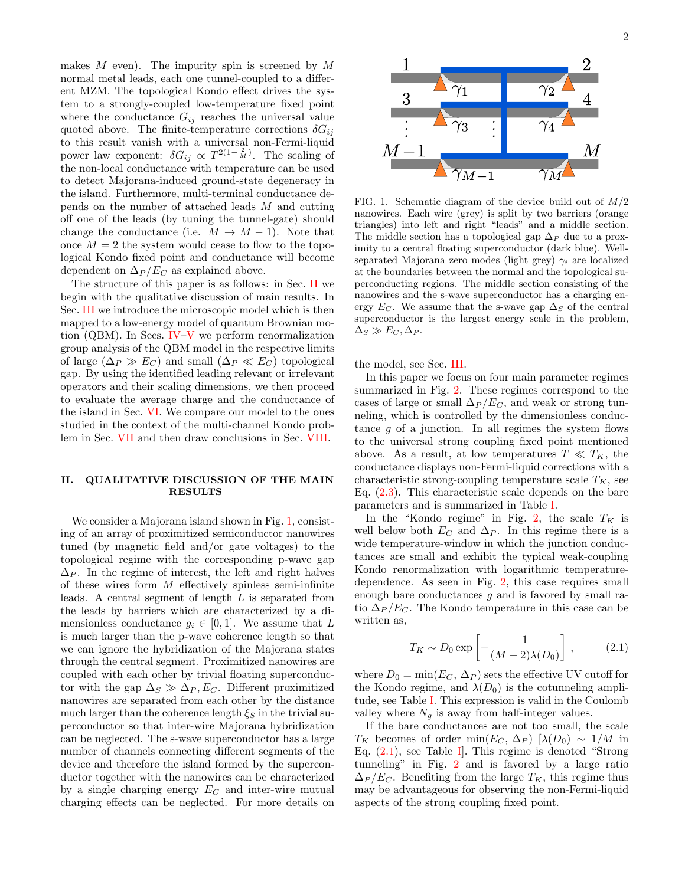makes  $M$  even). The impurity spin is screened by  $M$ normal metal leads, each one tunnel-coupled to a different MZM. The topological Kondo effect drives the system to a strongly-coupled low-temperature fixed point where the conductance  $G_{ij}$  reaches the universal value quoted above. The finite-temperature corrections  $\delta G_{ij}$ to this result vanish with a universal non-Fermi-liquid power law exponent:  $\delta G_{ij} \propto T^{2(1-\frac{2}{M})}$ . The scaling of the non-local conductance with temperature can be used to detect Majorana-induced ground-state degeneracy in the island. Furthermore, multi-terminal conductance depends on the number of attached leads M and cutting off one of the leads (by tuning the tunnel-gate) should change the conductance (i.e.  $M \to M - 1$ ). Note that once  $M = 2$  the system would cease to flow to the topological Kondo fixed point and conductance will become dependent on  $\Delta_P/E_C$  as explained above.

The structure of this paper is as follows: in Sec. [II](#page-1-0) we begin with the qualitative discussion of main results. In Sec. [III](#page-3-0) we introduce the microscopic model which is then mapped to a low-energy model of quantum Brownian motion (QBM). In Secs. [IV–](#page-4-0)[V](#page-8-0) we perform renormalization group analysis of the QBM model in the respective limits of large  $(\Delta_P \gg E_C)$  and small  $(\Delta_P \ll E_C)$  topological gap. By using the identified leading relevant or irrelevant operators and their scaling dimensions, we then proceed to evaluate the average charge and the conductance of the island in Sec. [VI.](#page-11-0) We compare our model to the ones studied in the context of the multi-channel Kondo problem in Sec. [VII](#page-14-0) and then draw conclusions in Sec. [VIII.](#page-14-1)

# <span id="page-1-0"></span>II. QUALITATIVE DISCUSSION OF THE MAIN RESULTS

We consider a Majorana island shown in Fig. [1,](#page-1-1) consisting of an array of proximitized semiconductor nanowires tuned (by magnetic field and/or gate voltages) to the topological regime with the corresponding p-wave gap  $\Delta_P$ . In the regime of interest, the left and right halves of these wires form  $M$  effectively spinless semi-infinite leads. A central segment of length L is separated from the leads by barriers which are characterized by a dimensionless conductance  $g_i \in [0,1]$ . We assume that L is much larger than the p-wave coherence length so that we can ignore the hybridization of the Majorana states through the central segment. Proximitized nanowires are coupled with each other by trivial floating superconductor with the gap  $\Delta_S \gg \Delta_P, E_C$ . Different proximitized nanowires are separated from each other by the distance much larger than the coherence length  $\xi_S$  in the trivial superconductor so that inter-wire Majorana hybridization can be neglected. The s-wave superconductor has a large number of channels connecting different segments of the device and therefore the island formed by the superconductor together with the nanowires can be characterized by a single charging energy  $E_C$  and inter-wire mutual charging effects can be neglected. For more details on



<span id="page-1-1"></span>FIG. 1. Schematic diagram of the device build out of  $M/2$ nanowires. Each wire (grey) is split by two barriers (orange triangles) into left and right "leads" and a middle section. The middle section has a topological gap  $\Delta_P$  due to a proximity to a central floating superconductor (dark blue). Wellseparated Majorana zero modes (light grey)  $\gamma_i$  are localized at the boundaries between the normal and the topological superconducting regions. The middle section consisting of the nanowires and the s-wave superconductor has a charging energy  $E_C$ . We assume that the s-wave gap  $\Delta_S$  of the central superconductor is the largest energy scale in the problem,  $\Delta_S \gg E_C, \Delta_P$ .

the model, see Sec. [III.](#page-3-0)

In this paper we focus on four main parameter regimes summarized in Fig. [2.](#page-2-0) These regimes correspond to the cases of large or small  $\Delta_P / E_C$ , and weak or strong tunneling, which is controlled by the dimensionless conductance  $g$  of a junction. In all regimes the system flows to the universal strong coupling fixed point mentioned above. As a result, at low temperatures  $T \ll T_K$ , the conductance displays non-Fermi-liquid corrections with a characteristic strong-coupling temperature scale  $T_K$ , see Eq.  $(2.3)$ . This characteristic scale depends on the bare parameters and is summarized in Table [I.](#page-2-1)

In the "Kondo regime" in Fig. [2,](#page-2-0) the scale  $T_K$  is well below both  $E_C$  and  $\Delta_P$ . In this regime there is a wide temperature-window in which the junction conductances are small and exhibit the typical weak-coupling Kondo renormalization with logarithmic temperaturedependence. As seen in Fig. [2,](#page-2-0) this case requires small enough bare conductances g and is favored by small ratio  $\Delta_P / E_C$ . The Kondo temperature in this case can be written as,

<span id="page-1-2"></span>
$$
T_K \sim D_0 \exp\left[-\frac{1}{(M-2)\lambda(D_0)}\right],\tag{2.1}
$$

where  $D_0 = \min(E_C, \Delta_P)$  sets the effective UV cutoff for the Kondo regime, and  $\lambda(D_0)$  is the cotunneling amplitude, see Table [I.](#page-2-1) This expression is valid in the Coulomb valley where  $N<sub>g</sub>$  is away from half-integer values.

If the bare conductances are not too small, the scale  $T_K$  becomes of order min $(E_C, \Delta_P)$  [ $\lambda(D_0) \sim 1/M$  in Eq. [\(2.1\)](#page-1-2), see Table [I\]](#page-2-1). This regime is denoted "Strong tunneling" in Fig. [2](#page-2-0) and is favored by a large ratio  $\Delta_P / E_C$ . Benefiting from the large  $T_K$ , this regime thus may be advantageous for observing the non-Fermi-liquid aspects of the strong coupling fixed point.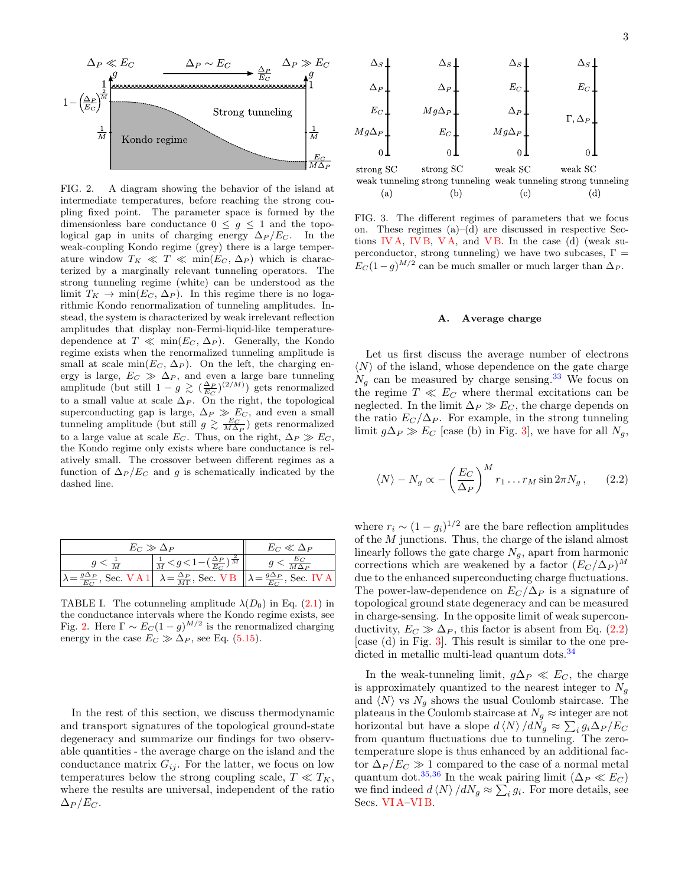

<span id="page-2-0"></span>FIG. 2. A diagram showing the behavior of the island at intermediate temperatures, before reaching the strong coupling fixed point. The parameter space is formed by the dimensionless bare conductance  $0 \leq g \leq 1$  and the topological gap in units of charging energy  $\Delta_P/E_C$ . In the weak-coupling Kondo regime (grey) there is a large temperature window  $T_K \ll T \ll \min(E_C, \Delta_P)$  which is characterized by a marginally relevant tunneling operators. The strong tunneling regime (white) can be understood as the limit  $T_K \to \min(E_C, \Delta_P)$ . In this regime there is no logarithmic Kondo renormalization of tunneling amplitudes. Instead, the system is characterized by weak irrelevant reflection amplitudes that display non-Fermi-liquid-like temperaturedependence at  $T \ll \min(E_C, \Delta_P)$ . Generally, the Kondo regime exists when the renormalized tunneling amplitude is small at scale min( $E_C$ ,  $\Delta_P$ ). On the left, the charging energy is large,  $E_C \gg \Delta_P$ , and even a large bare tunneling amplitude (but still  $1 - g \gtrsim (\frac{\Delta_P}{E_C})^{(2/M)}$ ) gets renormalized to a small value at scale  $\Delta_P$ . On the right, the topological superconducting gap is large,  $\Delta_P \gg E_C$ , and even a small tunneling amplitude (but still  $g \gtrsim \frac{E_C}{M\Delta_P}$ ) gets renormalized to a large value at scale  $E_C$ . Thus, on the right,  $\Delta_P \gg E_C$ , the Kondo regime only exists where bare conductance is relatively small. The crossover between different regimes as a function of  $\Delta_P/E_C$  and q is schematically indicated by the dashed line.

| $E_C \gg \Delta_P$ |                                                                                                                                                | $E_C \ll \Delta_P$ |
|--------------------|------------------------------------------------------------------------------------------------------------------------------------------------|--------------------|
| $q < \frac{1}{M}$  | $\frac{1}{M} < g < 1 - \left(\frac{\Delta_P}{E_C}\right)^{\frac{2}{M}}$                                                                        |                    |
|                    | $\lambda = \frac{g \Delta_P}{E_C}$ , Sec. V A 1 $\lambda = \frac{\Delta_P}{M\Gamma}$ , Sec. V B $\lambda = \frac{g \Delta_P}{E_C}$ , Sec. IV A |                    |

<span id="page-2-1"></span>TABLE I. The cotunneling amplitude  $\lambda(D_0)$  in Eq. [\(2.1\)](#page-1-2) in the conductance intervals where the Kondo regime exists, see Fig. [2.](#page-2-0) Here  $\Gamma \sim E_C (1 - g)^{M/2}$  is the renormalized charging energy in the case  $E_C \gg \Delta_P$ , see Eq. [\(5.15\)](#page-11-1).

In the rest of this section, we discuss thermodynamic and transport signatures of the topological ground-state degeneracy and summarize our findings for two observable quantities - the average charge on the island and the conductance matrix  $G_{ij}$ . For the latter, we focus on low temperatures below the strong coupling scale,  $T \ll T_K$ , where the results are universal, independent of the ratio  $\Delta_P / E_C$ .



<span id="page-2-2"></span>FIG. 3. The different regimes of parameters that we focus on. These regimes (a)–(d) are discussed in respective Sections [IV A,](#page-5-0) [IV B,](#page-7-0) [V A,](#page-8-1) and [V B.](#page-10-0) In the case (d) (weak superconductor, strong tunneling) we have two subcases,  $\Gamma =$  $E_C(1-g)^{M/2}$  can be much smaller or much larger than  $\Delta_P$ .

#### A. Average charge

Let us first discuss the average number of electrons  $\langle N \rangle$  of the island, whose dependence on the gate charge  $N_g$  can be measured by charge sensing.<sup>[33](#page-25-5)</sup> We focus on the regime  $T \ll E_C$  where thermal excitations can be neglected. In the limit  $\Delta_P \gg E_C$ , the charge depends on the ratio  $E_C/\Delta_P$ . For example, in the strong tunneling limit  $g\Delta_P \gg E_C$  [case (b) in Fig. [3\]](#page-2-2), we have for all  $N_q$ ,

<span id="page-2-3"></span>
$$
\langle N \rangle - N_g \propto -\left(\frac{E_C}{\Delta_P}\right)^M r_1 \dots r_M \sin 2\pi N_g, \qquad (2.2)
$$

where  $r_i \sim (1 - g_i)^{1/2}$  are the bare reflection amplitudes of the  $M$  junctions. Thus, the charge of the island almost linearly follows the gate charge  $N_g$ , apart from harmonic corrections which are weakened by a factor  $(E_C/\Delta_P)^M$ due to the enhanced superconducting charge fluctuations. The power-law-dependence on  $E_C/\Delta_P$  is a signature of topological ground state degeneracy and can be measured in charge-sensing. In the opposite limit of weak superconductivity,  $E_C \gg \Delta_P$ , this factor is absent from Eq. [\(2.2\)](#page-2-3) [case (d) in Fig. [3\]](#page-2-2). This result is similar to the one pre-dicted in metallic multi-lead quantum dots.<sup>[34](#page-25-6)</sup>

In the weak-tunneling limit,  $g\Delta_P \ll E_C$ , the charge is approximately quantized to the nearest integer to  $N_g$ and  $\langle N \rangle$  vs  $N_g$  shows the usual Coulomb staircase. The plateaus in the Coulomb staircase at  $N_g \approx$  integer are not horizontal but have a slope  $d \langle N \rangle / dN_g \approx \sum_i g_i \Delta_P / E_C$ from quantum fluctuations due to tunneling. The zerotemperature slope is thus enhanced by an additional factor  $\Delta_P / E_C \gg 1$  compared to the case of a normal metal quantum dot.<sup>[35](#page-25-7)[,36](#page-25-8)</sup> In the weak pairing limit ( $\Delta_P \ll E_C$ ) we find indeed  $d \langle N \rangle / dN_g \approx \sum_i g_i$ . For more details, see Secs. [VI A–](#page-11-2)[VI B.](#page-12-0)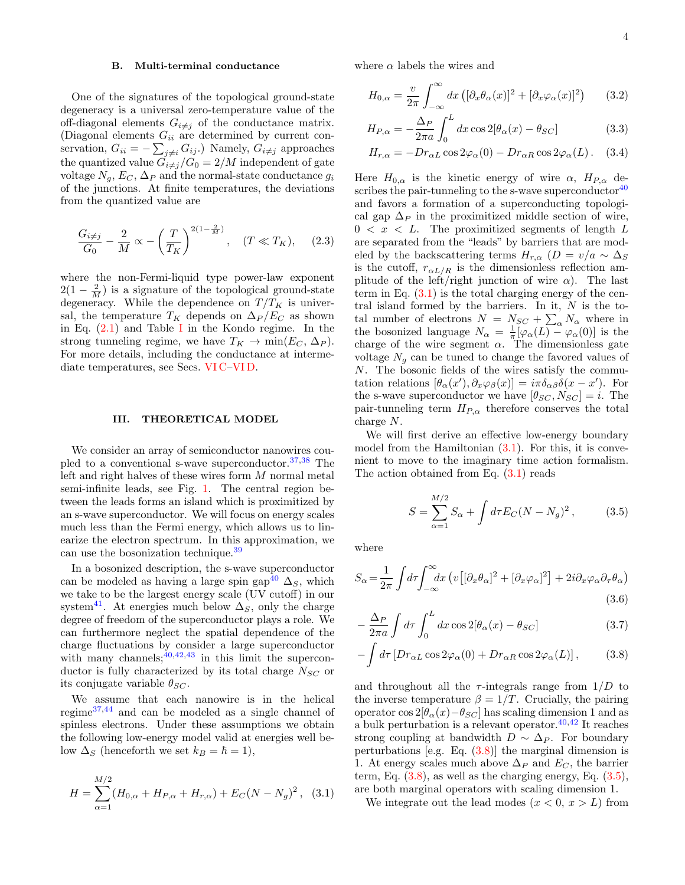# B. Multi-terminal conductance

One of the signatures of the topological ground-state degeneracy is a universal zero-temperature value of the off-diagonal elements  $G_{i\neq j}$  of the conductance matrix. (Diagonal elements  $G_{ii}$  are determined by current conservation,  $G_{ii} = -\sum_{j \neq i} G_{ij}$ . Namely,  $G_{i \neq j}$  approaches the quantized value  $G_{i\neq j}/G_0 = 2/M$  independent of gate voltage  $N_q$ ,  $E_C$ ,  $\Delta_P$  and the normal-state conductance  $g_i$ of the junctions. At finite temperatures, the deviations from the quantized value are

<span id="page-3-1"></span>
$$
\frac{G_{i \neq j}}{G_0} - \frac{2}{M} \propto -\left(\frac{T}{T_K}\right)^{2(1-\frac{2}{M})}, \quad (T \ll T_K), \quad (2.3)
$$

where the non-Fermi-liquid type power-law exponent  $2(1 - \frac{2}{M})$  is a signature of the topological ground-state degeneracy. While the dependence on  $T/T_K$  is universal, the temperature  $T_K$  depends on  $\Delta_P/E_C$  as shown in Eq.  $(2.1)$  and Table [I](#page-2-1) in the Kondo regime. In the strong tunneling regime, we have  $T_K \to \min(E_C, \Delta_P)$ . For more details, including the conductance at intermediate temperatures, see Secs. [VI C–](#page-12-1)[VI D.](#page-13-0)

## <span id="page-3-0"></span>III. THEORETICAL MODEL

We consider an array of semiconductor nanowires coupled to a conventional s-wave superconductor.  $37,38$  $37,38$  The left and right halves of these wires form M normal metal semi-infinite leads, see Fig. [1.](#page-1-1) The central region between the leads forms an island which is proximitized by an s-wave superconductor. We will focus on energy scales much less than the Fermi energy, which allows us to linearize the electron spectrum. In this approximation, we can use the bosonization technique.[39](#page-25-11)

In a bosonized description, the s-wave superconductor can be modeled as having a large spin gap<sup>[40](#page-25-12)</sup>  $\Delta_S$ , which we take to be the largest energy scale (UV cutoff) in our system<sup>[41](#page-25-13)</sup>. At energies much below  $\Delta_S$ , only the charge degree of freedom of the superconductor plays a role. We can furthermore neglect the spatial dependence of the charge fluctuations by consider a large superconductor with many channels;  $40,42,43$  $40,42,43$  $40,42,43$  in this limit the superconductor is fully characterized by its total charge  $N_{SC}$  or its conjugate variable  $\theta_{SC}$ .

We assume that each nanowire is in the helical regime[37,](#page-25-9)[44](#page-25-16) and can be modeled as a single channel of spinless electrons. Under these assumptions we obtain the following low-energy model valid at energies well below  $\Delta_S$  (henceforth we set  $k_B = \hbar = 1$ ),

<span id="page-3-2"></span>
$$
H = \sum_{\alpha=1}^{M/2} (H_{0,\alpha} + H_{P,\alpha} + H_{r,\alpha}) + E_C (N - N_g)^2, \quad (3.1)
$$

where  $\alpha$  labels the wires and

$$
H_{0,\alpha} = \frac{v}{2\pi} \int_{-\infty}^{\infty} dx \left( [\partial_x \theta_\alpha(x)]^2 + [\partial_x \varphi_\alpha(x)]^2 \right) \tag{3.2}
$$

$$
H_{P,\alpha} = -\frac{\Delta_P}{2\pi a} \int_0^L dx \cos 2[\theta_\alpha(x) - \theta_{SC}] \tag{3.3}
$$

<span id="page-3-5"></span>
$$
H_{r,\alpha} = -Dr_{\alpha L} \cos 2\varphi_{\alpha}(0) - Dr_{\alpha R} \cos 2\varphi_{\alpha}(L). \quad (3.4)
$$

Here  $H_{0,\alpha}$  is the kinetic energy of wire  $\alpha$ ,  $H_{P,\alpha}$  describes the pair-tunneling to the s-wave superconductor  $40$ and favors a formation of a superconducting topological gap  $\Delta_P$  in the proximitized middle section of wire,  $0 \leq x \leq L$ . The proximitized segments of length L are separated from the "leads" by barriers that are modeled by the backscattering terms  $H_{r,\alpha}$  ( $D = v/a \sim \Delta_S$ is the cutoff,  $r_{\alpha L/R}$  is the dimensionless reflection amplitude of the left/right junction of wire  $\alpha$ ). The last term in Eq.  $(3.1)$  is the total charging energy of the central island formed by the barriers. In it,  $N$  is the total number of electrons  $N = N_{SC} + \sum_{\alpha} N_{\alpha}$  where in the bosonized language  $N_{\alpha} = \frac{1}{\pi} [\varphi_{\alpha}(L) - \varphi_{\alpha}(0)]$  is the charge of the wire segment  $\alpha$ . The dimensionless gate voltage  $N_q$  can be tuned to change the favored values of N. The bosonic fields of the wires satisfy the commutation relations  $[\theta_{\alpha}(x'), \partial_x \varphi_{\beta}(x)] = i\pi \delta_{\alpha\beta} \delta(x - x')$ . For the s-wave superconductor we have  $[\theta_{SC}, N_{SC}] = i$ . The pair-tunneling term  $H_{P,\alpha}$  therefore conserves the total charge N.

We will first derive an effective low-energy boundary model from the Hamiltonian  $(3.1)$ . For this, it is convenient to move to the imaginary time action formalism. The action obtained from Eq.  $(3.1)$  reads

<span id="page-3-4"></span><span id="page-3-3"></span>
$$
S = \sum_{\alpha=1}^{M/2} S_{\alpha} + \int d\tau E_C (N - N_g)^2, \qquad (3.5)
$$

where

$$
S_{\alpha} = \frac{1}{2\pi} \int d\tau \int_{-\infty}^{\infty} dx \left( v \left[ [\partial_x \theta_{\alpha}]^2 + [\partial_x \varphi_{\alpha}]^2 \right] + 2i \partial_x \varphi_{\alpha} \partial_{\tau} \theta_{\alpha} \right)
$$
\n(3.6)

$$
-\frac{\Delta_P}{2\pi a} \int d\tau \int_0^L dx \cos 2[\theta_\alpha(x) - \theta_{SC}] \tag{3.7}
$$

$$
-\int d\tau \left[Dr_{\alpha L}\cos 2\varphi_{\alpha}(0) + Dr_{\alpha R}\cos 2\varphi_{\alpha}(L)\right],\tag{3.8}
$$

and throughout all the  $\tau$ -integrals range from  $1/D$  to the inverse temperature  $\beta = 1/T$ . Crucially, the pairing operator cos  $2[\theta_\alpha(x)-\theta_{SC}]$  has scaling dimension 1 and as a bulk perturbation is a relevant operator. $40,42$  $40,42$  It reaches strong coupling at bandwidth  $D \sim \Delta_P$ . For boundary perturbations [e.g. Eq.  $(3.8)$ ] the marginal dimension is 1. At energy scales much above  $\Delta_P$  and  $E_C$ , the barrier term, Eq.  $(3.8)$ , as well as the charging energy, Eq.  $(3.5)$ , are both marginal operators with scaling dimension 1.

We integrate out the lead modes  $(x < 0, x > L)$  from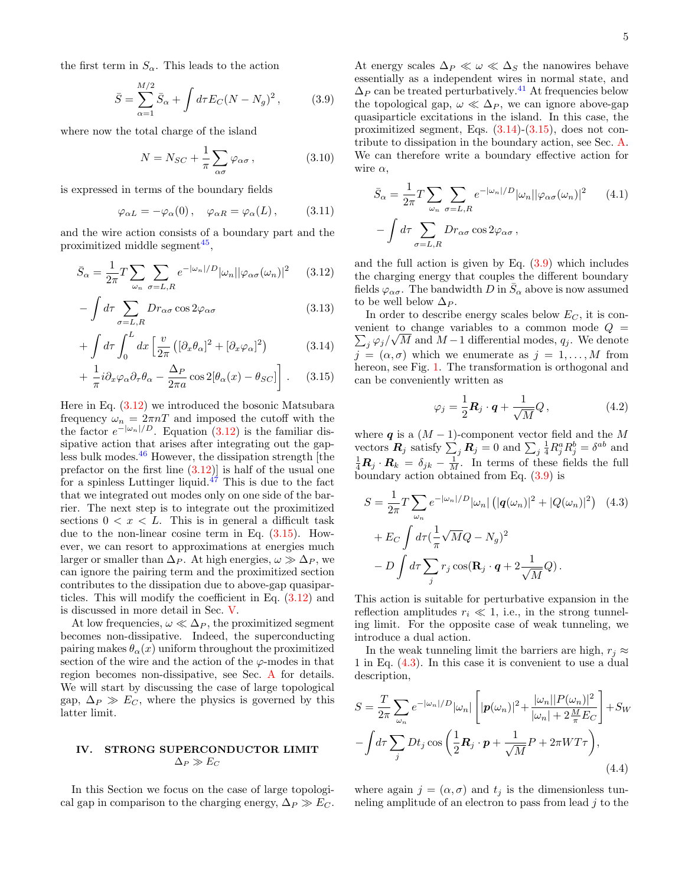<span id="page-4-8"></span>5

the first term in  $S_{\alpha}$ . This leads to the action

<span id="page-4-4"></span>
$$
\bar{S} = \sum_{\alpha=1}^{M/2} \bar{S}_{\alpha} + \int d\tau E_C (N - N_g)^2 , \qquad (3.9)
$$

where now the total charge of the island

$$
N = N_{SC} + \frac{1}{\pi} \sum_{\alpha \sigma} \varphi_{\alpha \sigma} , \qquad (3.10)
$$

is expressed in terms of the boundary fields

$$
\varphi_{\alpha L} = -\varphi_{\alpha}(0), \quad \varphi_{\alpha R} = \varphi_{\alpha}(L), \quad (3.11)
$$

and the wire action consists of a boundary part and the proximitized middle segment<sup>[45](#page-25-17)</sup>,

$$
\bar{S}_{\alpha} = \frac{1}{2\pi} T \sum_{\omega_n} \sum_{\sigma = L, R} e^{-|\omega_n|/D} |\omega_n| |\varphi_{\alpha\sigma}(\omega_n)|^2 \qquad (3.12)
$$

$$
-\int d\tau \sum_{\sigma=L,R} Dr_{\alpha\sigma} \cos 2\varphi_{\alpha\sigma} \tag{3.13}
$$

$$
+ \int d\tau \int_0^L dx \left[ \frac{v}{2\pi} \left( [\partial_x \theta_\alpha]^2 + [\partial_x \varphi_\alpha]^2 \right) \right]
$$
 (3.14)

$$
+\frac{1}{\pi}i\partial_x\varphi_\alpha\partial_\tau\theta_\alpha - \frac{\Delta_P}{2\pi a}\cos 2[\theta_\alpha(x) - \theta_{SC}]\bigg].\qquad(3.15)
$$

Here in Eq.  $(3.12)$  we introduced the bosonic Matsubara frequency  $\omega_n = 2\pi nT$  and imposed the cutoff with the the factor  $e^{-|\omega_n|/D}$ . Equation [\(3.12\)](#page-4-1) is the familiar dissipative action that arises after integrating out the gapless bulk modes. $46$  However, the dissipation strength [the prefactor on the first line  $(3.12)$  is half of the usual one for a spinless Luttinger liquid.<sup>[47](#page-25-19)</sup> This is due to the fact that we integrated out modes only on one side of the barrier. The next step is to integrate out the proximitized sections  $0 < x < L$ . This is in general a difficult task due to the non-linear cosine term in Eq. [\(3.15\)](#page-4-2). However, we can resort to approximations at energies much larger or smaller than  $\Delta_P$ . At high energies,  $\omega \gg \Delta_P$ , we can ignore the pairing term and the proximitized section contributes to the dissipation due to above-gap quasiparticles. This will modify the coefficient in Eq. [\(3.12\)](#page-4-1) and is discussed in more detail in Sec. [V.](#page-8-0)

At low frequencies,  $\omega \ll \Delta_P$ , the proximitized segment becomes non-dissipative. Indeed, the superconducting pairing makes  $\theta_{\alpha}(x)$  uniform throughout the proximitized section of the wire and the action of the  $\varphi$ -modes in that region becomes non-dissipative, see Sec. [A](#page-15-0) for details. We will start by discussing the case of large topological gap,  $\Delta_P \gg E_C$ , where the physics is governed by this latter limit.

# <span id="page-4-0"></span>IV. STRONG SUPERCONDUCTOR LIMIT  $\Delta_P \gg E_C$

In this Section we focus on the case of large topological gap in comparison to the charging energy,  $\Delta_P \gg E_C$ .

At energy scales  $\Delta_P \ll \omega \ll \Delta_S$  the nanowires behave essentially as a independent wires in normal state, and  $\Delta_P$  can be treated perturbatively.<sup>[41](#page-25-13)</sup> At frequencies below the topological gap,  $\omega \ll \Delta_P$ , we can ignore above-gap quasiparticle excitations in the island. In this case, the proximitized segment, Eqs. [\(3.14\)](#page-4-3)-[\(3.15\)](#page-4-2), does not contribute to dissipation in the boundary action, see Sec. [A.](#page-15-0) We can therefore write a boundary effective action for wire  $\alpha$ ,

$$
\bar{S}_{\alpha} = \frac{1}{2\pi} T \sum_{\omega_n} \sum_{\sigma = L, R} e^{-|\omega_n|/D} |\omega_n| |\varphi_{\alpha\sigma}(\omega_n)|^2 \qquad (4.1)
$$

$$
- \int d\tau \sum_{\sigma = L, R} Dr_{\alpha\sigma} \cos 2\varphi_{\alpha\sigma} ,
$$

<span id="page-4-1"></span>and the full action is given by Eq.  $(3.9)$  which includes the charging energy that couples the different boundary fields  $\varphi_{\alpha\sigma}$ . The bandwidth  $D$  in  $\bar{S}_{\alpha}$  above is now assumed to be well below  $\Delta_P$ .

<span id="page-4-3"></span><span id="page-4-2"></span>In order to describe energy scales below  $E_C$ , it is con- $\sum_j \varphi_j/\sqrt{M}$  and  $M-1$  differential modes,  $q_j$ . We denote venient to change variables to a common mode  $Q =$  $j = (\alpha, \sigma)$  which we enumerate as  $j = 1, \ldots, M$  from hereon, see Fig. [1.](#page-1-1) The transformation is orthogonal and can be conveniently written as

<span id="page-4-6"></span><span id="page-4-5"></span>
$$
\varphi_j = \frac{1}{2} \mathbf{R}_j \cdot \mathbf{q} + \frac{1}{\sqrt{M}} Q, \qquad (4.2)
$$

where q is a  $(M-1)$ -component vector field and the M vectors  $\mathbf{R}_j$  satisfy  $\sum_j \mathbf{R}_j = 0$  and  $\sum_j \frac{1}{4} R_j^a R_j^b = \delta^{ab}$  and  $\frac{1}{4}R_j \cdot R_k = \delta_{jk} - \frac{1}{M}$ . In terms of these fields the full boundary action obtained from Eq. [\(3.9\)](#page-4-4) is

$$
S = \frac{1}{2\pi} T \sum_{\omega_n} e^{-|\omega_n|/D} |\omega_n| \left( |q(\omega_n)|^2 + |Q(\omega_n)|^2 \right) \quad (4.3)
$$

$$
+ E_C \int d\tau \left( \frac{1}{\pi} \sqrt{M} Q - N_g \right)^2
$$

$$
- D \int d\tau \sum_j r_j \cos(\mathbf{R}_j \cdot \mathbf{q} + 2 \frac{1}{\sqrt{M}} Q).
$$

This action is suitable for perturbative expansion in the reflection amplitudes  $r_i \ll 1$ , i.e., in the strong tunneling limit. For the opposite case of weak tunneling, we introduce a dual action.

In the weak tunneling limit the barriers are high,  $r_i \approx$ 1 in Eq. [\(4.3\)](#page-4-5). In this case it is convenient to use a dual description,

$$
S = \frac{T}{2\pi} \sum_{\omega_n} e^{-|\omega_n|/D} |\omega_n| \left[ |\mathbf{p}(\omega_n)|^2 + \frac{|\omega_n| |P(\omega_n)|^2}{|\omega_n| + 2\frac{M}{\pi} E_C} \right] + S_W
$$

$$
- \int d\tau \sum_j Dt_j \cos\left(\frac{1}{2}\mathbf{R}_j \cdot \mathbf{p} + \frac{1}{\sqrt{M}} P + 2\pi W T \tau \right), \tag{4.4}
$$

<span id="page-4-7"></span>where again  $j = (\alpha, \sigma)$  and  $t_j$  is the dimensionless tunneling amplitude of an electron to pass from lead  $j$  to the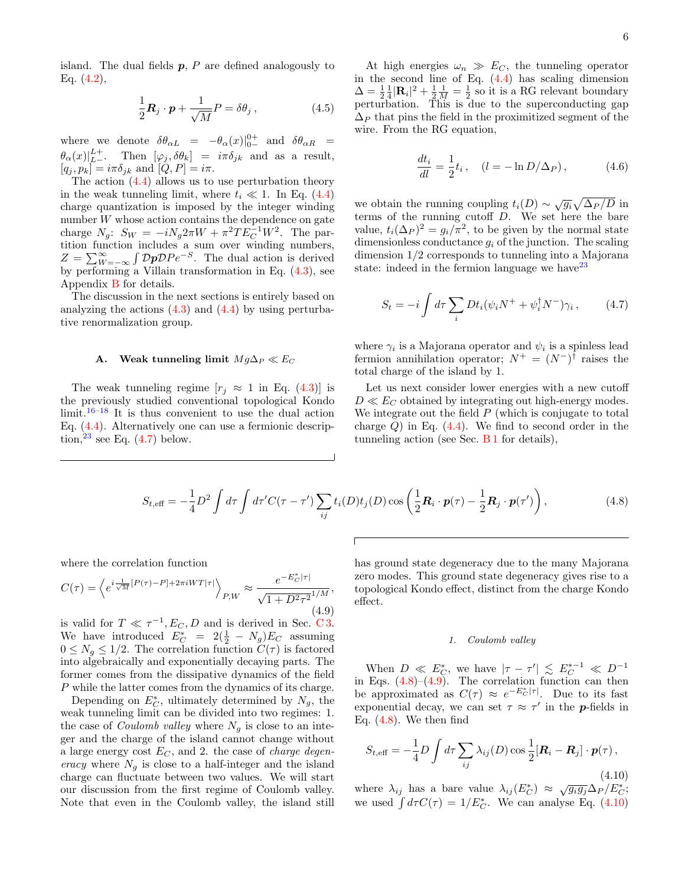island. The dual fields  $p$ ,  $P$  are defined analogously to Eq.  $(4.2)$ ,

$$
\frac{1}{2}\mathbf{R}_j \cdot \mathbf{p} + \frac{1}{\sqrt{M}}P = \delta\theta_j \,, \tag{4.5}
$$

where we denote  $\delta\theta_{\alpha L}$  =  $-\theta_{\alpha}(x)|_{0-}^{0+}$  and  $\delta\theta_{\alpha R}$  =  $\theta_{\alpha}(x)|_{L}^{L+}$ . Then  $[\varphi_j, \delta\theta_k] = i\pi\delta_{jk}$  and as a result,  $[q_j, p_k] = i\pi \delta_{jk}$  and  $[Q, P] = i\pi$ .

The action [\(4.4\)](#page-4-7) allows us to use perturbation theory in the weak tunneling limit, where  $t_i \ll 1$ . In Eq. [\(4.4\)](#page-4-7) charge quantization is imposed by the integer winding number W whose action contains the dependence on gate charge  $N_g$ :  $S_W = -iN_g 2\pi W + \pi^2 T E_C^{-1} W^2$ . The partition function includes a sum over winding numbers,  $Z = \sum_{W=-\infty}^{\infty} \int \mathcal{D}p \mathcal{D}Pe^{-S}$ . The dual action is derived by performing a Villain transformation in Eq. [\(4.3\)](#page-4-5), see Appendix [B](#page-16-0) for details.

The discussion in the next sections is entirely based on analyzing the actions  $(4.3)$  and  $(4.4)$  by using perturbative renormalization group.

### <span id="page-5-0"></span>A. Weak tunneling limit  $Mg\Delta_P \ll E_C$

The weak tunneling regime  $[r_i \approx 1 \text{ in Eq. (4.3)}]$  $[r_i \approx 1 \text{ in Eq. (4.3)}]$  $[r_i \approx 1 \text{ in Eq. (4.3)}]$  is the previously studied conventional topological Kondo  $\lim_{t \to \infty} 16^{-18}$  $\lim_{t \to \infty} 16^{-18}$  $\lim_{t \to \infty} 16^{-18}$  It is thus convenient to use the dual action Eq. [\(4.4\)](#page-4-7). Alternatively one can use a fermionic description, $23$  see Eq. [\(4.7\)](#page-5-1) below.

At high energies  $\omega_n \gg E_C$ , the tunneling operator in the second line of Eq.  $(4.4)$  has scaling dimension  $\Delta = \frac{1}{2} \frac{1}{4} |\mathbf{R}_i|^2 + \frac{1}{2} \frac{1}{M} = \frac{1}{2}$  so it is a RG relevant boundary perturbation. This is due to the superconducting gap  $\Delta_P$  that pins the field in the proximitized segment of the wire. From the RG equation,

<span id="page-5-6"></span>
$$
\frac{dt_i}{dl} = \frac{1}{2}t_i, \quad (l = -\ln D/\Delta_P), \tag{4.6}
$$

we obtain the running coupling  $t_i(D) \sim \sqrt{g_i} \sqrt{\Delta_P/D}$  in terms of the running cutoff D. We set here the bare value,  $t_i(\Delta_P)^2 = g_i/\pi^2$ , to be given by the normal state dimensionless conductance  $g_i$  of the junction. The scaling dimension 1/2 corresponds to tunneling into a Majorana state: indeed in the fermion language we have  $23$ 

<span id="page-5-1"></span>
$$
S_t = -i \int d\tau \sum_i Dt_i (\psi_i N^+ + \psi_i^{\dagger} N^-) \gamma_i , \qquad (4.7)
$$

where  $\gamma_i$  is a Majorana operator and  $\psi_i$  is a spinless lead fermion annihilation operator;  $N^+ = (N^-)^{\dagger}$  raises the total charge of the island by 1.

Let us next consider lower energies with a new cutoff  $D \ll E_C$  obtained by integrating out high-energy modes. We integrate out the field  $P$  (which is conjugate to total charge  $Q$ ) in Eq.  $(4.4)$ . We find to second order in the tunneling action (see Sec. [B 1](#page-17-0) for details),

$$
S_{t,\text{eff}} = -\frac{1}{4}D^2 \int d\tau \int d\tau' C(\tau - \tau') \sum_{ij} t_i(D) t_j(D) \cos\left(\frac{1}{2}\mathbf{R}_i \cdot \mathbf{p}(\tau) - \frac{1}{2}\mathbf{R}_j \cdot \mathbf{p}(\tau')\right),\tag{4.8}
$$

where the correlation function

<span id="page-5-3"></span>
$$
C(\tau) = \left\langle e^{i\frac{1}{\sqrt{M}}[P(\tau)-P]+2\pi iWT|\tau|} \right\rangle_{P,W} \approx \frac{e^{-E_C^*|\tau|}}{\sqrt{1+D^2\tau^2}^{1/M}},\tag{4.9}
$$

is valid for  $T \ll \tau^{-1}, E_C, D$  and is derived in Sec. [C 3.](#page-19-0) We have introduced  $E_C^* = 2(\frac{1}{2} - N_g)E_C$  assuming  $0 \leq N_g \leq 1/2$ . The correlation function  $C(\tau)$  is factored into algebraically and exponentially decaying parts. The former comes from the dissipative dynamics of the field P while the latter comes from the dynamics of its charge.

Depending on  $E_C^*$ , ultimately determined by  $N_g$ , the weak tunneling limit can be divided into two regimes: 1. the case of *Coulomb valley* where  $N_q$  is close to an integer and the charge of the island cannot change without a large energy cost  $E_C$ , and 2. the case of *charge degen*eracy where  $N_g$  is close to a half-integer and the island charge can fluctuate between two values. We will start our discussion from the first regime of Coulomb valley. Note that even in the Coulomb valley, the island still has ground state degeneracy due to the many Majorana zero modes. This ground state degeneracy gives rise to a topological Kondo effect, distinct from the charge Kondo effect.

## <span id="page-5-5"></span><span id="page-5-2"></span>1. Coulomb valley

When  $D \ll E_C^*$ , we have  $|\tau - \tau'| \lesssim E_C^{*-1} \ll D^{-1}$ in Eqs.  $(4.8)$ – $(4.9)$ . The correlation function can then be approximated as  $C(\tau) \approx e^{-E_C^*|\tau|}$ . Due to its fast exponential decay, we can set  $\tau \approx \tau'$  in the **p**-fields in Eq.  $(4.8)$ . We then find

<span id="page-5-4"></span>
$$
S_{t,\text{eff}} = -\frac{1}{4}D \int d\tau \sum_{ij} \lambda_{ij}(D) \cos \frac{1}{2} [\mathbf{R}_i - \mathbf{R}_j] \cdot \mathbf{p}(\tau),
$$
\n(4.10)

where  $\lambda_{ij}$  has a bare value  $\lambda_{ij}(E_C^*) \approx \sqrt{g_i g_j} \Delta_P / E_C^*;$ we used  $\int d\tau C(\tau) = 1/E_C^*$ . We can analyse Eq. [\(4.10\)](#page-5-4)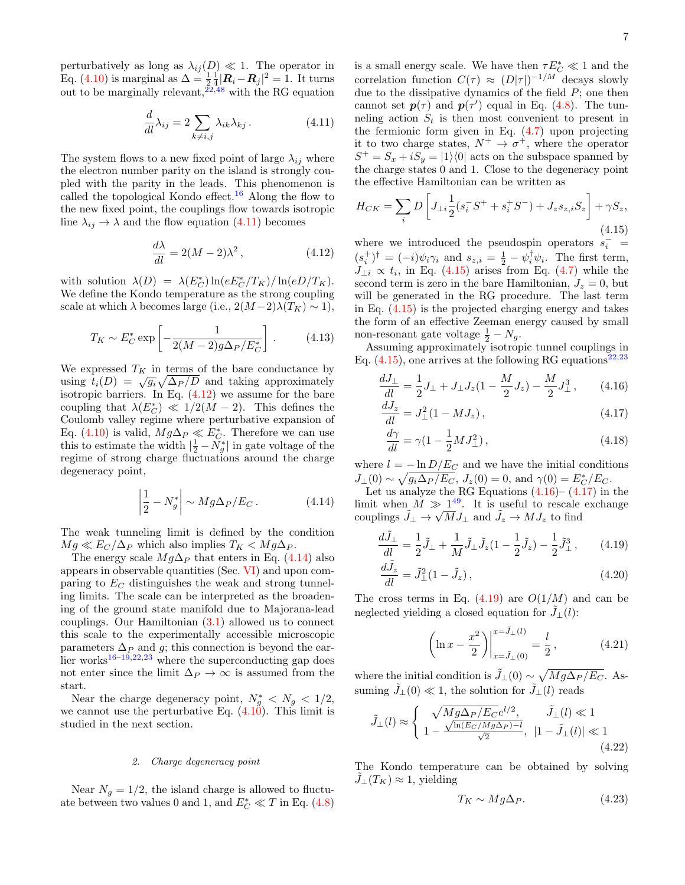7

perturbatively as long as  $\lambda_{ij}(D) \ll 1$ . The operator in Eq. [\(4.10\)](#page-5-4) is marginal as  $\Delta = \frac{1}{2} \frac{1}{4} |\mathbf{R}_i - \mathbf{R}_j|^2 = 1$ . It turns out to be marginally relevant,  $22,48$  $22,48$  with the RG equation

<span id="page-6-0"></span>
$$
\frac{d}{dl}\lambda_{ij} = 2\sum_{k \neq i,j} \lambda_{ik}\lambda_{kj}.
$$
\n(4.11)

The system flows to a new fixed point of large  $\lambda_{ij}$  where the electron number parity on the island is strongly coupled with the parity in the leads. This phenomenon is called the topological Kondo effect.<sup>[16](#page-24-8)</sup> Along the flow to the new fixed point, the couplings flow towards isotropic line  $\lambda_{ij} \rightarrow \lambda$  and the flow equation [\(4.11\)](#page-6-0) becomes

<span id="page-6-1"></span>
$$
\frac{d\lambda}{dl} = 2(M - 2)\lambda^2, \qquad (4.12)
$$

with solution  $\lambda(D) = \lambda(E_C^*) \ln(e E_C^* / T_K) / \ln(e D / T_K)$ . We define the Kondo temperature as the strong coupling scale at which  $\lambda$  becomes large (i.e.,  $2(M-2)\lambda(T_K) \sim 1$ ),

<span id="page-6-7"></span>
$$
T_K \sim E_C^* \exp\left[-\frac{1}{2(M-2)g\Delta_P/E_C^*}\right].
$$
 (4.13)

We expressed  $T_K$  in terms of the bare conductance by we expressed  $I_K$  in terms of the bare conductance by<br>using  $t_i(D) = \sqrt{g_i} \sqrt{\Delta_P/D}$  and taking approximately isotropic barriers. In Eq.  $(4.12)$  we assume for the bare coupling that  $\lambda(E_C^*) \ll 1/2(M-2)$ . This defines the Coulomb valley regime where perturbative expansion of Eq. [\(4.10\)](#page-5-4) is valid,  $Mg\Delta_P \ll E_C^*$ . Therefore we can use this to estimate the width  $\left|\frac{1}{2} - \tilde{N_g}^*\right|$  in gate voltage of the regime of strong charge fluctuations around the charge degeneracy point,

<span id="page-6-2"></span>
$$
\left|\frac{1}{2} - N_g^*\right| \sim Mg\Delta_P/E_C.
$$
 (4.14)

The weak tunneling limit is defined by the condition  $Mg \ll E_C/\Delta_P$  which also implies  $T_K < Mg\Delta_P$ .

The energy scale  $Mg\Delta_P$  that enters in Eq. [\(4.14\)](#page-6-2) also appears in observable quantities (Sec. [VI\)](#page-11-0) and upon comparing to  $E_C$  distinguishes the weak and strong tunneling limits. The scale can be interpreted as the broadening of the ground state manifold due to Majorana-lead couplings. Our Hamiltonian [\(3.1\)](#page-3-2) allowed us to connect this scale to the experimentally accessible microscopic parameters  $\Delta_P$  and g; this connection is beyond the earlier works $16-19,22,23$  $16-19,22,23$  $16-19,22,23$  $16-19,22,23$  where the superconducting gap does not enter since the limit  $\Delta_P \to \infty$  is assumed from the start.

Near the charge degeneracy point,  $N_g^* < N_g < 1/2$ , we cannot use the perturbative Eq.  $(4.10)$ . This limit is studied in the next section.

### <span id="page-6-10"></span>2. Charge degeneracy point

Near  $N_g = 1/2$ , the island charge is allowed to fluctuate between two values 0 and 1, and  $E_C^* \ll T$  in Eq. [\(4.8\)](#page-5-2)

is a small energy scale. We have then  $\tau E_C^*\ll 1$  and the correlation function  $C(\tau) \approx (D|\tau|)^{-1/M}$  decays slowly due to the dissipative dynamics of the field  $P$ ; one then cannot set  $p(\tau)$  and  $p(\tau')$  equal in Eq. [\(4.8\)](#page-5-2). The tunneling action  $S_t$  is then most convenient to present in the fermionic form given in Eq. [\(4.7\)](#page-5-1) upon projecting it to two charge states,  $N^+ \rightarrow \sigma^+$ , where the operator  $S^+ = S_x + iS_y = |1\rangle\langle 0|$  acts on the subspace spanned by the charge states 0 and 1. Close to the degeneracy point the effective Hamiltonian can be written as

<span id="page-6-3"></span>
$$
H_{CK} = \sum_{i} D \left[ J_{\perp i} \frac{1}{2} (s_i^- S^+ + s_i^+ S^-) + J_z s_{z,i} S_z \right] + \gamma S_z,
$$
\n(4.15)

where we introduced the pseudospin operators  $s_i^-$  =  $(s_i^{\dagger})^{\dagger} = (-i)\psi_i \gamma_i$  and  $s_{z,i} = \frac{1}{2} - \psi_i^{\dagger} \psi_i$ . The first term,  $J_{\perp i} \propto t_i$ , in Eq. [\(4.15\)](#page-6-3) arises from Eq. [\(4.7\)](#page-5-1) while the second term is zero in the bare Hamiltonian,  $J_z = 0$ , but will be generated in the RG procedure. The last term in Eq. [\(4.15\)](#page-6-3) is the projected charging energy and takes the form of an effective Zeeman energy caused by small non-resonant gate voltage  $\frac{1}{2} - N_g$ .

Assuming approximately isotropic tunnel couplings in Eq.  $(4.15)$ , one arrives at the following RG equations<sup>[22](#page-25-21)[,23](#page-25-20)</sup>

$$
\frac{dJ_{\perp}}{dl} = \frac{1}{2}J_{\perp} + J_{\perp}J_z(1 - \frac{M}{2}J_z) - \frac{M}{2}J_{\perp}^3, \qquad (4.16)
$$

$$
\frac{dJ_z}{dl} = J_{\perp}^2 (1 - MJ_z),\tag{4.17}
$$

<span id="page-6-5"></span><span id="page-6-4"></span>
$$
\frac{d\gamma}{dl} = \gamma (1 - \frac{1}{2} M J_{\perp}^2),\tag{4.18}
$$

where  $l = -\ln D/E_C$  and we have the initial conditions  $J_{\perp}(0) \sim \sqrt{g_i \Delta_P / E_C}$ ,  $J_z(0) = 0$ , and  $\gamma(0) = E_C^* / E_C$ .

Let us analyze the RG Equations  $(4.16)$ – $(4.17)$  in the limit when  $M \gg 1^{49}$  $M \gg 1^{49}$  $M \gg 1^{49}$ . It is useful to rescale exchange couplings  $\tilde{J}_\perp \to \sqrt{M} J_\perp$  and  $\tilde{J}_z \to M J_z$  to find

$$
\frac{dJ_{\perp}}{dl} = \frac{1}{2}\tilde{J}_{\perp} + \frac{1}{M}\tilde{J}_{\perp}\tilde{J}_z(1 - \frac{1}{2}\tilde{J}_z) - \frac{1}{2}\tilde{J}_{\perp}^3\,,\qquad(4.19)
$$

$$
\frac{dJ_z}{dl} = \tilde{J}_{\perp}^2 (1 - \tilde{J}_z),\tag{4.20}
$$

The cross terms in Eq.  $(4.19)$  are  $O(1/M)$  and can be neglected yielding a closed equation for  $\tilde{J}_\perp(l)$ :

<span id="page-6-11"></span><span id="page-6-6"></span>
$$
\left(\ln x - \frac{x^2}{2}\right)\Big|_{x=\tilde{J}_{\perp}(0)}^{x=\tilde{J}_{\perp}(l)} = \frac{l}{2},\tag{4.21}
$$

where the initial condition is  $\tilde{J}_\perp(0) \sim \sqrt{M g \Delta_P / E_C}$ . Assuming  $\tilde{J}_\perp(0) \ll 1$ , the solution for  $\tilde{J}_\perp(l)$  reads

$$
\tilde{J}_{\perp}(l) \approx \begin{cases}\n\sqrt{M g \Delta_P / E_C} e^{l/2}, & \tilde{J}_{\perp}(l) \ll 1 \\
1 - \frac{\sqrt{\ln(E_C / M g \Delta_P) - l}}{\sqrt{2}}, & |1 - \tilde{J}_{\perp}(l)| \ll 1\n\end{cases}
$$
\n(4.22)

The Kondo temperature can be obtained by solving  $J_{\perp}(T_K) \approx 1$ , yielding

<span id="page-6-9"></span><span id="page-6-8"></span>
$$
T_K \sim Mg\Delta_P. \tag{4.23}
$$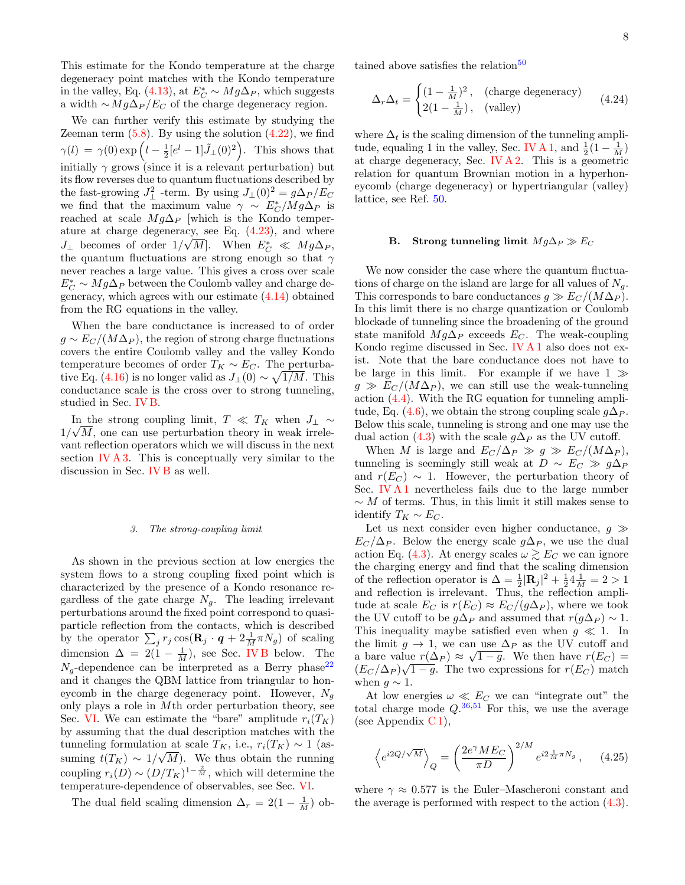This estimate for the Kondo temperature at the charge degeneracy point matches with the Kondo temperature in the valley, Eq. [\(4.13\)](#page-6-7), at  $E_C^* \sim Mg\Delta_P$ , which suggests a width  $\sim Mg\Delta_P/E_C$  of the charge degeneracy region.

We can further verify this estimate by studying the Zeeman term  $(5.8)$ . By using the solution  $(4.22)$ , we find  $\gamma(l) = \gamma(0) \exp \left( l - \frac{1}{2} [e^l - 1] \tilde{J}_{\perp}(0)^2 \right)$ . This shows that initially  $\gamma$  grows (since it is a relevant perturbation) but its flow reverses due to quantum fluctuations described by the fast-growing  $J_{\perp}^2$  -term. By using  $J_{\perp}(0)^2 = g\Delta_P/E_C$ we find that the maximum value  $\gamma \sim E_C^* / Mg\Delta_P$  is reached at scale  $Mg\Delta_P$  [which is the Kondo temperature at charge degeneracy, see Eq.  $(4.23)$ , and where  $J_{\perp}$  becomes of order  $1/\sqrt{M}$ . When  $E_C^* \ll Mg\Delta_P$ , the quantum fluctuations are strong enough so that  $\gamma$ never reaches a large value. This gives a cross over scale  $E_C^* \sim Mg \Delta_P$  between the Coulomb valley and charge degeneracy, which agrees with our estimate [\(4.14\)](#page-6-2) obtained from the RG equations in the valley.

When the bare conductance is increased to of order  $g \sim E_C/(M\Delta_P)$ , the region of strong charge fluctuations covers the entire Coulomb valley and the valley Kondo temperature becomes of order  $T_K \sim E_C$ . The perturba-tive Eq. [\(4.16\)](#page-6-4) is no longer valid as  $J_+(0) \sim \sqrt{1/M}$ . This conductance scale is the cross over to strong tunneling, studied in Sec. [IV B.](#page-7-0)

In the strong coupling limit,  $T \ll T_K$  when  $J_{\perp} \sim$  $1/\sqrt{M}$ , one can use perturbation theory in weak irrelevant reflection operators which we will discuss in the next section [IV A 3.](#page-7-1) This is conceptually very similar to the discussion in Sec. [IV B](#page-7-0) as well.

#### <span id="page-7-1"></span>3. The strong-coupling limit

As shown in the previous section at low energies the system flows to a strong coupling fixed point which is characterized by the presence of a Kondo resonance regardless of the gate charge  $N<sub>g</sub>$ . The leading irrelevant perturbations around the fixed point correspond to quasiparticle reflection from the contacts, which is described by the operator  $\sum_j r_j \cos(\mathbf{R}_j \cdot \boldsymbol{q} + 2\frac{1}{M}\pi N_g)$  of scaling dimension  $\Delta = 2(1 - \frac{1}{M})$ , see Sec. [IV B](#page-7-0) below. The  $N_q$ -dependence can be interpreted as a Berry phase<sup>[22](#page-25-21)</sup> and it changes the QBM lattice from triangular to honeycomb in the charge degeneracy point. However,  $N_a$ only plays a role in Mth order perturbation theory, see Sec. [VI.](#page-11-0) We can estimate the "bare" amplitude  $r_i(T_K)$ by assuming that the dual description matches with the tunneling formulation at scale  $T_K$ , i.e.,  $r_i(T_K) \sim 1$  (assuming  $t(T_K) \sim 1/\sqrt{M}$ . We thus obtain the running coupling  $r_i(D) \sim (D/T_K)^{1-\frac{2}{M}}$ , which will determine the temperature-dependence of observables, see Sec. [VI.](#page-11-0)

The dual field scaling dimension  $\Delta_r = 2(1 - \frac{1}{M})$  ob-

tained above satisfies the relation<sup>[50](#page-25-24)</sup>

<span id="page-7-2"></span>
$$
\Delta_r \Delta_t = \begin{cases} (1 - \frac{1}{M})^2, & \text{(charge degeneracy)}\\ 2(1 - \frac{1}{M}), & \text{(valley)} \end{cases} \tag{4.24}
$$

where  $\Delta_t$  is the scaling dimension of the tunneling ampli-tude, equaling 1 in the valley, Sec. [IV A 1,](#page-5-5) and  $\frac{1}{2}(1 - \frac{1}{M})$ at charge degeneracy, Sec. [IV A 2.](#page-6-10) This is a geometric relation for quantum Brownian motion in a hyperhoneycomb (charge degeneracy) or hypertriangular (valley) lattice, see Ref. [50.](#page-25-24)

#### <span id="page-7-0"></span>B. Strong tunneling limit  $Mq\Delta_P \gg E_C$

We now consider the case where the quantum fluctuations of charge on the island are large for all values of  $N_a$ . This corresponds to bare conductances  $g \gg E_C/(M\Delta_P)$ . In this limit there is no charge quantization or Coulomb blockade of tunneling since the broadening of the ground state manifold  $Mg\Delta_P$  exceeds  $E_C$ . The weak-coupling Kondo regime discussed in Sec. [IV A 1](#page-5-5) also does not exist. Note that the bare conductance does not have to be large in this limit. For example if we have  $1 \gg$  $g \gg E_C/(M\Delta_P)$ , we can still use the weak-tunneling action [\(4.4\)](#page-4-7). With the RG equation for tunneling ampli-tude, Eq. [\(4.6\)](#page-5-6), we obtain the strong coupling scale  $g\Delta_P$ . Below this scale, tunneling is strong and one may use the dual action [\(4.3\)](#page-4-5) with the scale  $g\Delta_P$  as the UV cutoff.

When M is large and  $E_C/\Delta_P \gg g \gg E_C/(M\Delta_P)$ , tunneling is seemingly still weak at  $D \sim E_C \gg g\Delta_P$ and  $r(E_C) \sim 1$ . However, the perturbation theory of Sec. [IV A 1](#page-5-5) nevertheless fails due to the large number  $\sim M$  of terms. Thus, in this limit it still makes sense to identify  $T_K \sim E_C$ .

Let us next consider even higher conductance,  $g \gg$  $E_C/\Delta_P$ . Below the energy scale  $g\Delta_P$ , we use the dual action Eq. [\(4.3\)](#page-4-5). At energy scales  $\omega \gtrsim E_C$  we can ignore the charging energy and find that the scaling dimension of the reflection operator is  $\Delta = \frac{1}{2} |\mathbf{R}_j|^2 + \frac{1}{2} \frac{1}{4M} = 2 > 1$ and reflection is irrelevant. Thus, the reflection amplitude at scale  $E_C$  is  $r(E_C) \approx E_C/(g\Delta_P)$ , where we took the UV cutoff to be  $g\Delta_P$  and assumed that  $r(g\Delta_P) \sim 1$ . This inequality maybe satisfied even when  $g \ll 1$ . In the limit  $g \to 1$ , we can use  $\Delta_P$  as the UV cutoff and a bare value  $r(\Delta_P) \approx \sqrt{1-g}$ . We then have  $r(E_C) =$  $(E_C/\Delta_P)\sqrt{1-g}$ . The two expressions for  $r(E_C)$  match when  $g \sim 1$ .

At low energies  $\omega \ll E_C$  we can "integrate out" the total charge mode  $Q^{0.36,51}$  $Q^{0.36,51}$  $Q^{0.36,51}$  $Q^{0.36,51}$  For this, we use the average (see Appendix  $C_1$ ),

$$
\left\langle e^{i2Q/\sqrt{M}}\right\rangle_{Q} = \left(\frac{2e^{\gamma}ME_C}{\pi D}\right)^{2/M} e^{i2\frac{1}{M}\pi N_g},\qquad(4.25)
$$

where  $\gamma \approx 0.577$  is the Euler–Mascheroni constant and the average is performed with respect to the action [\(4.3\)](#page-4-5).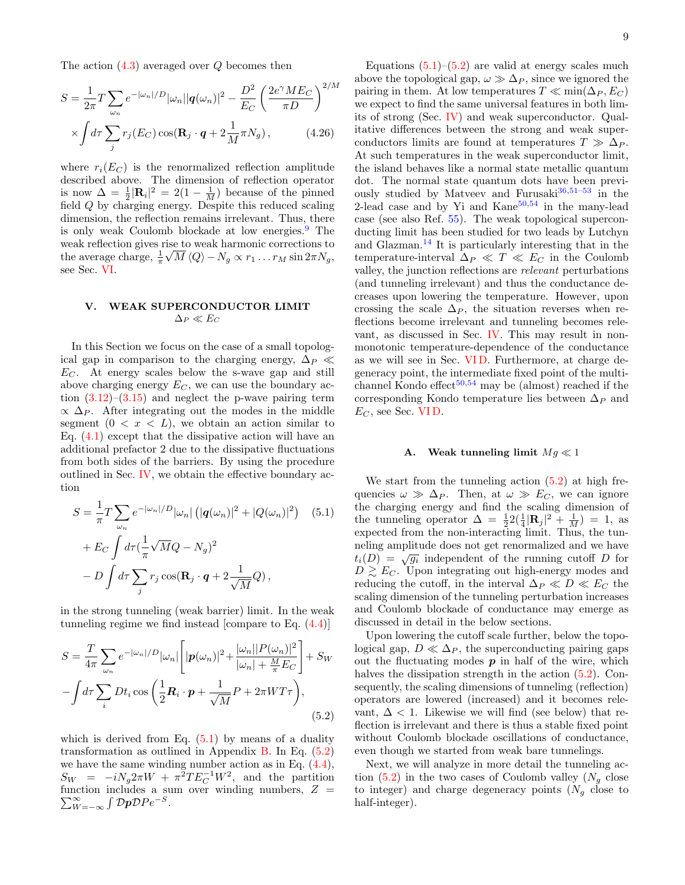The action  $(4.3)$  averaged over  $Q$  becomes then

$$
S = \frac{1}{2\pi} T \sum_{\omega_n} e^{-|\omega_n|/D} |\omega_n| |q(\omega_n)|^2 - \frac{D^2}{E_C} \left(\frac{2e^{\gamma} M E_C}{\pi D}\right)^{2/M}
$$

$$
\times \int d\tau \sum_j r_j(E_C) \cos(\mathbf{R}_j \cdot \mathbf{q} + 2\frac{1}{M} \pi N_g), \qquad (4.26)
$$

where  $r_i(E_C)$  is the renormalized reflection amplitude described above. The dimension of reflection operator is now  $\Delta = \frac{1}{2} |\mathbf{R}_i|^2 = 2(1 - \frac{1}{M})$  because of the pinned field Q by charging energy. Despite this reduced scaling dimension, the reflection remains irrelevant. Thus, there is only weak Coulomb blockade at low energies.[9](#page-24-3) The weak reflection gives rise to weak harmonic corrections to √ the average charge,  $\frac{1}{\pi} \sqrt{M} \langle Q \rangle - N_g \propto r_1 \dots r_M \sin 2\pi N_g$ , see Sec. [VI.](#page-11-0)

# <span id="page-8-0"></span>V. WEAK SUPERCONDUCTOR LIMIT  $\Delta_P \ll E_C$

In this Section we focus on the case of a small topological gap in comparison to the charging energy,  $\Delta_P \ll$  $E<sub>C</sub>$ . At energy scales below the s-wave gap and still above charging energy  $E_C$ , we can use the boundary action  $(3.12)$ – $(3.15)$  and neglect the p-wave pairing term  $\propto \Delta_P$ . After integrating out the modes in the middle segment  $(0 \lt x \lt L)$ , we obtain an action similar to Eq.  $(4.1)$  except that the dissipative action will have an additional prefactor 2 due to the dissipative fluctuations from both sides of the barriers. By using the procedure outlined in Sec. [IV,](#page-4-0) we obtain the effective boundary action

$$
S = \frac{1}{\pi} T \sum_{\omega_n} e^{-|\omega_n|/D} |\omega_n| (|q(\omega_n)|^2 + |Q(\omega_n)|^2) \quad (5.1)
$$

$$
+ E_C \int d\tau (\frac{1}{\pi} \sqrt{M} Q - N_g)^2
$$

$$
- D \int d\tau \sum_j r_j \cos(\mathbf{R}_j \cdot \mathbf{q} + 2 \frac{1}{\sqrt{M}} Q),
$$

in the strong tunneling (weak barrier) limit. In the weak tunneling regime we find instead [compare to Eq. [\(4.4\)](#page-4-7)]

$$
S = \frac{T}{4\pi} \sum_{\omega_n} e^{-|\omega_n|/D} |\omega_n| \left[ |\boldsymbol{p}(\omega_n)|^2 + \frac{|\omega_n| |P(\omega_n)|^2}{|\omega_n| + \frac{M}{\pi} E_C} \right] + S_W
$$

$$
- \int d\tau \sum_i Dt_i \cos\left(\frac{1}{2}\boldsymbol{R}_i \cdot \boldsymbol{p} + \frac{1}{\sqrt{M}} P + 2\pi W T \tau \right), \tag{5.2}
$$

which is derived from Eq.  $(5.1)$  by means of a duality transformation as outlined in Appendix [B.](#page-16-0) In Eq. [\(5.2\)](#page-8-3) we have the same winding number action as in Eq. [\(4.4\)](#page-4-7),  $S_W = -iN_g 2\pi W + \pi^2 T E_C^{-1} W^2$ , and the partition function includes a sum over winding numbers,  $\sum$ nction includes a sum over winding numbers,  $Z = \frac{\infty}{W = -\infty} \int \mathcal{D}p \mathcal{D}Pe^{-S}$ . 9

Equations  $(5.1)$ – $(5.2)$  are valid at energy scales much above the topological gap,  $\omega \gg \Delta_P$ , since we ignored the pairing in them. At low temperatures  $T \ll \min(\Delta_P, E_C)$ we expect to find the same universal features in both limits of strong (Sec. [IV\)](#page-4-0) and weak superconductor. Qualitative differences between the strong and weak superconductors limits are found at temperatures  $T \gg \Delta_P$ . At such temperatures in the weak superconductor limit, the island behaves like a normal state metallic quantum dot. The normal state quantum dots have been previously studied by Matveev and Furusaki $36,51-53$  $36,51-53$  $36,51-53$  in the 2-lead case and by Yi and  $\rm{Kane}^{50,54}$  $\rm{Kane}^{50,54}$  $\rm{Kane}^{50,54}$  $\rm{Kane}^{50,54}$  in the many-lead case (see also Ref. [55\)](#page-25-28). The weak topological superconducting limit has been studied for two leads by Lutchyn and Glazman.[14](#page-24-11) It is particularly interesting that in the temperature-interval  $\Delta_P \ll T \ll E_C$  in the Coulomb valley, the junction reflections are relevant perturbations (and tunneling irrelevant) and thus the conductance decreases upon lowering the temperature. However, upon crossing the scale  $\Delta_P$ , the situation reverses when reflections become irrelevant and tunneling becomes relevant, as discussed in Sec. [IV.](#page-4-0) This may result in nonmonotonic temperature-dependence of the conductance as we will see in Sec. [VI D.](#page-13-0) Furthermore, at charge degeneracy point, the intermediate fixed point of the multi-channel Kondo effect<sup>[50,](#page-25-24)[54](#page-25-27)</sup> may be (almost) reached if the corresponding Kondo temperature lies between  $\Delta_P$  and  $E_C$ , see Sec. VID.

#### <span id="page-8-1"></span>A. Weak tunneling limit  $Mg \ll 1$

<span id="page-8-2"></span>We start from the tunneling action [\(5.2\)](#page-8-3) at high frequencies  $\omega \gg \Delta_P$ . Then, at  $\omega \gg E_C$ , we can ignore the charging energy and find the scaling dimension of the tunneling operator  $\Delta = \frac{1}{2} 2(\frac{1}{4}|\mathbf{R}_j|^2 + \frac{1}{M}) = 1$ , as expected from the non-interacting limit. Thus, the tunneling amplitude does not get renormalized and we have the diagram in the unit of the running cutoff  $D$  for  $t_i(D) = \sqrt{g_i}$  independent of the running cutoff D for  $D \gtrsim E_C$ . Upon integrating out high-energy modes and reducing the cutoff, in the interval  $\Delta_P \ll D \ll E_C$  the scaling dimension of the tunneling perturbation increases and Coulomb blockade of conductance may emerge as discussed in detail in the below sections.

Upon lowering the cutoff scale further, below the topological gap,  $D \ll \Delta_P$ , the superconducting pairing gaps out the fluctuating modes  $p$  in half of the wire, which halves the dissipation strength in the action  $(5.2)$ . Consequently, the scaling dimensions of tunneling (reflection) operators are lowered (increased) and it becomes relevant,  $\Delta$  < 1. Likewise we will find (see below) that reflection is irrelevant and there is thus a stable fixed point without Coulomb blockade oscillations of conductance, even though we started from weak bare tunnelings.

<span id="page-8-3"></span>Next, we will analyze in more detail the tunneling action  $(5.2)$  in the two cases of Coulomb valley  $(N_q \text{ close})$ to integer) and charge degeneracy points  $(N_g \text{ close to})$ half-integer).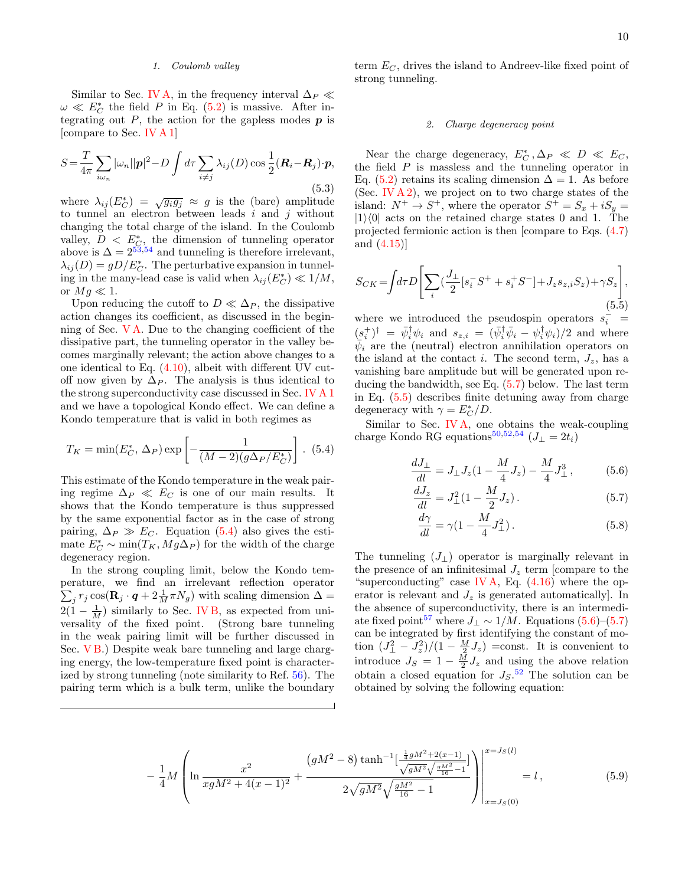## <span id="page-9-0"></span>1. Coulomb valley

Similar to Sec. [IV A,](#page-5-0) in the frequency interval  $\Delta_P \ll$  $\omega \ll E_C^*$  the field P in Eq. [\(5.2\)](#page-8-3) is massive. After integrating out  $P$ , the action for the gapless modes  $p$  is [compare to Sec. [IV A 1\]](#page-5-5)

<span id="page-9-8"></span>
$$
S = \frac{T}{4\pi} \sum_{i\omega_n} |\omega_n||\mathbf{p}|^2 - D \int d\tau \sum_{i \neq j} \lambda_{ij}(D) \cos \frac{1}{2} (\mathbf{R}_i - \mathbf{R}_j) \cdot \mathbf{p},
$$
\n(5.3)

where  $\lambda_{ij}(E_C^*) = \sqrt{g_i g_j} \approx g$  is the (bare) amplitude to tunnel an electron between leads  $i$  and  $j$  without changing the total charge of the island. In the Coulomb valley,  $D \leq E_{\mathcal{C}}^*$ , the dimension of tunneling operator above is  $\Delta = 2^{53,54}$  $\Delta = 2^{53,54}$  $\Delta = 2^{53,54}$  $\Delta = 2^{53,54}$  and tunneling is therefore irrelevant,  $\lambda_{ij}(D) = gD/E_C^*$ . The perturbative expansion in tunneling in the many-lead case is valid when  $\lambda_{ij}(E_C^*) \ll 1/M$ , or  $Mg \ll 1$ .

Upon reducing the cutoff to  $D \ll \Delta_P$ , the dissipative action changes its coefficient, as discussed in the beginning of Sec. [V A.](#page-8-1) Due to the changing coefficient of the dissipative part, the tunneling operator in the valley becomes marginally relevant; the action above changes to a one identical to Eq. [\(4.10\)](#page-5-4), albeit with different UV cutoff now given by  $\Delta_P$ . The analysis is thus identical to the strong superconductivity case discussed in Sec. [IV A 1](#page-5-5) and we have a topological Kondo effect. We can define a Kondo temperature that is valid in both regimes as

<span id="page-9-2"></span>
$$
T_K = \min(E_C^*, \Delta_P) \exp\left[-\frac{1}{(M-2)(g\Delta_P/E_C^*)}\right]. (5.4)
$$

This estimate of the Kondo temperature in the weak pairing regime  $\Delta_P \ll E_C$  is one of our main results. It shows that the Kondo temperature is thus suppressed by the same exponential factor as in the case of strong pairing,  $\Delta_P \gg E_C$ . Equation [\(5.4\)](#page-9-2) also gives the estimate  $E_C^* \sim \min(T_K, Mg\Delta_P)$  for the width of the charge degeneracy region.

In the strong coupling limit, below the Kondo temperature, we find an irrelevant reflection operator  $\sum_j r_j \cos(\mathbf{R}_j \cdot \boldsymbol{q} + 2\frac{1}{M}\pi N_g)$  with scaling dimension  $\Delta =$  $2(1 - \frac{1}{M})$  similarly to Sec. [IV B,](#page-7-0) as expected from universality of the fixed point. (Strong bare tunneling in the weak pairing limit will be further discussed in Sec. VB.) Despite weak bare tunneling and large charging energy, the low-temperature fixed point is characterized by strong tunneling (note similarity to Ref. [56\)](#page-25-29). The pairing term which is a bulk term, unlike the boundary

term  $E_C$ , drives the island to Andreev-like fixed point of strong tunneling.

### <span id="page-9-7"></span>2. Charge degeneracy point

Near the charge degeneracy,  $E_C^*$ ,  $\Delta_P \ll D \ll E_C$ , the field  $P$  is massless and the tunneling operator in Eq. [\(5.2\)](#page-8-3) retains its scaling dimension  $\Delta = 1$ . As before (Sec. [IV A 2\)](#page-6-10), we project on to two charge states of the island:  $N^+ \rightarrow S^+$ , where the operator  $S^+ = S_x + iS_y =$  $|1\rangle\langle 0|$  acts on the retained charge states 0 and 1. The projected fermionic action is then [compare to Eqs. [\(4.7\)](#page-5-1) and [\(4.15\)](#page-6-3)]

<span id="page-9-4"></span>
$$
S_{CK} = \int d\tau D \left[ \sum_{i} \left( \frac{J_{\perp}}{2} \left[ s_i^{-} S^{+} + s_i^{+} S^{-} \right] + J_z s_{z,i} S_z \right) + \gamma S_z \right],\tag{5.5}
$$

where we introduced the pseudospin operators  $s_i^{\dagger}$  =  $(s_i^{\dagger})^{\dagger} = \bar{\psi}_i^{\dagger} \psi_i$  and  $s_{z,i} = (\bar{\psi}_i^{\dagger} \bar{\psi}_i - \psi_i^{\dagger} \psi_i)/2$  and where  $\bar{\psi}_i$  are the (neutral) electron annihilation operators on the island at the contact i. The second term,  $J_z$ , has a vanishing bare amplitude but will be generated upon reducing the bandwidth, see Eq. [\(5.7\)](#page-9-3) below. The last term in Eq. [\(5.5\)](#page-9-4) describes finite detuning away from charge degeneracy with  $\gamma = E_C^* / D$ .

Similar to Sec. [IV A,](#page-5-0) one obtains the weak-coupling charge Kondo RG equations<sup>[50,](#page-25-24)[52](#page-25-30)[,54](#page-25-27)</sup> ( $J_{\perp} = 2t_i$ )

$$
\frac{dJ_{\perp}}{dl} = J_{\perp}J_z(1 - \frac{M}{4}J_z) - \frac{M}{4}J_{\perp}^3,
$$
 (5.6)

<span id="page-9-5"></span>
$$
\frac{dJ_z}{dl} = J_{\perp}^2 (1 - \frac{M}{2} J_z). \tag{5.7}
$$

<span id="page-9-6"></span><span id="page-9-3"></span><span id="page-9-1"></span>
$$
\frac{d\gamma}{dl} = \gamma (1 - \frac{M}{4} J_{\perp}^2). \tag{5.8}
$$

The tunneling  $(J_+)$  operator is marginally relevant in the presence of an infinitesimal  $J_z$  term [compare to the "superconducting" case [IV A,](#page-5-0) Eq.  $(4.16)$  where the operator is relevant and  $J_z$  is generated automatically. In the absence of superconductivity, there is an intermedi-ate fixed point<sup>[57](#page-26-0)</sup> where  $J_{\perp} \sim 1/M$ . Equations [\(5.6\)](#page-9-5)–[\(5.7\)](#page-9-3) can be integrated by first identifying the constant of motion  $(J_{\perp}^2 - J_z^2)/(1 - \frac{M}{2}J_z)$  =const. It is convenient to introduce  $J_S = 1 - \frac{M}{2} J_z$  and using the above relation obtain a closed equation for  $J_S$ .<sup>[52](#page-25-30)</sup> The solution can be obtained by solving the following equation:

$$
-\frac{1}{4}M\left(\ln\frac{x^2}{xgM^2+4(x-1)^2}+\frac{\left(gM^2-8\right)\tanh^{-1}\left[\frac{\frac{1}{4}gM^2+2(x-1)}{\sqrt{gM^2}\sqrt{\frac{gM^2}{16}-1}}\right]}{2\sqrt{gM^2}\sqrt{\frac{gM^2}{16}-1}}\right)\Bigg|_{x=J_S(0)}^{x=J_S(l)}=l\,,\tag{5.9}
$$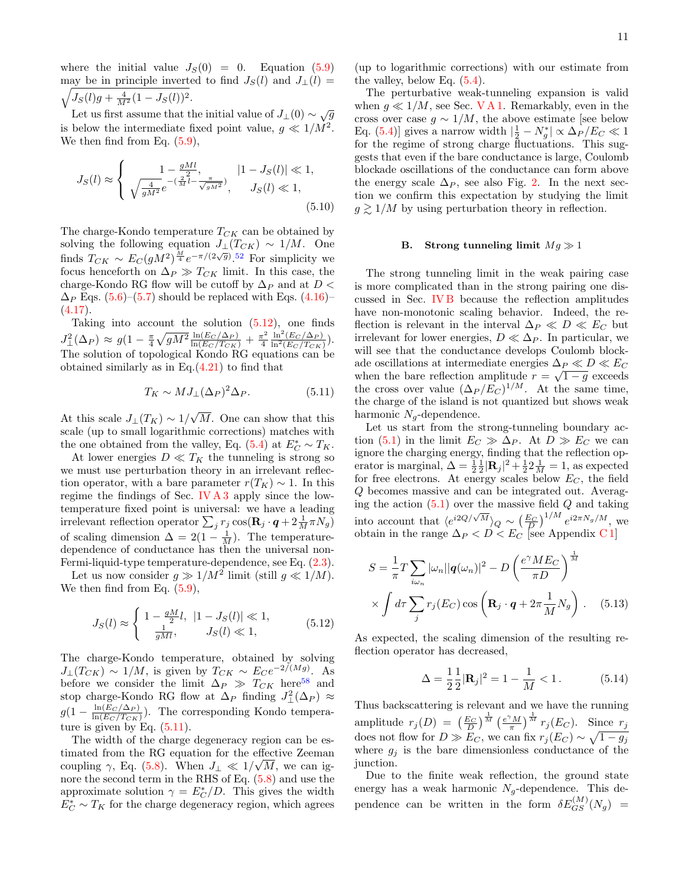where the initial value  $J_S(0) = 0$ . Equation [\(5.9\)](#page-9-6) may be in principle inverted to find  $J_S(l)$  and  $J_{\perp}(l)$  =  $\sqrt{J_S(l)g + \frac{4}{M^2}(1 - J_S(l))^2}.$ 

Let us first assume that the initial value of  $J_{\perp}(0) \sim \sqrt{g}$ is below the intermediate fixed point value,  $g \ll 1/M^2$ . We then find from Eq.  $(5.9)$ ,

$$
J_S(l) \approx \begin{cases} 1 - \frac{gMl}{2}, & |1 - J_S(l)| \ll 1, \\ \sqrt{\frac{4}{gM^2}} e^{-(\frac{2}{M}l - \frac{\pi}{\sqrt{gM^2}})}, & J_S(l) \ll 1, \\ 0.510, & \text{(5.10)} \end{cases}
$$

The charge-Kondo temperature  $T_{CK}$  can be obtained by solving the following equation  $J_{\perp}(T_{CK}) \sim 1/M$ . One finds  $T_{CK} \sim E_C(gM^2)^{\frac{M}{4}} e^{-\pi/(2\sqrt{g})}$ .<sup>[52](#page-25-30)</sup> For simplicity we focus henceforth on  $\Delta_P \gg T_{CK}$  limit. In this case, the charge-Kondo RG flow will be cutoff by  $\Delta_P$  and at  $D <$  $\Delta_P$  Eqs. [\(5.6\)](#page-9-5)–[\(5.7\)](#page-9-3) should be replaced with Eqs. [\(4.16\)](#page-6-4)–  $(4.17).$  $(4.17).$ 

Taking into account the solution [\(5.12\)](#page-10-1), one finds  $J_{\perp}^2(\Delta_P) \approx g(1 - \frac{\pi}{4} \sqrt{gM^2} \frac{\ln(E_C/\Delta_P)}{\ln(E_C/T_{CK})} + \frac{\pi^2}{4}$ 4  $\frac{\ln^2(E_C/\Delta_P)}{\ln^2(E_C/T_{CK})}).$ The solution of topological Kondo RG equations can be obtained similarly as in Eq.[\(4.21\)](#page-6-11) to find that

$$
T_K \sim MJ_\perp(\Delta_P)^2 \Delta_P. \tag{5.11}
$$

At this scale  $J_{\perp}(T_K) \sim 1/$ √ M. One can show that this scale (up to small logarithmic corrections) matches with the one obtained from the valley, Eq. [\(5.4\)](#page-9-2) at  $E_C^* \sim T_K$ .

At lower energies  $D \ll T_K$  the tunneling is strong so we must use perturbation theory in an irrelevant reflection operator, with a bare parameter  $r(T_K) \sim 1$ . In this regime the findings of Sec. [IV A 3](#page-7-1) apply since the lowtemperature fixed point is universal: we have a leading irrelevant reflection operator  $\sum_j r_j \cos(\mathbf{R}_j \cdot \boldsymbol{q} + 2 \frac{1}{M} \pi N_g)$ of scaling dimension  $\Delta = 2(1 - \frac{1}{M})$ . The temperaturedependence of conductance has then the universal non-Fermi-liquid-type temperature-dependence, see Eq. [\(2.3\)](#page-3-1).

Let us now consider  $g \gg 1/M^2$  limit (still  $g \ll 1/M$ ). We then find from Eq.  $(5.9)$ ,

$$
J_S(l) \approx \begin{cases} 1 - \frac{gM}{2}l, & |1 - J_S(l)| \ll 1, \\ \frac{1}{gMl}, & J_S(l) \ll 1, \end{cases}
$$
 (5.12)

The charge-Kondo temperature, obtained by solving  $J_{\perp}(T_{CK}) \sim 1/M$ , is given by  $T_{CK} \sim E_C e^{-2/(Mg)}$ . As before we consider the limit  $\Delta_P \gg T_{CK}$  here<sup>[58](#page-26-1)</sup> and stop charge-Kondo RG flow at  $\Delta_P$  finding  $J^2_{\perp}(\Delta_P) \approx$  $g(1-\frac{\ln(E_C/\Delta_P)}{\ln(E_C/T_{CSE})}$  $\frac{\ln(E_C/\Delta_P)}{\ln(E_C/T_{CK})}$ . The corresponding Kondo temperature is given by Eq.  $(5.11)$ .

The width of the charge degeneracy region can be estimated from the RG equation for the effective Zeeman coupling  $\gamma$ , Eq. [\(5.8\)](#page-9-1). When  $J_{\perp} \ll 1/\sqrt{M}$ , we can ignore the second term in the RHS of Eq. [\(5.8\)](#page-9-1) and use the approximate solution  $\gamma = E_C^*/D$ . This gives the width  $E_C^*$  ∼  $T_K$  for the charge degeneracy region, which agrees

(up to logarithmic corrections) with our estimate from the valley, below Eq. [\(5.4\)](#page-9-2).

The perturbative weak-tunneling expansion is valid when  $g \ll 1/M$ , see Sec. [V A 1.](#page-9-0) Remarkably, even in the cross over case  $g \sim 1/M$ , the above estimate [see below Eq. [\(5.4\)](#page-9-2)] gives a narrow width  $|\frac{1}{2} - N_g^*| \propto \Delta_P/E_C \ll 1$ for the regime of strong charge fluctuations. This suggests that even if the bare conductance is large, Coulomb blockade oscillations of the conductance can form above the energy scale  $\Delta_P$ , see also Fig. [2.](#page-2-0) In the next section we confirm this expectation by studying the limit  $g \gtrsim 1/M$  by using perturbation theory in reflection.

# <span id="page-10-0"></span>B. Strong tunneling limit  $Mg \gg 1$

The strong tunneling limit in the weak pairing case is more complicated than in the strong pairing one discussed in Sec. [IV B](#page-7-0) because the reflection amplitudes have non-monotonic scaling behavior. Indeed, the reflection is relevant in the interval  $\Delta_P \ll D \ll E_C$  but irrelevant for lower energies,  $D \ll \Delta_P$ . In particular, we will see that the conductance develops Coulomb blockade oscillations at intermediate energies  $\Delta_P \ll D \ll E_C$ when the bare reflection amplitude  $r = \sqrt{1 - g}$  exceeds the cross over value  $(\Delta_P / E_C)^{1/M}$ . At the same time, the charge of the island is not quantized but shows weak harmonic  $N_q$ -dependence.

<span id="page-10-2"></span>Let us start from the strong-tunneling boundary ac-tion [\(5.1\)](#page-8-2) in the limit  $E_C \gg \Delta_P$ . At  $D \gg E_C$  we can ignore the charging energy, finding that the reflection operator is marginal,  $\Delta = \frac{1}{2} \frac{1}{2} |\mathbf{R}_j|^2 + \frac{1}{2} \frac{1}{M} = 1$ , as expected for free electrons. At energy scales below  $E_C$ , the field Q becomes massive and can be integrated out. Averaging the action  $(5.1)$  over the massive field  $Q$  and taking into account that  $\left\langle e^{i2Q/\sqrt{M}}\right\rangle_{Q} \sim \left(\frac{E_C}{D}\right)^{1/M} e^{i2\pi N_g/M}$ , we obtain in the range  $\Delta_P < D < E_C$  [see Appendix C1]

$$
S = \frac{1}{\pi} T \sum_{i\omega_n} |\omega_n| |q(\omega_n)|^2 - D \left(\frac{e^{\gamma} M E_C}{\pi D}\right)^{\frac{1}{M}}
$$

$$
\times \int d\tau \sum_j r_j(E_C) \cos\left(\mathbf{R}_j \cdot \mathbf{q} + 2\pi \frac{1}{M} N_g\right). \quad (5.13)
$$

<span id="page-10-1"></span>As expected, the scaling dimension of the resulting reflection operator has decreased,

<span id="page-10-4"></span><span id="page-10-3"></span>
$$
\Delta = \frac{1}{2} \frac{1}{2} |\mathbf{R}_j|^2 = 1 - \frac{1}{M} < 1. \tag{5.14}
$$

Thus backscattering is relevant and we have the running amplitude  $r_j(D) = \left(\frac{E_C}{D}\right)^{\frac{1}{M}} \left(\frac{e^{\gamma}M}{\pi}\right)^{\frac{1}{M}} r_j(E_C)$ . Since  $r_j$ does not flow for  $D \gg E_C$ , we can fix  $r_j(E_C) \sim \sqrt{1 - g_j}$ where  $g_i$  is the bare dimensionless conductance of the junction.

Due to the finite weak reflection, the ground state energy has a weak harmonic  $N<sub>q</sub>$ -dependence. This dependence can be written in the form  $\delta E_{GS}^{(M)}(N_g)$  =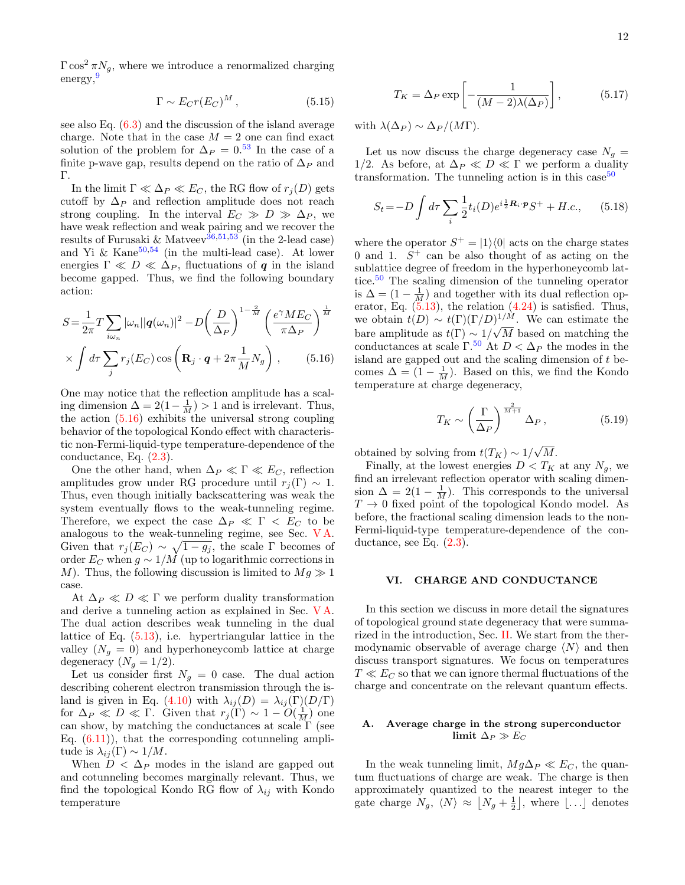$\Gamma \cos^2 \pi N_g$ , where we introduce a renormalized charging energy,<sup>[9](#page-24-3)</sup>

<span id="page-11-1"></span>
$$
\Gamma \sim E_C r(E_C)^M \,,\tag{5.15}
$$

see also Eq. [\(6.3\)](#page-12-2) and the discussion of the island average charge. Note that in the case  $M = 2$  one can find exact solution of the problem for  $\Delta_P = 0.53$  $\Delta_P = 0.53$  In the case of a finite p-wave gap, results depend on the ratio of  $\Delta_P$  and Γ.

In the limit  $\Gamma \ll \Delta_P \ll E_C$ , the RG flow of  $r_i(D)$  gets cutoff by  $\Delta_P$  and reflection amplitude does not reach strong coupling. In the interval  $E_C \gg D \gg \Delta_P$ , we have weak reflection and weak pairing and we recover the results of Furusaki & Matveev<sup>[36,](#page-25-8)[51,](#page-25-25)[53](#page-25-26)</sup> (in the 2-lead case) and Yi & Kane $50,54$  $50,54$  (in the multi-lead case). At lower energies  $\Gamma \ll D \ll \Delta_P$ , fluctuations of q in the island become gapped. Thus, we find the following boundary action:

$$
S = \frac{1}{2\pi} T \sum_{i\omega_n} |\omega_n| |q(\omega_n)|^2 - D \left(\frac{D}{\Delta_P}\right)^{1-\frac{2}{M}} \left(\frac{e^{\gamma} M E_C}{\pi \Delta_P}\right)^{\frac{1}{M}}
$$

$$
\times \int d\tau \sum_j r_j(E_C) \cos\left(\mathbf{R}_j \cdot \mathbf{q} + 2\pi \frac{1}{M} N_g\right), \qquad (5.16)
$$

One may notice that the reflection amplitude has a scaling dimension  $\Delta = 2(1 - \frac{1}{M}) > 1$  and is irrelevant. Thus, the action  $(5.16)$  exhibits the universal strong coupling behavior of the topological Kondo effect with characteristic non-Fermi-liquid-type temperature-dependence of the conductance, Eq. [\(2.3\)](#page-3-1).

One the other hand, when  $\Delta_P \ll \Gamma \ll E_C$ , reflection amplitudes grow under RG procedure until  $r_i(\Gamma) \sim 1$ . Thus, even though initially backscattering was weak the system eventually flows to the weak-tunneling regime. Therefore, we expect the case  $\Delta_P \ll \Gamma \ll E_C$  to be analogous to the weak-tunneling regime, see Sec. [V A.](#page-8-1) Given that  $r_j(E_C) \sim \sqrt{1 - g_j}$ , the scale Γ becomes of order  $E_C$  when  $g \sim 1/M$  (up to logarithmic corrections in M). Thus, the following discussion is limited to  $Mg \gg 1$ case.

At  $\Delta_P \ll D \ll \Gamma$  we perform duality transformation and derive a tunneling action as explained in Sec. [V A.](#page-8-1) The dual action describes weak tunneling in the dual lattice of Eq. [\(5.13\)](#page-10-3), i.e. hypertriangular lattice in the valley  $(N_g = 0)$  and hyperhoneycomb lattice at charge degeneracy  $(N_g = 1/2)$ .

Let us consider first  $N_q = 0$  case. The dual action describing coherent electron transmission through the is-land is given in Eq. [\(4.10\)](#page-5-4) with  $\lambda_{ij}(D) = \lambda_{ij}(\Gamma)(D/\Gamma)$ for  $\Delta_P \ll D \ll \Gamma$ . Given that  $r_j(\Gamma) \sim 1 - O(\frac{1}{M})$  one can show, by matching the conductances at scale  $\Gamma$  (see Eq.  $(6.11)$ , that the corresponding cotunneling amplitude is  $\lambda_{ij}(\Gamma) \sim 1/M$ .

When  $D < \Delta_P$  modes in the island are gapped out and cotunneling becomes marginally relevant. Thus, we find the topological Kondo RG flow of  $\lambda_{ij}$  with Kondo temperature

<span id="page-11-4"></span>
$$
T_K = \Delta_P \exp\left[-\frac{1}{(M-2)\lambda(\Delta_P)}\right],\tag{5.17}
$$

with  $\lambda(\Delta_P) \sim \Delta_P/(M\Gamma)$ .

Let us now discuss the charge degeneracy case  $N<sub>g</sub>$  = 1/2. As before, at  $\Delta_P \ll D \ll \Gamma$  we perform a duality transformation. The tunneling action is in this case<sup>[50](#page-25-24)</sup>

$$
S_t = -D \int d\tau \sum_i \frac{1}{2} t_i(D) e^{i\frac{1}{2}R_i \cdot \mathbf{p}} S^+ + H.c., \quad (5.18)
$$

where the operator  $S^+ = |1\rangle\langle 0|$  acts on the charge states 0 and 1.  $S^+$  can be also thought of as acting on the sublattice degree of freedom in the hyperhoneycomb lattice.[50](#page-25-24) The scaling dimension of the tunneling operator is  $\Delta = \left(1 - \frac{1}{M}\right)$  and together with its dual reflection operator, Eq.  $(5.13)$ , the relation  $(4.24)$  is satisfied. Thus, we obtain  $t(D) \sim t(\Gamma)(\Gamma/D)^{1/M}$ . We can estimate the bare amplitude as  $t(\Gamma) \sim 1/\sqrt{M}$  based on matching the conductances at scale  $\Gamma$ <sup>[50](#page-25-24)</sup> At  $D < \Delta_P$  the modes in the island are gapped out and the scaling dimension of  $t$  becomes  $\Delta = (1 - \frac{1}{M})$ . Based on this, we find the Kondo temperature at charge degeneracy,

$$
T_K \sim \left(\frac{\Gamma}{\Delta_P}\right)^{\frac{2}{M+1}} \Delta_P, \qquad (5.19)
$$

<span id="page-11-3"></span>obtained by solving from  $t(T_K) \sim 1/$ √  $M$ .

Finally, at the lowest energies  $D < T_K$  at any  $N_g$ , we find an irrelevant reflection operator with scaling dimension  $\Delta = 2(1 - \frac{1}{M})$ . This corresponds to the universal  $T \rightarrow 0$  fixed point of the topological Kondo model. As before, the fractional scaling dimension leads to the non-Fermi-liquid-type temperature-dependence of the conductance, see Eq.  $(2.3)$ .

#### <span id="page-11-0"></span>VI. CHARGE AND CONDUCTANCE

In this section we discuss in more detail the signatures of topological ground state degeneracy that were summarized in the introduction, Sec. [II.](#page-1-0) We start from the thermodynamic observable of average charge  $\langle N \rangle$  and then discuss transport signatures. We focus on temperatures  $T \ll E_C$  so that we can ignore thermal fluctuations of the charge and concentrate on the relevant quantum effects.

## <span id="page-11-2"></span>A. Average charge in the strong superconductor limit  $\Delta_P \gg E_C$

In the weak tunneling limit,  $Mg\Delta_P \ll E_C$ , the quantum fluctuations of charge are weak. The charge is then approximately quantized to the nearest integer to the gate charge  $N_g$ ,  $\langle N \rangle \approx [N_g + \frac{1}{2}]$ , where [...] denotes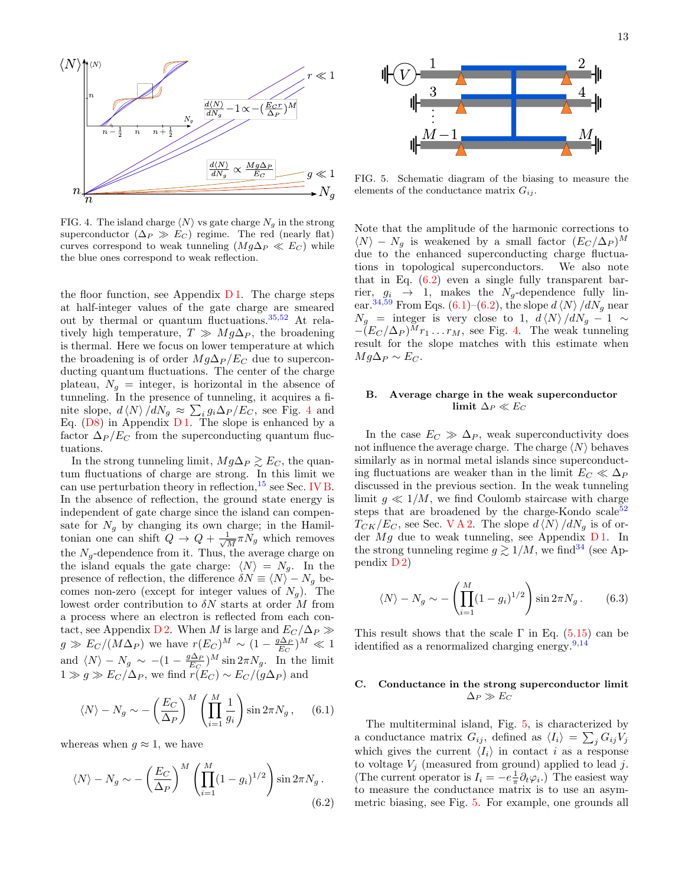

<span id="page-12-3"></span>FIG. 4. The island charge  $\langle N \rangle$  vs gate charge  $N_g$  in the strong superconductor  $(\Delta_P \gg E_C)$  regime. The red (nearly flat) curves correspond to weak tunneling  $(Mg\Delta_P \ll E_C)$  while the blue ones correspond to weak reflection.

the floor function, see Appendix  $D1$ . The charge steps at half-integer values of the gate charge are smeared out by thermal or quantum fluctuations.[35,](#page-25-7)[52](#page-25-30) At relatively high temperature,  $T \gg Mg\Delta_P$ , the broadening is thermal. Here we focus on lower temperature at which the broadening is of order  $Mg\Delta_P/E_C$  due to superconducting quantum fluctuations. The center of the charge plateau,  $N_g$  = integer, is horizontal in the absence of tunneling. In the presence of tunneling, it acquires a finite slope,  $d \langle N \rangle / dN_g \approx \sum_i g_i \Delta_P / E_C$ , see Fig. [4](#page-12-3) and Eq.  $(D8)$  in Appendix  $D1$ . The slope is enhanced by a factor  $\Delta_P/E_C$  from the superconducting quantum fluctuations.

In the strong tunneling limit,  $Mg\Delta_P \gtrsim E_C$ , the quantum fluctuations of charge are strong. In this limit we can use perturbation theory in reflection,  $^{15}$  $^{15}$  $^{15}$  see Sec. [IV B.](#page-7-0) In the absence of reflection, the ground state energy is independent of gate charge since the island can compensate for  $N_g$  by changing its own charge; in the Hamiltonian one can shift  $Q \to Q + \frac{1}{\sqrt{2}}$  $\frac{1}{M} \pi N_g$  which removes the  $N_q$ -dependence from it. Thus, the average charge on the island equals the gate charge:  $\langle N \rangle = N_q$ . In the presence of reflection, the difference  $\delta N \equiv \langle N \rangle - N_g$  becomes non-zero (except for integer values of  $N<sub>g</sub>$ ). The lowest order contribution to  $\delta N$  starts at order M from a process where an electron is reflected from each con-tact, see Appendix [D 2.](#page-20-1) When M is large and  $E_C/\Delta_P \gg$  $g \gg E_C/(M\Delta_P)$  we have  $r(E_C)^M \sim (1 - \frac{g\Delta_P}{E_C})^M \ll 1$ and  $\langle N \rangle - N_g \sim -(1 - \frac{g \Delta_P}{E_C})^M \sin 2\pi N_g$ . In the limit  $1 \gg g \gg E_C/\Delta_P$ , we find  $r(E_C) \sim E_C/(g\Delta_P)$  and

<span id="page-12-5"></span>
$$
\langle N \rangle - N_g \sim -\left(\frac{E_C}{\Delta_P}\right)^M \left(\prod_{i=1}^M \frac{1}{g_i}\right) \sin 2\pi N_g \,, \quad (6.1)
$$

whereas when  $q \approx 1$ , we have

<span id="page-12-4"></span>
$$
\langle N \rangle - N_g \sim -\left(\frac{E_C}{\Delta_P}\right)^M \left(\prod_{i=1}^M (1 - g_i)^{1/2}\right) \sin 2\pi N_g.
$$
\n(6.2)



<span id="page-12-6"></span>FIG. 5. Schematic diagram of the biasing to measure the elements of the conductance matrix  $G_{ij}$ .

Note that the amplitude of the harmonic corrections to  $\langle N \rangle - N_g$  is weakened by a small factor  $(E_C / \Delta_P)^M$ due to the enhanced superconducting charge fluctuations in topological superconductors. We also note that in Eq.  $(6.2)$  even a single fully transparent barrier,  $g_i \rightarrow 1$ , makes the  $N_g$ -dependence fully lin-ear.<sup>[34](#page-25-6)[,59](#page-26-2)</sup> From Eqs.  $(6.1)$ – $(6.2)$ , the slope  $d\langle N\rangle / dN_g$  near  $N_g$  = integer is very close to 1,  $d \langle N \rangle / dN_g - 1 \sim$  $-(E_C/\Delta_P)^Mr_1 \ldots r_M$ , see Fig. [4.](#page-12-3) The weak tunneling result for the slope matches with this estimate when  $Mg\Delta_P \sim E_C$ .

# <span id="page-12-0"></span>B. Average charge in the weak superconductor limit  $\Delta_P \ll E_C$

In the case  $E_C \gg \Delta_P$ , weak superconductivity does not influence the average charge. The charge  $\langle N \rangle$  behaves similarly as in normal metal islands since superconducting fluctuations are weaker than in the limit  $E_C \ll \Delta_P$ discussed in the previous section. In the weak tunneling limit  $g \ll 1/M$ , we find Coulomb staircase with charge steps that are broadened by the charge-Kondo scale $52$  $T_{CK}/E_C$ , see Sec. VA2. The slope  $d\langle N\rangle / dN_g$  is of order  $Mg$  due to weak tunneling, see Appendix [D 1.](#page-19-1) In the strong tunneling regime  $g \gtrsim 1/M$ , we find <sup>[34](#page-25-6)</sup> (see Appendix [D 2\)](#page-20-1)

<span id="page-12-2"></span>
$$
\langle N \rangle - N_g \sim -\left(\prod_{i=1}^M (1 - g_i)^{1/2}\right) \sin 2\pi N_g. \quad (6.3)
$$

This result shows that the scale  $\Gamma$  in Eq. [\(5.15\)](#page-11-1) can be identified as a renormalized charging energy.  $9.14$  $9.14$ 

# <span id="page-12-1"></span>C. Conductance in the strong superconductor limit  $\Delta_P \gg E_C$

The multiterminal island, Fig. [5,](#page-12-6) is characterized by a conductance matrix  $G_{ij}$ , defined as  $\langle I_i \rangle = \sum_j G_{ij} V_j$ which gives the current  $\langle I_i \rangle$  in contact i as a response to voltage  $V_j$  (measured from ground) applied to lead j. (The current operator is  $I_i = -e^{\frac{1}{\pi}} \partial_t \varphi_i$ .) The easiest way to measure the conductance matrix is to use an asymmetric biasing, see Fig. [5.](#page-12-6) For example, one grounds all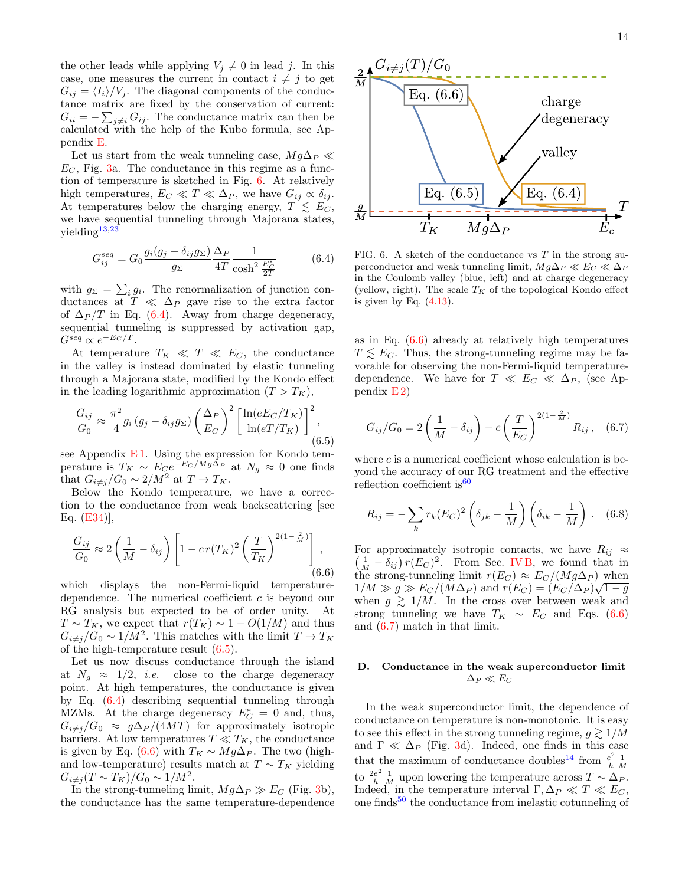the other leads while applying  $V_j \neq 0$  in lead j. In this case, one measures the current in contact  $i \neq j$  to get  $G_{ij} = \langle I_i \rangle / V_j$ . The diagonal components of the conductance matrix are fixed by the conservation of current:  $G_{ii} = -\sum_{j\neq i} G_{ij}$ . The conductance matrix can then be calculated with the help of the Kubo formula, see Appendix [E.](#page-21-0)

Let us start from the weak tunneling case,  $Mg\Delta_P \ll$  $E_C$ , Fig. [3a](#page-2-2). The conductance in this regime as a function of temperature is sketched in Fig. [6.](#page-13-1) At relatively high temperatures,  $E_C \ll T \ll \Delta_P$ , we have  $G_{ij} \propto \delta_{ij}$ . At temperatures below the charging energy,  $T \leq E_C$ , we have sequential tunneling through Majorana states,  $yielding<sup>13,23</sup>$  $yielding<sup>13,23</sup>$  $yielding<sup>13,23</sup>$  $yielding<sup>13,23</sup>$ 

<span id="page-13-2"></span>
$$
G_{ij}^{seq} = G_0 \frac{g_i(g_j - \delta_{ij} g_\Sigma)}{g_\Sigma} \frac{\Delta_P}{4T} \frac{1}{\cosh^2 \frac{E_C^*}{2T}}
$$
(6.4)

with  $g_{\Sigma} = \sum_i g_i$ . The renormalization of junction conductances at  $T \ll \Delta_P$  gave rise to the extra factor of  $\Delta_P/T$  in Eq. [\(6.4\)](#page-13-2). Away from charge degeneracy, sequential tunneling is suppressed by activation gap,  $G^{seq} \propto e^{-E_C/T}$ .

At temperature  $T_K \ll T \ll E_C$ , the conductance in the valley is instead dominated by elastic tunneling through a Majorana state, modified by the Kondo effect in the leading logarithmic approximation  $(T > T_K)$ ,

<span id="page-13-3"></span>
$$
\frac{G_{ij}}{G_0} \approx \frac{\pi^2}{4} g_i \left( g_j - \delta_{ij} g_\Sigma \right) \left( \frac{\Delta_P}{E_C} \right)^2 \left[ \frac{\ln(eE_C/T_K)}{\ln(eT/T_K)} \right]^2, \tag{6.5}
$$

see Appendix  $E1$ . Using the expression for Kondo temperature is  $T_K \sim E_C e^{-E_C/Mg\Delta_P}$  at  $N_g \approx 0$  one finds that  $G_{i\neq j}/G_0 \sim 2/M^2$  at  $T \to T_K$ .

Below the Kondo temperature, we have a correction to the conductance from weak backscattering [see Eq. [\(E34\)](#page-24-13)],

<span id="page-13-4"></span>
$$
\frac{G_{ij}}{G_0} \approx 2\left(\frac{1}{M} - \delta_{ij}\right) \left[1 - cr(T_K)^2 \left(\frac{T}{T_K}\right)^{2(1-\frac{2}{M})}\right],\tag{6.6}
$$

which displays the non-Fermi-liquid temperaturedependence. The numerical coefficient c is beyond our RG analysis but expected to be of order unity. At  $T \sim T_K$ , we expect that  $r(T_K) \sim 1 - O(1/M)$  and thus  $G_{i\neq j}/G_0 \sim 1/M^2$ . This matches with the limit  $T \to T_K$ of the high-temperature result [\(6.5\)](#page-13-3).

Let us now discuss conductance through the island at  $N_q \approx 1/2$ , *i.e.* close to the charge degeneracy point. At high temperatures, the conductance is given by Eq. [\(6.4\)](#page-13-2) describing sequential tunneling through MZMs. At the charge degeneracy  $E_C^* = 0$  and, thus,  $G_{i\neq j}/G_0 \approx g\Delta_P/(4MT)$  for approximately isotropic barriers. At low temperatures  $T \ll T_K$ , the conductance is given by Eq. [\(6.6\)](#page-13-4) with  $T_K \sim Mg\Delta_P$ . The two (highand low-temperature) results match at  $T \sim T_K$  yielding  $G_{i \neq j} (T \sim T_K)/G_0 \sim 1/M^2$ .

In the strong-tunneling limit,  $Mg\Delta_P \gg E_C$  (Fig. [3b](#page-2-2)), the conductance has the same temperature-dependence



<span id="page-13-1"></span>FIG. 6. A sketch of the conductance vs  $T$  in the strong superconductor and weak tunneling limit,  $Mg\Delta_P \ll E_C \ll \Delta_P$ in the Coulomb valley (blue, left) and at charge degeneracy (yellow, right). The scale  $T_K$  of the topological Kondo effect is given by Eq. [\(4.13\)](#page-6-7).

as in Eq. [\(6.6\)](#page-13-4) already at relatively high temperatures  $T \lesssim E_C$ . Thus, the strong-tunneling regime may be favorable for observing the non-Fermi-liquid temperaturedependence. We have for  $T \ll E_C \ll \Delta_P$ , (see Appendix  $E(2)$ 

<span id="page-13-5"></span>
$$
G_{ij}/G_0 = 2\left(\frac{1}{M} - \delta_{ij}\right) - c\left(\frac{T}{E_C}\right)^{2(1-\frac{2}{M})} R_{ij}, \quad (6.7)
$$

where  $c$  is a numerical coefficient whose calculation is beyond the accuracy of our RG treatment and the effective reflection coefficient is  $60$ 

<span id="page-13-6"></span>
$$
R_{ij} = -\sum_{k} r_k (E_C)^2 \left(\delta_{jk} - \frac{1}{M}\right) \left(\delta_{ik} - \frac{1}{M}\right). \quad (6.8)
$$

For approximately isotropic contacts, we have  $R_{ij} \approx$  $\left(\frac{1}{M} - \delta_{ij}\right) r(E_C)^2$ . From Sec. [IV B,](#page-7-0) we found that in the strong-tunneling limit  $r(E_C) \approx E_C/(Mg\Delta_P)$  when  $1/M \gg g \gg E_C/(M\Delta_P)$  and  $r(E_C) = (E_C/\Delta_P)\sqrt{1-g}$ when  $g \geq 1/M$ . In the cross over between weak and strong tunneling we have  $T_K \sim E_C$  and Eqs. [\(6.6\)](#page-13-4) and [\(6.7\)](#page-13-5) match in that limit.

# <span id="page-13-0"></span>D. Conductance in the weak superconductor limit  $\Delta_P \ll E_C$

In the weak superconductor limit, the dependence of conductance on temperature is non-monotonic. It is easy to see this effect in the strong tunneling regime,  $g \gtrsim 1/M$ and  $\Gamma \ll \Delta_P$  (Fig. [3d](#page-2-2)). Indeed, one finds in this case that the maximum of conductance doubles<sup>[14](#page-24-11)</sup> from  $\frac{e^2}{h}$  $\frac{e^2}{h} \frac{1}{M}$ to  $\frac{2e^2}{h}$  $\frac{e^2}{h} \frac{1}{M}$  upon lowering the temperature across  $T \sim \Delta_P$ . Indeed, in the temperature interval  $\Gamma, \Delta_P \ll T \ll E_C$ , one finds<sup>[50](#page-25-24)</sup> the conductance from inelastic cotunneling of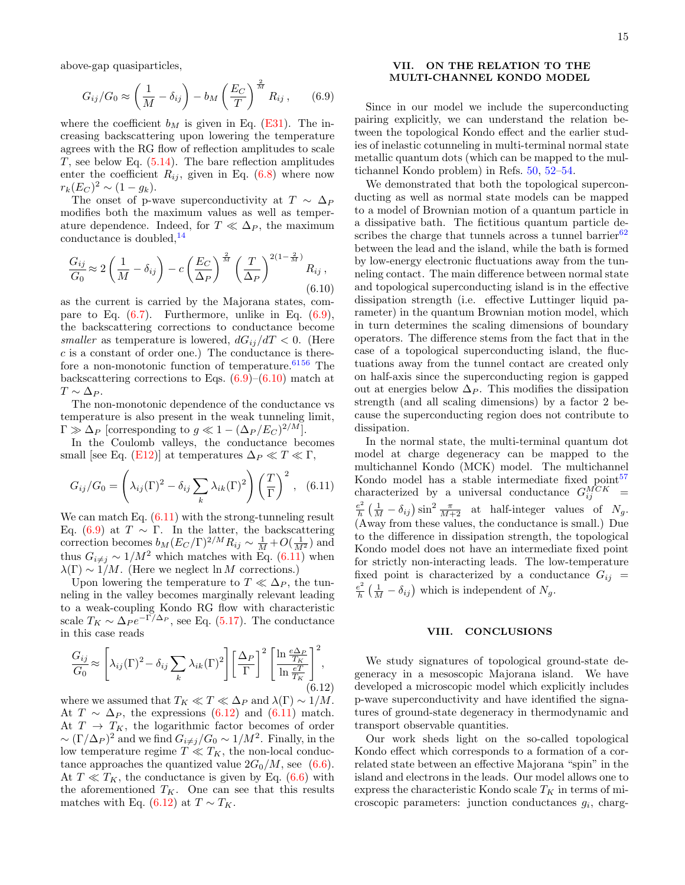above-gap quasiparticles,

<span id="page-14-3"></span>
$$
G_{ij}/G_0 \approx \left(\frac{1}{M} - \delta_{ij}\right) - b_M \left(\frac{E_C}{T}\right)^{\frac{2}{M}} R_{ij}, \qquad (6.9)
$$

where the coefficient  $b_M$  is given in Eq. [\(E31\)](#page-23-0). The increasing backscattering upon lowering the temperature agrees with the RG flow of reflection amplitudes to scale T, see below Eq.  $(5.14)$ . The bare reflection amplitudes enter the coefficient  $R_{ij}$ , given in Eq. [\(6.8\)](#page-13-6) where now  $r_k (E_C)^2 \sim (1 - g_k).$ 

The onset of p-wave superconductivity at  $T \sim \Delta_P$ modifies both the maximum values as well as temperature dependence. Indeed, for  $T \ll \Delta_P$ , the maximum conductance is doubled,  $14$ 

<span id="page-14-4"></span>
$$
\frac{G_{ij}}{G_0} \approx 2\left(\frac{1}{M} - \delta_{ij}\right) - c\left(\frac{E_C}{\Delta_P}\right)^{\frac{2}{M}} \left(\frac{T}{\Delta_P}\right)^{2(1-\frac{2}{M})} R_{ij},\tag{6.10}
$$

as the current is carried by the Majorana states, compare to Eq. [\(6.7\)](#page-13-5). Furthermore, unlike in Eq. [\(6.9\)](#page-14-3), the backscattering corrections to conductance become smaller as temperature is lowered,  $dG_{ij}/dT < 0$ . (Here  $c$  is a constant of order one.) The conductance is therefore a non-monotonic function of temperature.  $6156$  $6156$  The backscattering corrections to Eqs.  $(6.9)$ – $(6.10)$  match at  $T \sim \Delta_P$ .

The non-monotonic dependence of the conductance vs temperature is also present in the weak tunneling limit,  $\Gamma \gg \Delta_P$  [corresponding to  $g \ll 1 - (\Delta_P/E_C)^{2/M}$ ].

In the Coulomb valleys, the conductance becomes small [see Eq. [\(E12\)](#page-22-1)] at temperatures  $\Delta_P \ll T \ll \Gamma$ ,

<span id="page-14-2"></span>
$$
G_{ij}/G_0 = \left(\lambda_{ij}(\Gamma)^2 - \delta_{ij} \sum_k \lambda_{ik}(\Gamma)^2\right) \left(\frac{T}{\Gamma}\right)^2, \quad (6.11)
$$

We can match Eq.  $(6.11)$  with the strong-tunneling result Eq. [\(6.9\)](#page-14-3) at  $T \sim \Gamma$ . In the latter, the backscattering correction becomes  $b_M (E_C/\Gamma)^{2/M} R_{ij} \sim \frac{1}{M} + O(\frac{1}{M^2})$  and thus  $G_{i\neq j} \sim 1/M^2$  which matches with Eq. [\(6.11\)](#page-14-2) when  $\lambda(\Gamma) \sim 1/M$ . (Here we neglect ln M corrections.)

Upon lowering the temperature to  $T \ll \Delta_P$ , the tunneling in the valley becomes marginally relevant leading to a weak-coupling Kondo RG flow with characteristic scale  $T_K \sim \Delta_P e^{-\Gamma/\Delta_P}$ , see Eq. [\(5.17\)](#page-11-4). The conductance in this case reads

<span id="page-14-5"></span>
$$
\frac{G_{ij}}{G_0} \approx \left[\lambda_{ij}(\Gamma)^2 - \delta_{ij} \sum_k \lambda_{ik}(\Gamma)^2\right] \left[\frac{\Delta_P}{\Gamma}\right]^2 \left[\frac{\ln \frac{e\Delta_P}{T_K}}{\ln \frac{eT}{T_K}}\right]^2, \tag{6.12}
$$

where we assumed that  $T_K \ll T \ll \Delta_P$  and  $\lambda(\Gamma) \sim 1/M$ . At  $T \sim \Delta_P$ , the expressions [\(6.12\)](#page-14-5) and [\(6.11\)](#page-14-2) match. At  $T \rightarrow T_K$ , the logarithmic factor becomes of order  $\sim (\Gamma/\Delta_P)^2$  and we find  $G_{i\neq j}/G_0 \sim 1/M^2$ . Finally, in the low temperature regime  $T \ll T_K$ , the non-local conductance approaches the quantized value  $2G_0/M$ , see [\(6.6\)](#page-13-4). At  $T \ll T_K$ , the conductance is given by Eq. [\(6.6\)](#page-13-4) with the aforementioned  $T_K$ . One can see that this results matches with Eq. [\(6.12\)](#page-14-5) at  $T \sim T_K$ .

# <span id="page-14-0"></span>VII. ON THE RELATION TO THE MULTI-CHANNEL KONDO MODEL

Since in our model we include the superconducting pairing explicitly, we can understand the relation between the topological Kondo effect and the earlier studies of inelastic cotunneling in multi-terminal normal state metallic quantum dots (which can be mapped to the multichannel Kondo problem) in Refs. [50,](#page-25-24) [52–](#page-25-30)[54.](#page-25-27)

We demonstrated that both the topological superconducting as well as normal state models can be mapped to a model of Brownian motion of a quantum particle in a dissipative bath. The fictitious quantum particle describes the charge that tunnels across a tunnel barrier $62$ between the lead and the island, while the bath is formed by low-energy electronic fluctuations away from the tunneling contact. The main difference between normal state and topological superconducting island is in the effective dissipation strength (i.e. effective Luttinger liquid parameter) in the quantum Brownian motion model, which in turn determines the scaling dimensions of boundary operators. The difference stems from the fact that in the case of a topological superconducting island, the fluctuations away from the tunnel contact are created only on half-axis since the superconducting region is gapped out at energies below  $\Delta_P$ . This modifies the dissipation strength (and all scaling dimensions) by a factor 2 because the superconducting region does not contribute to dissipation.

In the normal state, the multi-terminal quantum dot model at charge degeneracy can be mapped to the multichannel Kondo (MCK) model. The multichannel Kondo model has a stable intermediate fixed point<sup>[57](#page-26-0)</sup> characterized by a universal conductance  $G_{ij}^{MCK}$  =  $e^2$  $\frac{e^2}{h} \left( \frac{1}{M} - \delta_{ij} \right) \sin^2 \frac{\pi}{M+2}$  at half-integer values of  $N_g$ . (Away from these values, the conductance is small.) Due to the difference in dissipation strength, the topological Kondo model does not have an intermediate fixed point for strictly non-interacting leads. The low-temperature fixed point is characterized by a conductance  $G_{ij}$  =  $e^2$  $\frac{e^2}{h} \left( \frac{1}{M} - \delta_{ij} \right)$  which is independent of  $N_g$ .

## <span id="page-14-1"></span>VIII. CONCLUSIONS

We study signatures of topological ground-state degeneracy in a mesoscopic Majorana island. We have developed a microscopic model which explicitly includes p-wave superconductivity and have identified the signatures of ground-state degeneracy in thermodynamic and transport observable quantities.

Our work sheds light on the so-called topological Kondo effect which corresponds to a formation of a correlated state between an effective Majorana "spin" in the island and electrons in the leads. Our model allows one to express the characteristic Kondo scale  $T_K$  in terms of microscopic parameters: junction conductances  $g_i$ , charg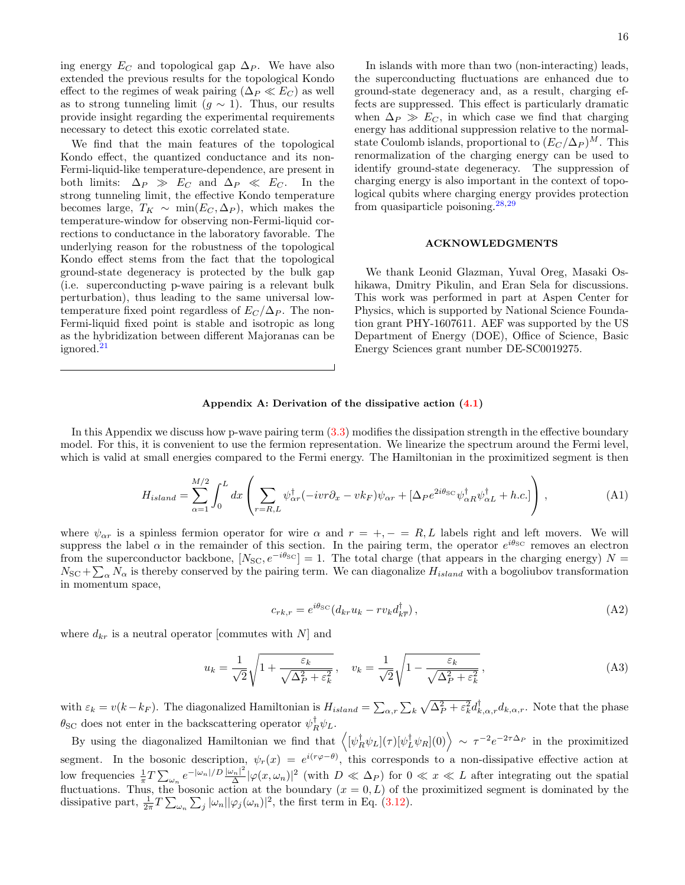ing energy  $E_C$  and topological gap  $\Delta_P$ . We have also extended the previous results for the topological Kondo effect to the regimes of weak pairing  $(\Delta_P \ll E_C)$  as well as to strong tunneling limit  $(g \sim 1)$ . Thus, our results provide insight regarding the experimental requirements necessary to detect this exotic correlated state.

We find that the main features of the topological Kondo effect, the quantized conductance and its non-Fermi-liquid-like temperature-dependence, are present in both limits:  $\Delta_P \gg E_C$  and  $\Delta_P \ll E_C$ . In the strong tunneling limit, the effective Kondo temperature becomes large,  $T_K \sim \min(E_C, \Delta_P)$ , which makes the temperature-window for observing non-Fermi-liquid corrections to conductance in the laboratory favorable. The underlying reason for the robustness of the topological Kondo effect stems from the fact that the topological ground-state degeneracy is protected by the bulk gap (i.e. superconducting p-wave pairing is a relevant bulk perturbation), thus leading to the same universal lowtemperature fixed point regardless of  $E_C/\Delta_P$ . The non-Fermi-liquid fixed point is stable and isotropic as long as the hybridization between different Majoranas can be ignored.<sup>[21](#page-24-14)</sup>

In islands with more than two (non-interacting) leads, the superconducting fluctuations are enhanced due to ground-state degeneracy and, as a result, charging effects are suppressed. This effect is particularly dramatic when  $\Delta_P \gg E_C$ , in which case we find that charging energy has additional suppression relative to the normalstate Coulomb islands, proportional to  $(E_C/\Delta_P)^M$ . This renormalization of the charging energy can be used to identify ground-state degeneracy. The suppression of charging energy is also important in the context of topological qubits where charging energy provides protection from quasiparticle poisoning. $28,29$  $28,29$ 

## ACKNOWLEDGMENTS

We thank Leonid Glazman, Yuval Oreg, Masaki Oshikawa, Dmitry Pikulin, and Eran Sela for discussions. This work was performed in part at Aspen Center for Physics, which is supported by National Science Foundation grant PHY-1607611. AEF was supported by the US Department of Energy (DOE), Office of Science, Basic Energy Sciences grant number DE-SC0019275.

## <span id="page-15-0"></span>Appendix A: Derivation of the dissipative action [\(4.1\)](#page-4-8)

In this Appendix we discuss how p-wave pairing term [\(3.3\)](#page-3-5) modifies the dissipation strength in the effective boundary model. For this, it is convenient to use the fermion representation. We linearize the spectrum around the Fermi level, which is valid at small energies compared to the Fermi energy. The Hamiltonian in the proximitized segment is then

$$
H_{island} = \sum_{\alpha=1}^{M/2} \int_0^L dx \left( \sum_{r=R,L} \psi_{\alpha r}^\dagger (-ivr\partial_x - vk_F)\psi_{\alpha r} + [\Delta_P e^{2i\theta_{\rm SC}} \psi_{\alpha R}^\dagger \psi_{\alpha L}^\dagger + h.c.] \right) , \tag{A1}
$$

where  $\psi_{\alpha r}$  is a spinless fermion operator for wire  $\alpha$  and  $r = +, - = R, L$  labels right and left movers. We will suppress the label  $\alpha$  in the remainder of this section. In the pairing term, the operator  $e^{i\theta_{\rm SC}}$  removes an electron from the superconductor backbone,  $[N_{SC}, e^{-i\theta_{SC}}] = 1$ . The total charge (that appears in the charging energy) N =  $N_{\text{SC}} + \sum_{\alpha} N_{\alpha}$  is thereby conserved by the pairing term. We can diagonalize  $H_{island}$  with a bogoliubov transformation in momentum space,

$$
c_{rk,r} = e^{i\theta_{\rm SC}}(d_{kr}u_k - rv_k d_{k\overline{r}}^{\dagger}), \tag{A2}
$$

where  $d_{kr}$  is a neutral operator [commutes with N] and

$$
u_k = \frac{1}{\sqrt{2}} \sqrt{1 + \frac{\varepsilon_k}{\sqrt{\Delta_P^2 + \varepsilon_k^2}}}, \quad v_k = \frac{1}{\sqrt{2}} \sqrt{1 - \frac{\varepsilon_k}{\sqrt{\Delta_P^2 + \varepsilon_k^2}}},
$$
(A3)

with  $\varepsilon_k = v(k - k_F)$ . The diagonalized Hamiltonian is  $H_{island} = \sum_{\alpha,r} \sum_k \sqrt{\Delta_P^2 + \varepsilon_k^2} d_{k,\alpha,r}^{\dagger} d_{k,\alpha,r}$ . Note that the phase  $\theta_{\text{SC}}$  does not enter in the backscattering operator  $\psi_R^{\dagger} \psi_L$ .

By using the diagonalized Hamiltonian we find that  $\langle [\psi_R^{\dagger} \psi_L](\tau) [\psi_L^{\dagger} \psi_R](0) \rangle \sim \tau^{-2} e^{-2\tau \Delta_P}$  in the proximitized segment. In the bosonic description,  $\psi_r(x) = e^{i(r\varphi-\theta)}$ , this corresponds to a non-dissipative effective action at low frequencies  $\frac{1}{\pi} T \sum_{\omega_n} e^{-|\omega_n|/D} \frac{|\omega_n|^2}{\Delta}$  $\frac{d}{\Delta}|\varphi(x,\omega_n)|^2$  (with  $D \ll \Delta_P$ ) for  $0 \ll x \ll L$  after integrating out the spatial fluctuations. Thus, the bosonic action at the boundary  $(x = 0, L)$  of the proximitized segment is dominated by the dissipative part,  $\frac{1}{2\pi}T\sum_{\omega_n}\sum_j|\omega_n||\varphi_j(\omega_n)|^2$ , the first term in Eq. [\(3.12\)](#page-4-1).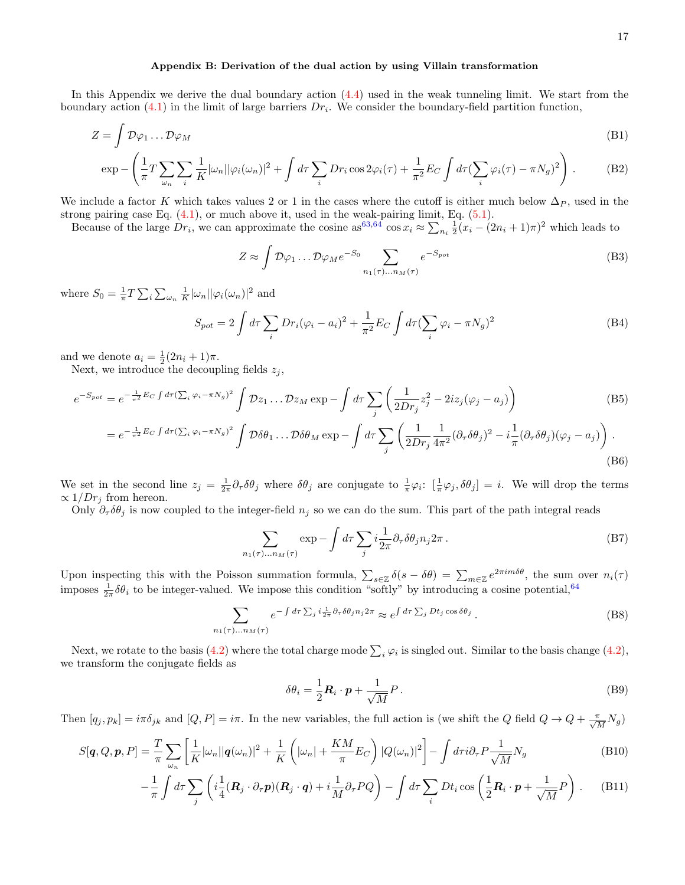#### <span id="page-16-0"></span>Appendix B: Derivation of the dual action by using Villain transformation

In this Appendix we derive the dual boundary action [\(4.4\)](#page-4-7) used in the weak tunneling limit. We start from the boundary action  $(4.1)$  in the limit of large barriers  $Dr_i$ . We consider the boundary-field partition function,

$$
Z = \int \mathcal{D}\varphi_1 \dots \mathcal{D}\varphi_M \tag{B1}
$$

$$
\exp -\left(\frac{1}{\pi}T\sum_{\omega_n}\sum_i\frac{1}{K}|\omega_n||\varphi_i(\omega_n)|^2 + \int d\tau \sum_i Dr_i \cos 2\varphi_i(\tau) + \frac{1}{\pi^2}E_C \int d\tau (\sum_i\varphi_i(\tau) - \pi N_g)^2\right).
$$
 (B2)

We include a factor K which takes values 2 or 1 in the cases where the cutoff is either much below  $\Delta_P$ , used in the strong pairing case Eq. [\(4.1\)](#page-4-8), or much above it, used in the weak-pairing limit, Eq. [\(5.1\)](#page-8-2).

Because of the large  $Dr_i$ , we can approximate the cosine as  $63,64 \cos x_i \approx \sum_{n_i} \frac{1}{2}(x_i - (2n_i + 1)\pi)^2$  $63,64 \cos x_i \approx \sum_{n_i} \frac{1}{2}(x_i - (2n_i + 1)\pi)^2$  $63,64 \cos x_i \approx \sum_{n_i} \frac{1}{2}(x_i - (2n_i + 1)\pi)^2$  which leads to

$$
Z \approx \int \mathcal{D}\varphi_1 \dots \mathcal{D}\varphi_M e^{-S_0} \sum_{n_1(\tau) \dots n_M(\tau)} e^{-S_{pot}} \tag{B3}
$$

where  $S_0 = \frac{1}{\pi} T \sum_i \sum_{\omega_n} \frac{1}{K} |\omega_n| |\varphi_i(\omega_n)|^2$  and

$$
S_{pot} = 2 \int d\tau \sum_{i} Dr_i(\varphi_i - a_i)^2 + \frac{1}{\pi^2} E_C \int d\tau (\sum_{i} \varphi_i - \pi N_g)^2
$$
 (B4)

and we denote  $a_i = \frac{1}{2}(2n_i + 1)\pi$ .

Next, we introduce the decoupling fields  $z_j$ ,

$$
e^{-S_{pot}} = e^{-\frac{1}{\pi^2}E_C \int d\tau (\sum_i \varphi_i - \pi N_g)^2} \int \mathcal{D}z_1 \dots \mathcal{D}z_M \exp \left(-\int d\tau \sum_j \left(\frac{1}{2Dr_j}z_j^2 - 2iz_j(\varphi_j - a_j)\right)\right)
$$
(B5)  

$$
= e^{-\frac{1}{2}E_C \int d\tau (\sum_i \varphi_i - \pi N_g)^2} \int \mathcal{D}\xi a \qquad \mathcal{D}\xi a \times \mathcal{D}z_M \exp \left(-\int d\tau \sum_j \left(\frac{1}{2\pi^2} - \frac{1}{2}iz_j(\varphi_j - a_j)\right)\right)
$$

$$
= e^{-\frac{1}{\pi^2}E_C \int d\tau (\sum_i \varphi_i - \pi N_g)^2} \int \mathcal{D}\delta\theta_1 \dots \mathcal{D}\delta\theta_M \exp \left(-\int d\tau \sum_j \left(\frac{1}{2Dr_j} \frac{1}{4\pi^2} (\partial_\tau \delta\theta_j)^2 - i\frac{1}{\pi} (\partial_\tau \delta\theta_j)(\varphi_j - a_j)\right)\right).
$$
\n(B6)

We set in the second line  $z_j = \frac{1}{2\pi} \partial_\tau \delta \theta_j$  where  $\delta \theta_j$  are conjugate to  $\frac{1}{\pi} \varphi_i$ :  $[\frac{1}{\pi} \varphi_j, \delta \theta_j] = i$ . We will drop the terms  $\propto 1/Dr_j$  from hereon.

Only  $\partial_{\tau}\delta\theta_j$  is now coupled to the integer-field  $n_j$  so we can do the sum. This part of the path integral reads

$$
\sum_{n_1(\tau)\dots n_M(\tau)} \exp -\int d\tau \sum_j i \frac{1}{2\pi} \partial_\tau \delta \theta_j n_j 2\pi \,. \tag{B7}
$$

Upon inspecting this with the Poisson summation formula,  $\sum_{s\in\mathbb{Z}} \delta(s-\delta\theta) = \sum_{m\in\mathbb{Z}} e^{2\pi i m \delta\theta}$ , the sum over  $n_i(\tau)$ imposes  $\frac{1}{2\pi}\delta\theta_i$  to be integer-valued. We impose this condition "softly" by introducing a cosine potential, <sup>[64](#page-26-7)</sup>

$$
\sum_{n_1(\tau)\dots n_M(\tau)} e^{-\int d\tau \sum_j i \frac{1}{2\pi} \partial_\tau \delta \theta_j n_j 2\pi} \approx e^{\int d\tau \sum_j Dt_j \cos \delta \theta_j}.
$$
 (B8)

Next, we rotate to the basis [\(4.2\)](#page-4-6) where the total charge mode  $\sum_i \varphi_i$  is singled out. Similar to the basis change (4.2), we transform the conjugate fields as

$$
\delta\theta_i = \frac{1}{2}\mathbf{R}_i \cdot \mathbf{p} + \frac{1}{\sqrt{M}}P \,. \tag{B9}
$$

Then  $[q_j, p_k] = i\pi \delta_{jk}$  and  $[Q, P] = i\pi$ . In the new variables, the full action is (we shift the Q field  $Q \to Q + \frac{\pi}{\sqrt{M}} N_g$ )

$$
S[\boldsymbol{q}, Q, \boldsymbol{p}, P] = \frac{T}{\pi} \sum_{\omega_n} \left[ \frac{1}{K} |\omega_n| |\boldsymbol{q}(\omega_n)|^2 + \frac{1}{K} \left( |\omega_n| + \frac{KM}{\pi} E_C \right) |Q(\omega_n)|^2 \right] - \int d\tau i \partial_\tau P \frac{1}{\sqrt{M}} N_g \tag{B10}
$$

$$
-\frac{1}{\pi}\int d\tau \sum_{j}\left(i\frac{1}{4}(\boldsymbol{R}_{j}\cdot\partial_{\tau}\boldsymbol{p})(\boldsymbol{R}_{j}\cdot\boldsymbol{q})+i\frac{1}{M}\partial_{\tau}PQ\right)-\int d\tau \sum_{i}Dt_{i}\cos\left(\frac{1}{2}\boldsymbol{R}_{i}\cdot\boldsymbol{p}+\frac{1}{\sqrt{M}}P\right).
$$
 (B11)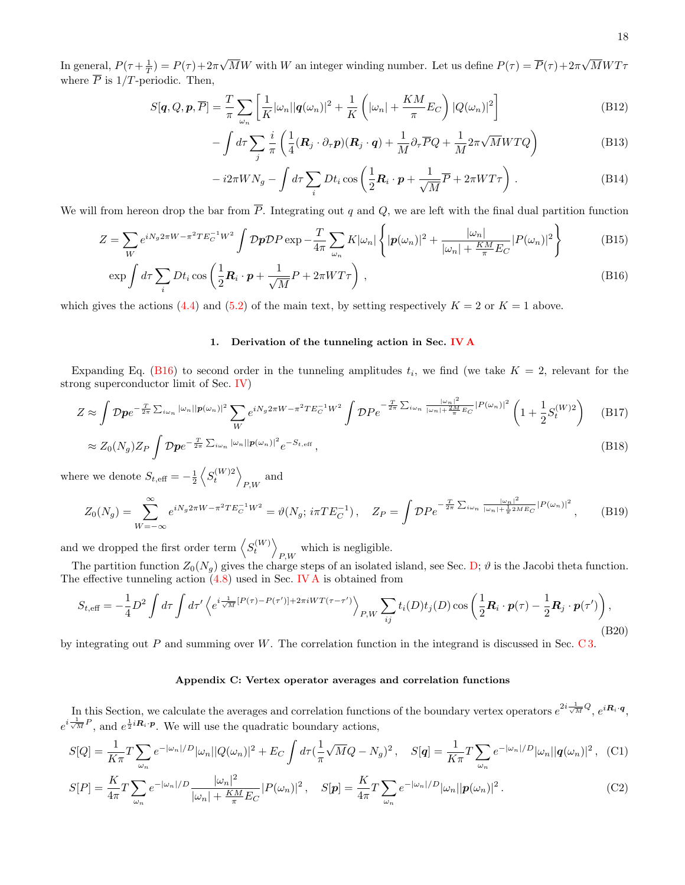In general,  $P(\tau + \frac{1}{T}) = P(\tau) + 2\pi$ √ MW with W an integer winding number. Let us define  $P(\tau) = P(\tau) + 2\pi$ √  $MWT$ where  $\overline{P}$  is 1/T-periodic. Then,

$$
S[\boldsymbol{q}, Q, \boldsymbol{p}, \overline{P}] = \frac{T}{\pi} \sum_{\omega_n} \left[ \frac{1}{K} |\omega_n| |\boldsymbol{q}(\omega_n)|^2 + \frac{1}{K} \left( |\omega_n| + \frac{KM}{\pi} E_C \right) |Q(\omega_n)|^2 \right]
$$
(B12)

$$
-\int d\tau \sum_{j} \frac{i}{\pi} \left( \frac{1}{4} (\mathbf{R}_{j} \cdot \partial_{\tau} \mathbf{p}) (\mathbf{R}_{j} \cdot \mathbf{q}) + \frac{1}{M} \partial_{\tau} \overline{P} Q + \frac{1}{M} 2\pi \sqrt{M} W T Q \right)
$$
(B13)

$$
-i2\pi W N_g - \int d\tau \sum_i Dt_i \cos\left(\frac{1}{2}\boldsymbol{R}_i \cdot \boldsymbol{p} + \frac{1}{\sqrt{M}}\overline{P} + 2\pi WT\tau\right).
$$
 (B14)

We will from hereon drop the bar from  $\overline{P}$ . Integrating out q and Q, we are left with the final dual partition function

$$
Z = \sum_{W} e^{iN_g 2\pi W - \pi^2 TE_C^{-1} W^2} \int \mathcal{D}p \mathcal{D}P \exp \left(-\frac{T}{4\pi} \sum_{\omega_n} K|\omega_n| \left\{ |\boldsymbol{p}(\omega_n)|^2 + \frac{|\omega_n|}{|\omega_n| + \frac{KM}{\pi} E_C} |P(\omega_n)|^2 \right\} \right) \tag{B15}
$$

$$
\exp\int d\tau \sum_{i} Dt_i \cos\left(\frac{1}{2}\mathbf{R}_i \cdot \mathbf{p} + \frac{1}{\sqrt{M}}P + 2\pi WT\tau\right),\tag{B16}
$$

which gives the actions [\(4.4\)](#page-4-7) and [\(5.2\)](#page-8-3) of the main text, by setting respectively  $K = 2$  or  $K = 1$  above.

## <span id="page-17-1"></span><span id="page-17-0"></span>1. Derivation of the tunneling action in Sec. IV  $\bf{A}$

Expanding Eq. [\(B16\)](#page-17-1) to second order in the tunneling amplitudes  $t_i$ , we find (we take  $K = 2$ , relevant for the strong superconductor limit of Sec. [IV\)](#page-4-0)

$$
Z \approx \int \mathcal{D}p e^{-\frac{T}{2\pi} \sum_{i\omega_n} |\omega_n||p(\omega_n)|^2} \sum_W e^{iN_g 2\pi W - \pi^2 TE_C^{-1}W^2} \int \mathcal{D}P e^{-\frac{T}{2\pi} \sum_{i\omega_n} \frac{|\omega_n|^2}{|\omega_n| + \frac{2M}{\pi} EC}|P(\omega_n)|^2} \left(1 + \frac{1}{2} S_t^{(W)2}\right)
$$
(B17)

$$
\approx Z_0(N_g)Z_P \int \mathcal{D}p e^{-\frac{T}{2\pi}\sum_{i\omega_n} |\omega_n||p(\omega_n)|^2} e^{-S_{t,\text{eff}}},\tag{B18}
$$

where we denote  $S_{t, \text{eff}} = -\frac{1}{2} \left\langle S_t^{(W)2} \right\rangle$  $_{P,W}$  and

<span id="page-17-3"></span>
$$
Z_0(N_g) = \sum_{W = -\infty}^{\infty} e^{iN_g 2\pi W - \pi^2 TE_C^{-1} W^2} = \vartheta(N_g; i\pi TE_C^{-1}), \quad Z_P = \int \mathcal{D}P e^{-\frac{T}{2\pi} \sum_{i\omega_n} \frac{|\omega_n|^2}{|\omega_n| + \frac{1}{\pi} 2ME_C}|P(\omega_n)|^2}, \quad (B19)
$$

and we dropped the first order term  $\left\langle S_t^{(W)} \right\rangle$ which is negligible.<br> $P,W$ 

The partition function  $Z_0(N_g)$  gives the charge steps of an isolated island, see Sec. [D;](#page-19-2)  $\vartheta$  is the Jacobi theta function. The effective tunneling action [\(4.8\)](#page-5-2) used in Sec. [IV A](#page-5-0) is obtained from

$$
S_{t,\text{eff}} = -\frac{1}{4}D^2 \int d\tau \int d\tau' \left\langle e^{i\frac{1}{\sqrt{M}}[P(\tau)-P(\tau')] + 2\pi iWT(\tau-\tau')} \right\rangle_{P,W} \sum_{ij} t_i(D)t_j(D) \cos\left(\frac{1}{2}\mathbf{R}_i \cdot \mathbf{p}(\tau) - \frac{1}{2}\mathbf{R}_j \cdot \mathbf{p}(\tau')\right),\tag{B20}
$$

by integrating out  $P$  and summing over  $W$ . The correlation function in the integrand is discussed in Sec. [C 3.](#page-19-0)

# <span id="page-17-2"></span>Appendix C: Vertex operator averages and correlation functions

In this Section, we calculate the averages and correlation functions of the boundary vertex operators  $e^{2i\frac{1}{\sqrt{M}}Q}$ ,  $e^{i\mathbf{R}_i \cdot \mathbf{q}}$ ,  $e^{i\frac{1}{\sqrt{M}}P}$ , and  $e^{\frac{1}{2}iR_i\cdot p}$ . We will use the quadratic boundary actions,

$$
S[Q] = \frac{1}{K\pi} T \sum_{\omega_n} e^{-|\omega_n|/D} |\omega_n| |Q(\omega_n)|^2 + E_C \int d\tau (\frac{1}{\pi} \sqrt{M} Q - N_g)^2, \quad S[q] = \frac{1}{K\pi} T \sum_{\omega_n} e^{-|\omega_n|/D} |\omega_n| |q(\omega_n)|^2, \quad (C1)
$$

$$
S[P] = \frac{K}{4\pi} T \sum_{\omega_n} e^{-|\omega_n|/D} \frac{|\omega_n|^2}{|\omega_n| + \frac{KM}{\pi} E_C} |P(\omega_n)|^2, \quad S[\mathbf{p}] = \frac{K}{4\pi} T \sum_{\omega_n} e^{-|\omega_n|/D} |\omega_n| |\mathbf{p}(\omega_n)|^2.
$$
 (C2)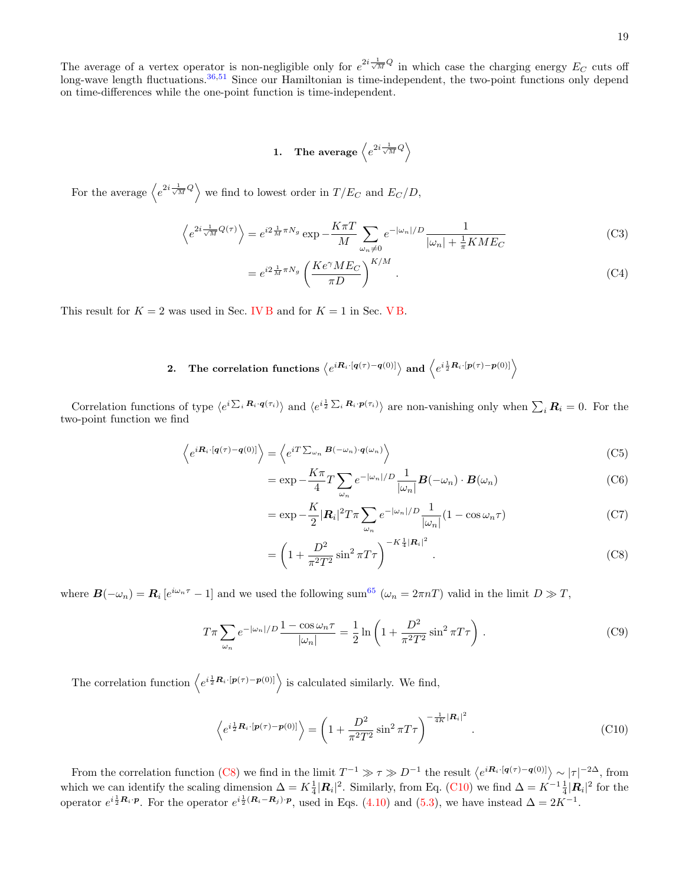The average of a vertex operator is non-negligible only for  $e^{2i\frac{1}{\sqrt{M}}Q}$  in which case the charging energy  $E_C$  cuts off long-wave length fluctuations.<sup>[36,](#page-25-8)[51](#page-25-25)</sup> Since our Hamiltonian is time-independent, the two-point functions only depend on time-differences while the one-point function is time-independent.

<span id="page-18-0"></span>1. The average 
$$
\left\langle e^{2i\frac{1}{\sqrt{M}}}Q\right\rangle
$$

For the average  $\langle e^{2i\frac{1}{\sqrt{M}}Q} \rangle$  we find to lowest order in  $T/E_C$  and  $E_C/D$ ,

$$
\left\langle e^{2i\frac{1}{\sqrt{M}}Q(\tau)}\right\rangle = e^{i2\frac{1}{M}\pi N_g} \exp\left(-\frac{K\pi T}{M}\right) \sum_{\omega_n \neq 0} e^{-|\omega_n|/D} \frac{1}{|\omega_n| + \frac{1}{\pi}KME_C}
$$
(C3)

$$
=e^{i2\frac{1}{M}\pi N_g} \left(\frac{Ke^{\gamma}ME_C}{\pi D}\right)^{K/M}.
$$
\n(C4)

This result for  $K = 2$  was used in Sec. [IV B](#page-7-0) and for  $K = 1$  in Sec. [V B.](#page-10-0)

# 2. The correlation functions  $\left\langle e^{i\bm{R}_i\cdot[\bm{q}(\tau)-\bm{q}(0)]}\right\rangle$  and  $\left\langle e^{i\frac{1}{2}\bm{R}_i\cdot[\bm{p}(\tau)-\bm{p}(0)]}\right\rangle$

Correlation functions of type  $\langle e^{i \sum_i \mathbf{R}_i \cdot \mathbf{q}(\tau_i)} \rangle$  and  $\langle e^{i \frac{1}{2} \sum_i \mathbf{R}_i \cdot \mathbf{p}(\tau_i)} \rangle$  are non-vanishing only when  $\sum_i \mathbf{R}_i = 0$ . For the two-point function we find

$$
\left\langle e^{i\mathbf{R}_i \cdot [\mathbf{q}(\tau) - \mathbf{q}(0)]} \right\rangle = \left\langle e^{i\mathbf{T} \sum_{\omega_n} \mathbf{B}(-\omega_n) \cdot \mathbf{q}(\omega_n)} \right\rangle \tag{C5}
$$

$$
= \exp -\frac{K\pi}{4}T\sum_{\omega_n} e^{-|\omega_n|/D} \frac{1}{|\omega_n|} \boldsymbol{B}(-\omega_n) \cdot \boldsymbol{B}(\omega_n)
$$
 (C6)

$$
= \exp -\frac{K}{2} |\mathbf{R}_i|^2 T \pi \sum_{\omega_n} e^{-|\omega_n|/D} \frac{1}{|\omega_n|} (1 - \cos \omega_n \tau)
$$
 (C7)

<span id="page-18-1"></span>
$$
= \left(1 + \frac{D^2}{\pi^2 T^2} \sin^2 \pi T \tau\right)^{-K \frac{1}{4} |\mathbf{R}_i|^2}.
$$
 (C8)

where  $\mathbf{B}(-\omega_n) = \mathbf{R}_i \left[e^{i\omega_n \tau} - 1\right]$  and we used the following sum<sup>[65](#page-26-8)</sup> ( $\omega_n = 2\pi nT$ ) valid in the limit  $D \gg T$ ,

$$
T\pi \sum_{\omega_n} e^{-|\omega_n|/D} \frac{1 - \cos \omega_n \tau}{|\omega_n|} = \frac{1}{2} \ln \left( 1 + \frac{D^2}{\pi^2 T^2} \sin^2 \pi T \tau \right).
$$
 (C9)

The correlation function  $\langle e^{i\frac{1}{2}\mathbf{R}_i \cdot [\mathbf{p}(\tau) - \mathbf{p}(0)]} \rangle$  is calculated similarly. We find,

<span id="page-18-2"></span>
$$
\left\langle e^{i\frac{1}{2}\mathbf{R}_i \cdot [\mathbf{p}(\tau) - \mathbf{p}(0)]} \right\rangle = \left( 1 + \frac{D^2}{\pi^2 T^2} \sin^2 \pi T \tau \right)^{-\frac{1}{4K} |\mathbf{R}_i|^2}.
$$
 (C10)

From the correlation function [\(C8\)](#page-18-1) we find in the limit  $T^{-1} \gg \tau \gg D^{-1}$  the result  $\langle e^{i\mathbf{R}_i \cdot [\mathbf{q}(\tau) - \mathbf{q}(0)]}\rangle \sim |\tau|^{-2\Delta}$ , from which we can identify the scaling dimension  $\Delta = K \frac{1}{4} |\mathbf{R}_i|^2$ . Similarly, from Eq. [\(C10\)](#page-18-2) we find  $\Delta = K^{-1} \frac{1}{4} |\mathbf{R}_i|^2$  for the operator  $e^{i\frac{1}{2}\mathbf{R}_i \cdot \mathbf{p}}$ . For the operator  $e^{i\frac{1}{2}(\mathbf{R}_i - \mathbf{R}_j) \cdot \mathbf{p}}$ , used in Eqs. [\(4.10\)](#page-5-4) and [\(5.3\)](#page-9-8), we have instead  $\Delta = 2K^{-1}$ .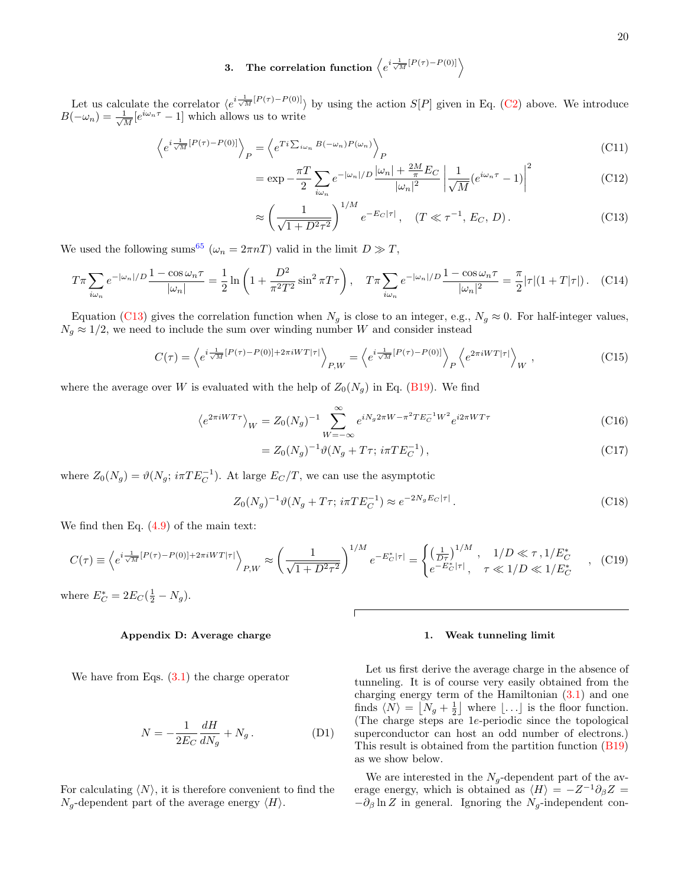# <span id="page-19-0"></span>3. The correlation function  $\left\langle e^{i\frac{1}{\sqrt{M}}[P(\tau)-P(0)]}\right\rangle$

Let us calculate the correlator  $\langle e^{i\frac{1}{\sqrt{M}}[P(\tau)-P(0)]}\rangle$  by using the action  $S[P]$  given in Eq. [\(C2\)](#page-17-2) above. We introduce  $B(-\omega_n) = \frac{1}{\sqrt{n}}$  $\frac{1}{M}[e^{i\omega_n \tau} - 1]$  which allows us to write

$$
\left\langle e^{i\frac{1}{\sqrt{M}}[P(\tau)-P(0)]} \right\rangle_P = \left\langle e^{Ti\sum_{i\omega_n} B(-\omega_n)P(\omega_n)} \right\rangle_P
$$
\n(C11)

$$
= \exp -\frac{\pi T}{2} \sum_{i\omega_n} e^{-|\omega_n|/D} \frac{|\omega_n| + \frac{2M}{\pi} E_C}{|\omega_n|^2} \left| \frac{1}{\sqrt{M}} (e^{i\omega_n \tau} - 1) \right|^2 \tag{C12}
$$

<span id="page-19-3"></span>
$$
\approx \left(\frac{1}{\sqrt{1+D^2\tau^2}}\right)^{1/M} e^{-E_C|\tau|}, \quad (T \ll \tau^{-1}, E_C, D). \tag{C13}
$$

We used the following sums<sup>[65](#page-26-8)</sup> ( $\omega_n = 2\pi nT$ ) valid in the limit  $D \gg T$ ,

$$
T\pi \sum_{i\omega_n} e^{-|\omega_n|/D} \frac{1 - \cos \omega_n \tau}{|\omega_n|} = \frac{1}{2} \ln \left( 1 + \frac{D^2}{\pi^2 T^2} \sin^2 \pi T \tau \right), \quad T\pi \sum_{i\omega_n} e^{-|\omega_n|/D} \frac{1 - \cos \omega_n \tau}{|\omega_n|^2} = \frac{\pi}{2} |\tau| (1 + T|\tau|). \tag{C14}
$$

Equation [\(C13\)](#page-19-3) gives the correlation function when  $N_g$  is close to an integer, e.g.,  $N_g \approx 0$ . For half-integer values,  $N_g \approx 1/2$ , we need to include the sum over winding number W and consider instead

$$
C(\tau) = \left\langle e^{i\frac{1}{\sqrt{M}}[P(\tau) - P(0)] + 2\pi iWT|\tau|} \right\rangle_{P,W} = \left\langle e^{i\frac{1}{\sqrt{M}}[P(\tau) - P(0)]} \right\rangle_P \left\langle e^{2\pi iWT|\tau|} \right\rangle_W,
$$
\n(C15)

where the average over W is evaluated with the help of  $Z_0(N_q)$  in Eq. [\(B19\)](#page-17-3). We find

$$
\left\langle e^{2\pi iWT\tau} \right\rangle_W = Z_0(N_g)^{-1} \sum_{W = -\infty}^{\infty} e^{iN_g 2\pi W - \pi^2 TE_C^{-1} W^2} e^{i2\pi W T \tau}
$$
\n(C16)

$$
= Z_0(N_g)^{-1} \vartheta (N_g + T\tau; \, i\pi T E_C^{-1}), \tag{C17}
$$

where  $Z_0(N_g) = \vartheta(N_g; i\pi TE_C^{-1})$ . At large  $E_C/T$ , we can use the asymptotic

$$
Z_0(N_g)^{-1}\vartheta(N_g + T\tau; \, i\pi TE_C^{-1}) \approx e^{-2N_g E_C|\tau|} \,. \tag{C18}
$$

We find then Eq. [\(4.9\)](#page-5-3) of the main text:

$$
C(\tau) \equiv \left\langle e^{i\frac{1}{\sqrt{M}}[P(\tau) - P(0)] + 2\pi iWT|\tau|} \right\rangle_{P,W} \approx \left(\frac{1}{\sqrt{1 + D^2 \tau^2}}\right)^{1/M} e^{-E_C^*|\tau|} = \begin{cases} \left(\frac{1}{D\tau}\right)^{1/M}, & 1/D \ll \tau, 1/E_C^*\\ e^{-E_C^*|\tau|}, & \tau \ll 1/D \ll 1/E_C^* \end{cases} \tag{C19}
$$

where  $E_C^* = 2E_C(\frac{1}{2} - N_g)$ .

# <span id="page-19-2"></span>Appendix D: Average charge

We have from Eqs.  $(3.1)$  the charge operator

<span id="page-19-4"></span>
$$
N = -\frac{1}{2E_C}\frac{dH}{dN_g} + N_g.
$$
 (D1)

For calculating  $\langle N \rangle$ , it is therefore convenient to find the  $N_g$ -dependent part of the average energy  $\langle H \rangle$ .

#### <span id="page-19-1"></span>1. Weak tunneling limit

Let us first derive the average charge in the absence of tunneling. It is of course very easily obtained from the charging energy term of the Hamiltonian  $(3.1)$  and one finds  $\langle N \rangle = [N_g + \frac{1}{2}]$  where  $\lfloor \ldots \rfloor$  is the floor function. (The charge steps are 1e-periodic since the topological superconductor can host an odd number of electrons.) This result is obtained from the partition function [\(B19\)](#page-17-3) as we show below.

We are interested in the  $N_g$ -dependent part of the average energy, which is obtained as  $\langle H \rangle = -Z^{-1}\partial_{\beta}Z =$  $-\partial_{\beta} \ln Z$  in general. Ignoring the  $N_g$ -independent con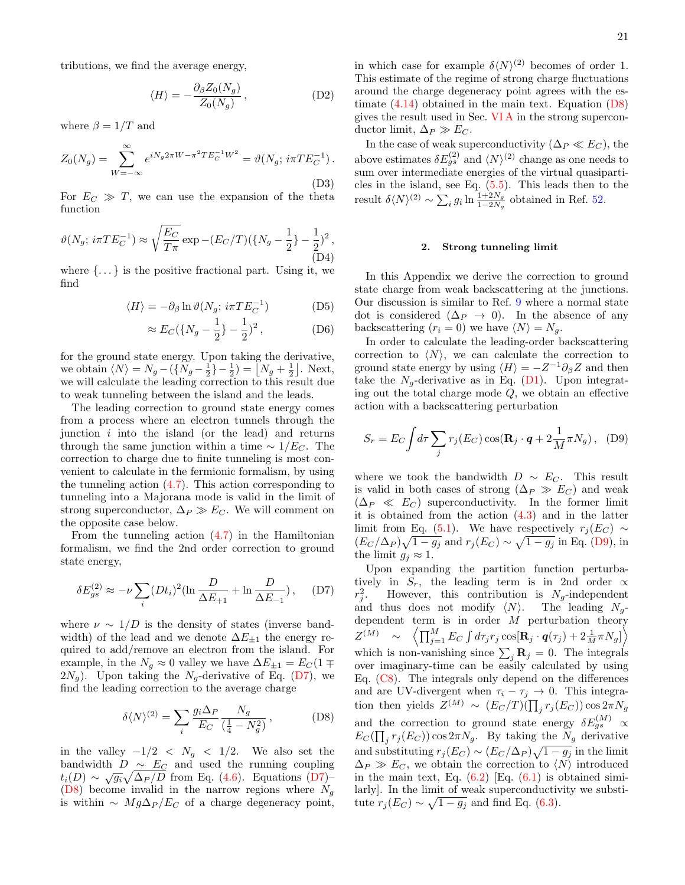tributions, we find the average energy,

$$
\langle H \rangle = -\frac{\partial_{\beta} Z_0(N_g)}{Z_0(N_g)},\tag{D2}
$$

where  $\beta = 1/T$  and

$$
Z_0(N_g) = \sum_{W=-\infty}^{\infty} e^{iN_g 2\pi W - \pi^2 T E_C^{-1} W^2} = \vartheta(N_g; i\pi T E_C^{-1}).
$$
\n(D3)

For  $E_C \gg T$ , we can use the expansion of the theta function

$$
\vartheta(N_g; \, i\pi TE_C^{-1}) \approx \sqrt{\frac{E_C}{T\pi}} \exp -(E_C/T)(\{N_g - \frac{1}{2}\} - \frac{1}{2})^2 ,\tag{D4}
$$

where  $\{\ldots\}$  is the positive fractional part. Using it, we find

$$
\langle H \rangle = -\partial_{\beta} \ln \vartheta (N_g; i\pi T E_C^{-1}) \tag{D5}
$$

$$
\approx E_C(\{N_g - \frac{1}{2}\} - \frac{1}{2})^2
$$
, (D6)

for the ground state energy. Upon taking the derivative, we obtain  $\langle N \rangle = N_g - (\{N_g - \frac{1}{2}\} - \frac{1}{2}) = [N_g + \frac{1}{2}]$ . Next, we will calculate the leading correction to this result due to weak tunneling between the island and the leads.

The leading correction to ground state energy comes from a process where an electron tunnels through the junction  $i$  into the island (or the lead) and returns through the same junction within a time  $\sim 1/E_C$ . The correction to charge due to finite tunneling is most convenient to calculate in the fermionic formalism, by using the tunneling action  $(4.7)$ . This action corresponding to tunneling into a Majorana mode is valid in the limit of strong superconductor,  $\Delta_P \gg E_C$ . We will comment on the opposite case below.

From the tunneling action  $(4.7)$  in the Hamiltonian formalism, we find the 2nd order correction to ground state energy,

<span id="page-20-2"></span>
$$
\delta E_{gs}^{(2)} \approx -\nu \sum_{i} (Dt_i)^2 (\ln \frac{D}{\Delta E_{+1}} + \ln \frac{D}{\Delta E_{-1}}), \quad (D7)
$$

where  $\nu \sim 1/D$  is the density of states (inverse bandwidth) of the lead and we denote  $\Delta E_{\pm 1}$  the energy required to add/remove an electron from the island. For example, in the  $N_g \approx 0$  valley we have  $\Delta E_{\pm 1} = E_C(1 \mp \frac{1}{2})$  $2N_g$ ). Upon taking the  $N_g$ -derivative of Eq. [\(D7\)](#page-20-2), we find the leading correction to the average charge

<span id="page-20-0"></span>
$$
\delta \langle N \rangle^{(2)} = \sum_{i} \frac{g_i \Delta_P}{E_C} \frac{N_g}{\left(\frac{1}{4} - N_g^2\right)}\,,\tag{D8}
$$

in the valley  $-1/2 < N_g < 1/2$ . We also set the bandwidth  $D \sim E_C$  and used the running coupling  $t_i(D) \sim \sqrt{g_i} \sqrt{\Delta_P/D}$  from Eq. [\(4.6\)](#page-5-6). Equations [\(D7\)](#page-20-2)– [\(D8\)](#page-20-0) become invalid in the narrow regions where  $N_a$ is within  $\sim Mg\Delta_P/E_C$  of a charge degeneracy point,

In the case of weak superconductivity ( $\Delta_P \ll E_C$ ), the above estimates  $\delta E_{gs}^{(2)}$  and  $\langle N \rangle^{(2)}$  change as one needs to sum over intermediate energies of the virtual quasiparticles in the island, see Eq. [\(5.5\)](#page-9-4). This leads then to the result  $\delta \langle N \rangle^{(2)} \sim \sum_i g_i \ln \frac{1+2N_g}{1-2N_g}$  obtained in Ref. [52.](#page-25-30)

#### <span id="page-20-1"></span>2. Strong tunneling limit

In this Appendix we derive the correction to ground state charge from weak backscattering at the junctions. Our discussion is similar to Ref. [9](#page-24-3) where a normal state dot is considered  $(\Delta_P \rightarrow 0)$ . In the absence of any backscattering  $(r_i = 0)$  we have  $\langle N \rangle = N_q$ .

In order to calculate the leading-order backscattering correction to  $\langle N \rangle$ , we can calculate the correction to ground state energy by using  $\langle H \rangle = -Z^{-1}\partial_{\beta}Z$  and then take the  $N_g$ -derivative as in Eq. [\(D1\)](#page-19-4). Upon integrating out the total charge mode  $Q$ , we obtain an effective action with a backscattering perturbation

<span id="page-20-3"></span>
$$
S_r = E_C \int d\tau \sum_j r_j(E_C) \cos(\mathbf{R}_j \cdot \mathbf{q} + 2\frac{1}{M} \pi N_g), \quad (D9)
$$

where we took the bandwidth  $D \sim E_C$ . This result is valid in both cases of strong ( $\Delta_P \gg E_C$ ) and weak  $(\Delta_P \ll E_C)$  superconductivity. In the former limit it is obtained from the action  $(4.3)$  and in the latter limit from Eq. [\(5.1\)](#page-8-2). We have respectively  $r_i(E_C) \sim$  $(E_C/\Delta_P)\sqrt{1-g_j}$  and  $r_j(E_C) \sim \sqrt{1-g_j}$  in Eq. [\(D9\)](#page-20-3), in the limit  $g_i \approx 1$ .

Upon expanding the partition function perturbatively in  $S_r$ , the leading term is in 2nd order  $\propto$  $r_j^2$ . However, this contribution is  $N_g$ -independent and thus does not modify  $\langle N \rangle$ . The leading  $N_g$ dependent term is in order  $M$  perturbation theory  $Z^{(M)} \quad \sim \quad \left\langle \prod_{j=1}^M E_C \int d\tau_j r_j \cos[{\bf R}_j\cdot{\bm q}(\tau_j) + 2\frac{1}{M} \pi N_g] \right\rangle$ which is non-vanishing since  $\sum_j \mathbf{R}_j = 0$ . The integrals over imaginary-time can be easily calculated by using Eq.  $(C8)$ . The integrals only depend on the differences and are UV-divergent when  $\tau_i - \tau_j \to 0$ . This integration then yields  $Z^{(M)} \sim (E_C/T)(\prod_j r_j(E_C)) \cos 2\pi N_g$ and the correction to ground state energy  $\delta E_{gs}^{(M)}$   $\propto$  $E_C(\prod_j r_j(E_C)) \cos 2\pi N_g$ . By taking the  $N_g$  derivative and substituting  $r_j(E_C) \sim (E_C/\Delta_P)\sqrt{1 - g_j}$  in the limit  $\Delta_P \gg E_C$ , we obtain the correction to  $\langle N \rangle$  introduced in the main text, Eq.  $(6.2)$  [Eq.  $(6.1)$  is obtained similarly]. In the limit of weak superconductivity we substitute  $r_j(E_C) \sim \sqrt{1 - g_j}$  and find Eq. [\(6.3\)](#page-12-2).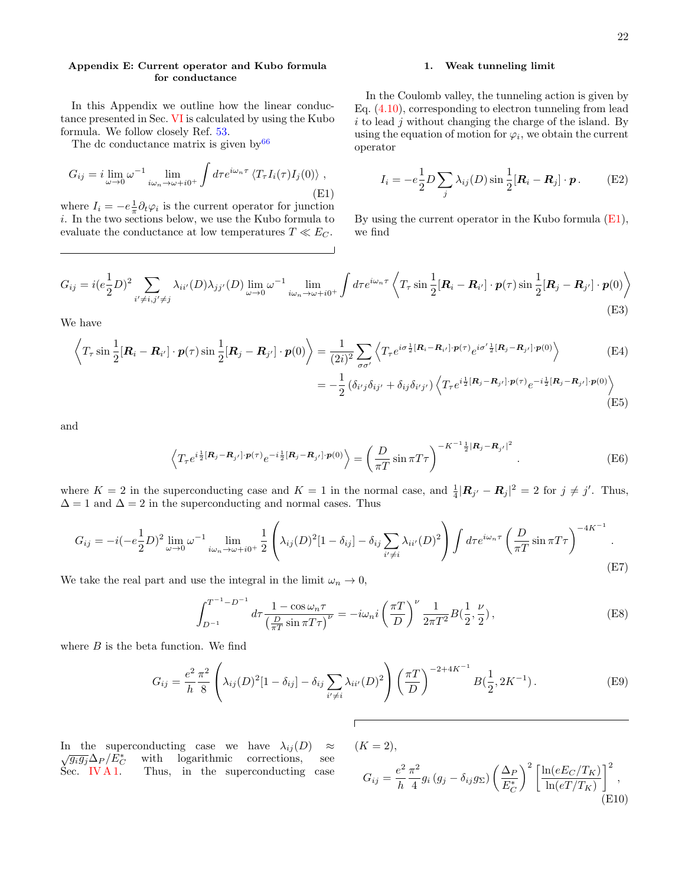# <span id="page-21-0"></span>Appendix E: Current operator and Kubo formula for conductance

In this Appendix we outline how the linear conductance presented in Sec. [VI](#page-11-0) is calculated by using the Kubo formula. We follow closely Ref. [53.](#page-25-26)

The dc conductance matrix is given by  $66$ 

<span id="page-21-2"></span>
$$
G_{ij} = i \lim_{\omega \to 0} \omega^{-1} \lim_{i\omega_n \to \omega + i0^+} \int d\tau e^{i\omega_n \tau} \langle T_\tau I_i(\tau) I_j(0) \rangle ,
$$
\n(E1)

where  $I_i = -e^{\frac{1}{\pi}} \partial_t \varphi_i$  is the current operator for junction i. In the two sections below, we use the Kubo formula to evaluate the conductance at low temperatures  $T \ll E_C$ .

# <span id="page-21-1"></span>1. Weak tunneling limit

In the Coulomb valley, the tunneling action is given by Eq. [\(4.10\)](#page-5-4), corresponding to electron tunneling from lead  $i$  to lead  $j$  without changing the charge of the island. By using the equation of motion for  $\varphi_i$ , we obtain the current operator

$$
I_i = -e\frac{1}{2}D\sum_j \lambda_{ij}(D)\sin\frac{1}{2}[\mathbf{R}_i - \mathbf{R}_j] \cdot \mathbf{p}.
$$
 (E2)

By using the current operator in the Kubo formula [\(E1\)](#page-21-2), we find

$$
G_{ij} = i(e_{\overline{2}}^{\frac{1}{2}}D)^{2} \sum_{i' \neq i, j' \neq j} \lambda_{ii'}(D)\lambda_{jj'}(D) \lim_{\omega \to 0} \omega^{-1} \lim_{i\omega_{n} \to \omega + i0^{+}} \int d\tau e^{i\omega_{n}\tau} \left\langle T_{\tau} \sin \frac{1}{2} [\mathbf{R}_{i} - \mathbf{R}_{i'}] \cdot \mathbf{p}(\tau) \sin \frac{1}{2} [\mathbf{R}_{j} - \mathbf{R}_{j'}] \cdot \mathbf{p}(0) \right\rangle
$$
\n(E3)

We have

$$
\left\langle T_{\tau} \sin \frac{1}{2} [\mathbf{R}_i - \mathbf{R}_{i'}] \cdot \mathbf{p}(\tau) \sin \frac{1}{2} [\mathbf{R}_j - \mathbf{R}_{j'}] \cdot \mathbf{p}(0) \right\rangle = \frac{1}{(2i)^2} \sum_{\sigma \sigma'} \left\langle T_{\tau} e^{i\sigma \frac{1}{2} [\mathbf{R}_i - \mathbf{R}_{i'}] \cdot \mathbf{p}(\tau)} e^{i\sigma' \frac{1}{2} [\mathbf{R}_j - \mathbf{R}_{j'}] \cdot \mathbf{p}(0)} \right\rangle
$$
\n
$$
= -\frac{1}{2} \left( \delta_{i'j} \delta_{ij'} + \delta_{ij} \delta_{i'j'} \right) \left\langle T_{\tau} e^{i \frac{1}{2} [\mathbf{R}_j - \mathbf{R}_{j'}] \cdot \mathbf{p}(\tau)} e^{-i \frac{1}{2} [\mathbf{R}_j - \mathbf{R}_{j'}] \cdot \mathbf{p}(0)} \right\rangle
$$
\n(E4)

and

$$
\left\langle T_{\tau}e^{i\frac{1}{2}\left[\mathbf{R}_{j}-\mathbf{R}_{j'}\right]\cdot\mathbf{p}(\tau)}e^{-i\frac{1}{2}\left[\mathbf{R}_{j}-\mathbf{R}_{j'}\right]\cdot\mathbf{p}(0)}\right\rangle = \left(\frac{D}{\pi T}\sin\pi T\tau\right)^{-K^{-1}\frac{1}{2}\left|\mathbf{R}_{j}-\mathbf{R}_{j'}\right|^{2}}.
$$
\n(E6)

where  $K = 2$  in the superconducting case and  $K = 1$  in the normal case, and  $\frac{1}{4}|\mathbf{R}_{j'} - \mathbf{R}_j|^2 = 2$  for  $j \neq j'$ . Thus,  $\Delta = 1$  and  $\Delta = 2$  in the superconducting and normal cases. Thus

$$
G_{ij} = -i(-e\frac{1}{2}D)^2 \lim_{\omega \to 0} \omega^{-1} \lim_{i\omega_n \to \omega + i0^+} \frac{1}{2} \left( \lambda_{ij}(D)^2 [1 - \delta_{ij}] - \delta_{ij} \sum_{i' \neq i} \lambda_{ii'}(D)^2 \right) \int d\tau e^{i\omega_n \tau} \left( \frac{D}{\pi T} \sin \pi T \tau \right)^{-4K^{-1}}.
$$
\n(E7)

We take the real part and use the integral in the limit  $\omega_n \to 0$ ,

<span id="page-21-4"></span>
$$
\int_{D^{-1}}^{T^{-1}-D^{-1}} d\tau \frac{1-\cos\omega_n \tau}{\left(\frac{D}{\pi T}\sin\pi T\tau\right)^{\nu}} = -i\omega_n i \left(\frac{\pi T}{D}\right)^{\nu} \frac{1}{2\pi T^2} B(\frac{1}{2}, \frac{\nu}{2}),\tag{E8}
$$

where  $B$  is the beta function. We find

<span id="page-21-3"></span>
$$
G_{ij} = \frac{e^2}{h} \frac{\pi^2}{8} \left( \lambda_{ij}(D)^2 [1 - \delta_{ij}] - \delta_{ij} \sum_{i' \neq i} \lambda_{ii'}(D)^2 \right) \left( \frac{\pi T}{D} \right)^{-2 + 4K^{-1}} B(\frac{1}{2}, 2K^{-1}).
$$
 (E9)

In the superconducting case we have  $\lambda_{ij}(D) \approx \sqrt{g_i g_j} \Delta_P / E_C^*$  with logarithmic corrections, see<br>Sec. IV A 1. Thus, in the superconducting case with logarithmic corrections, Thus, in the superconducting case

$$
(K = 2),
$$
  
\n
$$
G_{ij} = \frac{e^2}{h} \frac{\pi^2}{4} g_i (g_j - \delta_{ij} g_\Sigma) \left(\frac{\Delta_P}{E_C^*}\right)^2 \left[\frac{\ln(eE_C/T_K)}{\ln(eT/T_K)}\right]^2,
$$
  
\n(E10)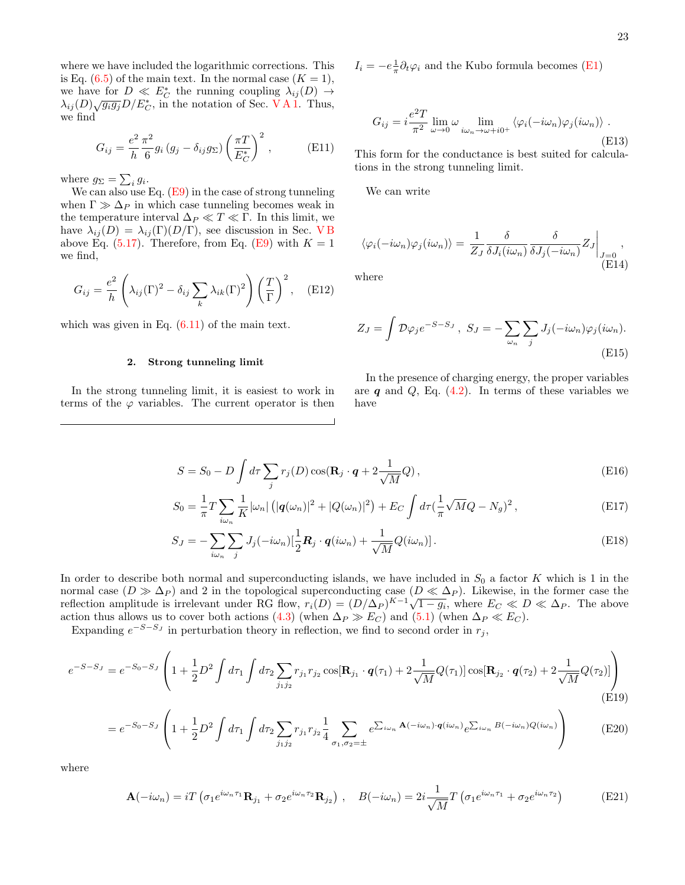where we have included the logarithmic corrections. This is Eq.  $(6.5)$  of the main text. In the normal case  $(K = 1)$ , we have for  $D \ll E_C^*$  the running coupling  $\lambda_{ij}(D) \to$ we have for  $D \ll D_C$  the Funning coupling  $\lambda_{ij}(D) \rightarrow \lambda_{ij}(D) \sqrt{g_i g_j} D/E_C^*$ , in the notation of Sec. [V A 1.](#page-9-0) Thus, we find

$$
G_{ij} = \frac{e^2}{h} \frac{\pi^2}{6} g_i (g_j - \delta_{ij} g_\Sigma) \left(\frac{\pi T}{E_C^*}\right)^2, \qquad \text{(E11)}
$$

where  $g_{\Sigma} = \sum_i g_i$ .

We can also use Eq.  $(E9)$  in the case of strong tunneling when  $\Gamma \gg \Delta_P$  in which case tunneling becomes weak in the temperature interval  $\Delta_P \ll T \ll \Gamma$ . In this limit, we have  $\lambda_{ij}(D) = \lambda_{ij}(\Gamma)(D/\Gamma)$ , see discussion in Sec. VB above Eq.  $(5.17)$ . Therefore, from Eq.  $(E9)$  with  $K = 1$ we find,

<span id="page-22-1"></span>
$$
G_{ij} = \frac{e^2}{h} \left( \lambda_{ij} (\Gamma)^2 - \delta_{ij} \sum_k \lambda_{ik} (\Gamma)^2 \right) \left( \frac{T}{\Gamma} \right)^2, \quad \text{(E12)}
$$

which was given in Eq.  $(6.11)$  of the main text.

#### <span id="page-22-0"></span>2. Strong tunneling limit

In the strong tunneling limit, it is easiest to work in terms of the  $\varphi$  variables. The current operator is then

$$
I_i = -e_{\pi}^{\perp} \partial_t \varphi_i
$$
 and the Kubo formula becomes (E1)

<span id="page-22-2"></span>
$$
G_{ij} = i \frac{e^2 T}{\pi^2} \lim_{\omega \to 0} \omega \lim_{i\omega_n \to \omega + i0^+} \langle \varphi_i(-i\omega_n) \varphi_j(i\omega_n) \rangle .
$$
\n(E13)

This form for the conductance is best suited for calculations in the strong tunneling limit.

We can write

$$
\langle \varphi_i(-i\omega_n)\varphi_j(i\omega_n)\rangle = \left. \frac{1}{Z_J} \frac{\delta}{\delta J_i(i\omega_n)} \frac{\delta}{\delta J_j(-i\omega_n)} Z_J \right|_{\substack{J=0\\ \text{(E14)}}},
$$

where

$$
Z_J = \int \mathcal{D}\varphi_j e^{-S-S_J}, \ S_J = -\sum_{\omega_n} \sum_j J_j(-i\omega_n)\varphi_j(i\omega_n).
$$
\n(E15)

<span id="page-22-4"></span><span id="page-22-3"></span>In the presence of charging energy, the proper variables are  $q$  and  $Q$ , Eq. [\(4.2\)](#page-4-6). In terms of these variables we have

$$
S = S_0 - D \int d\tau \sum_j r_j(D) \cos(\mathbf{R}_j \cdot \mathbf{q} + 2 \frac{1}{\sqrt{M}} Q), \tag{E16}
$$

$$
S_0 = \frac{1}{\pi} T \sum_{i\omega_n} \frac{1}{K} |\omega_n| \left( |q(\omega_n)|^2 + |Q(\omega_n)|^2 \right) + E_C \int d\tau \left( \frac{1}{\pi} \sqrt{M} Q - N_g \right)^2, \tag{E17}
$$

$$
S_J = -\sum_{i\omega_n} \sum_j J_j(-i\omega_n) \left[\frac{1}{2}\mathbf{R}_j \cdot \mathbf{q}(i\omega_n) + \frac{1}{\sqrt{M}} Q(i\omega_n)\right].
$$
 (E18)

In order to describe both normal and superconducting islands, we have included in  $S_0$  a factor K which is 1 in the normal case  $(D \gg \Delta_P)$  and 2 in the topological superconducting case  $(D \ll \Delta_P)$ . Likewise, in the former case the normal case  $(D \gg \Delta_P)$  and 2 in the topological superconducting case  $(D \ll \Delta_P)$ . Likewise, in the former case the reflection amplitude is irrelevant under RG flow,  $r_i(D) = (D/\Delta_P)^{K-1}\sqrt{1-g_i}$ , where  $E_C \ll D \ll \Delta_P$ . The above action thus allows us to cover both actions [\(4.3\)](#page-4-5) (when  $\Delta_P \gg E_C$ ) and [\(5.1\)](#page-8-2) (when  $\Delta_P \ll E_C$ ).

Expanding  $e^{-S-S_J}$  in perturbation theory in reflection, we find to second order in  $r_j$ ,

$$
e^{-S-S_J} = e^{-S_0 - S_J} \left( 1 + \frac{1}{2} D^2 \int d\tau_1 \int d\tau_2 \sum_{j_1 j_2} r_{j_1} r_{j_2} \cos[\mathbf{R}_{j_1} \cdot \mathbf{q}(\tau_1) + 2\frac{1}{\sqrt{M}} Q(\tau_1)] \cos[\mathbf{R}_{j_2} \cdot \mathbf{q}(\tau_2) + 2\frac{1}{\sqrt{M}} Q(\tau_2)] \right)
$$
(E19)

$$
=e^{-S_0-S_J}\left(1+\frac{1}{2}D^2\int d\tau_1\int d\tau_2\sum_{j_1j_2}r_{j_1}r_{j_2}\frac{1}{4}\sum_{\sigma_1,\sigma_2=\pm}e^{\sum_{i\omega_n}\mathbf{A}(-i\omega_n)\cdot\mathbf{q}(i\omega_n)}e^{\sum_{i\omega_n}B(-i\omega_n)Q(i\omega_n)}\right) \tag{E20}
$$

where

$$
\mathbf{A}(-i\omega_n) = iT \left( \sigma_1 e^{i\omega_n \tau_1} \mathbf{R}_{j_1} + \sigma_2 e^{i\omega_n \tau_2} \mathbf{R}_{j_2} \right), \quad B(-i\omega_n) = 2i \frac{1}{\sqrt{M}} T \left( \sigma_1 e^{i\omega_n \tau_1} + \sigma_2 e^{i\omega_n \tau_2} \right)
$$
(E21)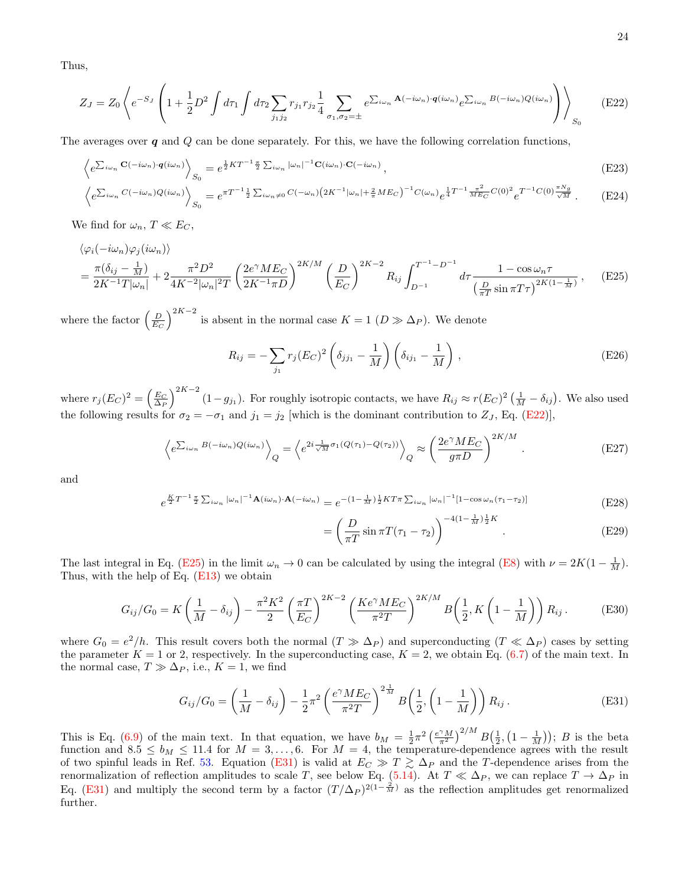Thus,

$$
Z_J = Z_0 \left\langle e^{-S_J} \left( 1 + \frac{1}{2} D^2 \int d\tau_1 \int d\tau_2 \sum_{j_1 j_2} r_{j_1} r_{j_2} \frac{1}{4} \sum_{\sigma_1, \sigma_2 = \pm} e^{\sum_{i \omega_n} \mathbf{A}(-i\omega_n) \cdot \mathbf{q}(i\omega_n)} e^{\sum_{i \omega_n} B(-i\omega_n) Q(i\omega_n)} \right) \right\rangle_{S_0}
$$
(E22)

The averages over  $q$  and  $Q$  can be done separately. For this, we have the following correlation functions,

$$
\left\langle e^{\sum_{i\omega_n} \mathbf{C}(-i\omega_n)\cdot \mathbf{q}(i\omega_n)}\right\rangle_{S_0} = e^{\frac{1}{2}KT^{-1}\frac{\pi}{2}\sum_{i\omega_n}|\omega_n|^{-1}\mathbf{C}(i\omega_n)\cdot\mathbf{C}(-i\omega_n)},\tag{E23}
$$
\n
$$
\left\langle \sum_{i\omega_n} C(-i\omega_n)O(i\omega_n) \right\rangle_{\mathcal{F}} = \pi T^{-1}\frac{1}{2}\sum_{i\omega_n} C(-\omega_n)(2K^{-1}|\omega_n| + 2ME_C)^{-1}C(\omega_n)\frac{1}{2}T^{-1}\frac{\pi^2}{2\pi^2}C(0)^2\ T^{-1}C(0)\frac{\pi N_g}{2}}\tag{E23}
$$

$$
\left\langle e^{\sum_{i\omega_n} C(-i\omega_n)Q(i\omega_n)} \right\rangle_{S_0} = e^{\pi T^{-1} \frac{1}{2} \sum_{i\omega_n \neq 0} C(-\omega_n) \left( 2K^{-1} |\omega_n| + \frac{2}{\pi} M E_C \right)^{-1} C(\omega_n)} e^{\frac{1}{4} T^{-1} \frac{\pi^2}{M E_C} C(0)^2} e^{T^{-1} C(0) \frac{\pi N_g}{\sqrt{M}}}.
$$
 (E24)

We find for  $\omega_n$ ,  $T \ll E_C$ ,

$$
\langle \varphi_i(-i\omega_n)\varphi_j(i\omega_n) \rangle
$$
  
= 
$$
\frac{\pi(\delta_{ij} - \frac{1}{M})}{2K^{-1}T|\omega_n|} + 2\frac{\pi^2 D^2}{4K^{-2}|\omega_n|^2 T} \left(\frac{2e^{\gamma}ME_C}{2K^{-1}\pi D}\right)^{2K/M} \left(\frac{D}{E_C}\right)^{2K-2} R_{ij} \int_{D^{-1}}^{T^{-1} - D^{-1}} d\tau \frac{1 - \cos\omega_n \tau}{\left(\frac{D}{\pi T}\sin\pi T\tau\right)^{2K(1 - \frac{1}{M})}},
$$
(E25)

where the factor  $\left(\frac{D}{E_C}\right)^{2K-2}$  is absent in the normal case  $K = 1$   $(D \gg \Delta_P)$ . We denote

<span id="page-23-1"></span>
$$
R_{ij} = -\sum_{j_1} r_j (E_C)^2 \left( \delta_{j j_1} - \frac{1}{M} \right) \left( \delta_{i j_1} - \frac{1}{M} \right), \tag{E26}
$$

where  $r_j (E_C)^2 = \left(\frac{E_C}{\Delta_P}\right)^{2K-2} (1 - g_{j_1})$ . For roughly isotropic contacts, we have  $R_{ij} \approx r (E_C)^2 \left(\frac{1}{M} - \delta_{ij}\right)$ . We also used the following results for  $\sigma_2 = -\sigma_1$  and  $j_1 = j_2$  [which is the dominant contribution to  $Z_J$ , Eq. [\(E22\)](#page-23-1)],

$$
\left\langle e^{\sum_{i\omega_n} B(-i\omega_n)Q(i\omega_n)} \right\rangle_Q = \left\langle e^{2i\frac{1}{\sqrt{M}}\sigma_1(Q(\tau_1) - Q(\tau_2))} \right\rangle_Q \approx \left(\frac{2e^{\gamma} M E_C}{g\pi D}\right)^{2K/M}.
$$
\n(E27)

and

$$
e^{\frac{K}{2}T^{-1}\frac{\pi}{2}\sum_{i\omega_n}|\omega_n|^{-1}\mathbf{A}(i\omega_n)\cdot\mathbf{A}(-i\omega_n)} = e^{-(1-\frac{1}{M})\frac{1}{2}KT\pi\sum_{i\omega_n}|\omega_n|^{-1}[1-\cos\omega_n(\tau_1-\tau_2)]}
$$
(E28)

<span id="page-23-2"></span>
$$
= \left(\frac{D}{\pi T} \sin \pi T (\tau_1 - \tau_2)\right)^{-4(1 - \frac{1}{M})\frac{1}{2}K}.
$$
 (E29)

The last integral in Eq. [\(E25\)](#page-23-2) in the limit  $\omega_n \to 0$  can be calculated by using the integral [\(E8\)](#page-21-4) with  $\nu = 2K(1 - \frac{1}{M})$ . Thus, with the help of Eq. [\(E13\)](#page-22-2) we obtain

$$
G_{ij}/G_0 = K\left(\frac{1}{M} - \delta_{ij}\right) - \frac{\pi^2 K^2}{2} \left(\frac{\pi T}{E_C}\right)^{2K-2} \left(\frac{Ke^{\gamma} M E_C}{\pi^2 T}\right)^{2K/M} B\left(\frac{1}{2}, K\left(1 - \frac{1}{M}\right)\right) R_{ij}.
$$
 (E30)

where  $G_0 = e^2/h$ . This result covers both the normal  $(T \gg \Delta_P)$  and superconducting  $(T \ll \Delta_P)$  cases by setting the parameter  $K = 1$  or 2, respectively. In the superconducting case,  $K = 2$ , we obtain Eq. [\(6.7\)](#page-13-5) of the main text. In the normal case,  $T \gg \Delta_P$ , i.e.,  $K = 1$ , we find

<span id="page-23-0"></span>
$$
G_{ij}/G_0 = \left(\frac{1}{M} - \delta_{ij}\right) - \frac{1}{2}\pi^2 \left(\frac{e^\gamma M E_C}{\pi^2 T}\right)^{2\frac{1}{M}} B\left(\frac{1}{2}, \left(1 - \frac{1}{M}\right)\right) R_{ij}.
$$
 (E31)

This is Eq. [\(6.9\)](#page-14-3) of the main text. In that equation, we have  $b_M = \frac{1}{2}\pi^2 \left(\frac{e^{\gamma}M}{\pi^2}\right)^{2/M} B\left(\frac{1}{2}, \left(1 - \frac{1}{M}\right)\right); B$  is the beta function and  $8.5 \le b_M \le 11.4$  for  $M = 3, \ldots, 6$ . For  $M = 4$ , the temperature-dependence agrees with the result of two spinful leads in Ref. [53.](#page-25-26) Equation [\(E31\)](#page-23-0) is valid at  $E_C \gg T \gtrsim \Delta_P$  and the T-dependence arises from the renormalization of reflection amplitudes to scale T, see below Eq. [\(5.14\)](#page-10-4). At  $T \ll \Delta_P$ , we can replace  $T \to \Delta_P$  in Eq. [\(E31\)](#page-23-0) and multiply the second term by a factor  $(T/\Delta_P)^{2(1-\frac{2}{M})}$  as the reflection amplitudes get renormalized further.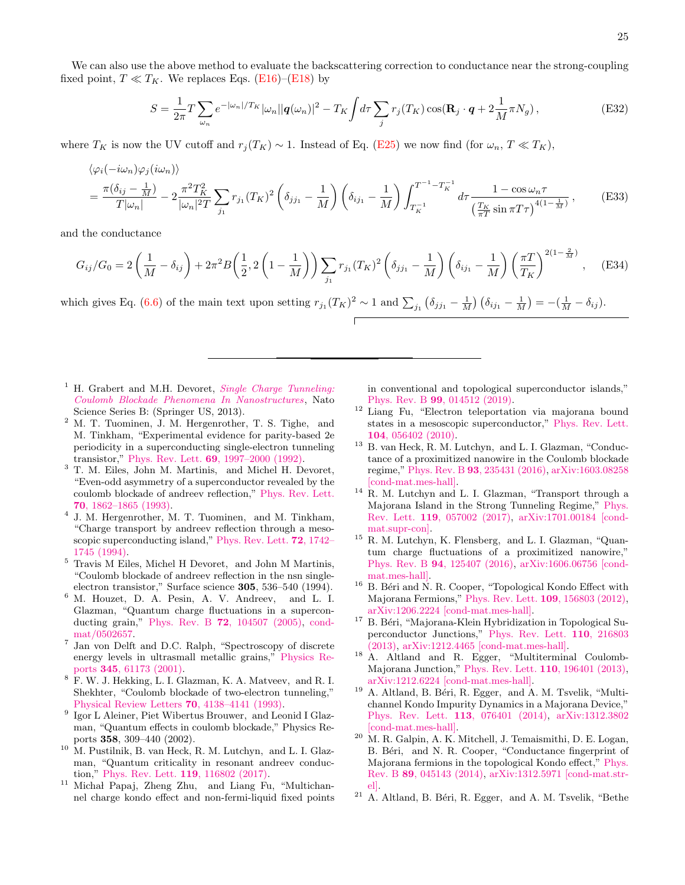We can also use the above method to evaluate the backscattering correction to conductance near the strong-coupling fixed point,  $T \ll T_K$ . We replaces Eqs. [\(E16\)](#page-22-3)–[\(E18\)](#page-22-4) by

$$
S = \frac{1}{2\pi} T \sum_{\omega_n} e^{-|\omega_n|/T_K} |\omega_n| |q(\omega_n)|^2 - T_K \int d\tau \sum_j r_j(T_K) \cos(\mathbf{R}_j \cdot \mathbf{q} + 2 \frac{1}{M} \pi N_g), \tag{E32}
$$

where  $T_K$  is now the UV cutoff and  $r_j(T_K) \sim 1$ . Instead of Eq. [\(E25\)](#page-23-2) we now find (for  $\omega_n$ ,  $T \ll T_K$ ),

$$
\langle \varphi_i(-i\omega_n)\varphi_j(i\omega_n) \rangle
$$
  
=  $\frac{\pi(\delta_{ij} - \frac{1}{M})}{T|\omega_n|} - 2\frac{\pi^2 T_K^2}{|\omega_n|^2 T} \sum_{j_1} r_{j_1} (T_K)^2 \left( \delta_{j j_1} - \frac{1}{M} \right) \left( \delta_{i j_1} - \frac{1}{M} \right) \int_{T_K^{-1}}^{T^{-1} - T_K^{-1}} d\tau \frac{1 - \cos \omega_n \tau}{\left( \frac{T_K}{\pi T} \sin \pi T \tau \right)^{4(1 - \frac{1}{M})}},$  (E33)

and the conductance

<span id="page-24-13"></span>
$$
G_{ij}/G_0 = 2\left(\frac{1}{M} - \delta_{ij}\right) + 2\pi^2 B\left(\frac{1}{2}, 2\left(1 - \frac{1}{M}\right)\right) \sum_{j_1} r_{j_1} (T_K)^2 \left(\delta_{j j_1} - \frac{1}{M}\right) \left(\delta_{i j_1} - \frac{1}{M}\right) \left(\frac{\pi T}{T_K}\right)^{2(1 - \frac{2}{M})}, \quad (E34)
$$

which gives Eq. [\(6.6\)](#page-13-4) of the main text upon setting  $r_{j1}(T_K)^2 \sim 1$  and  $\sum_{j_1} (\delta_{j j_1} - \frac{1}{M}) (\delta_{i j_1} - \frac{1}{M}) = -(\frac{1}{M} - \delta_{i j}).$ 

- <span id="page-24-0"></span><sup>1</sup> H. Grabert and M.H. Devoret, *[Single Charge Tunneling:](https://books.google.com/books?id=l4TdBwAAQBAJ)* [Coulomb Blockade Phenomena In Nanostructures](https://books.google.com/books?id=l4TdBwAAQBAJ), Nato Science Series B: (Springer US, 2013).
- <sup>2</sup> M. T. Tuominen, J. M. Hergenrother, T. S. Tighe, and M. Tinkham, "Experimental evidence for parity-based 2e periodicity in a superconducting single-electron tunneling transistor," Phys. Rev. Lett. 69[, 1997–2000 \(1992\).](http://dx.doi.org/10.1103/PhysRevLett.69.1997)
- <sup>3</sup> T. M. Eiles, John M. Martinis, and Michel H. Devoret, "Even-odd asymmetry of a superconductor revealed by the coulomb blockade of andreev reflection," [Phys. Rev. Lett.](http://dx.doi.org/10.1103/PhysRevLett.70.1862) 70[, 1862–1865 \(1993\).](http://dx.doi.org/10.1103/PhysRevLett.70.1862)
- 4 J. M. Hergenrother, M. T. Tuominen, and M. Tinkham, "Charge transport by andreev reflection through a mesoscopic superconducting island," [Phys. Rev. Lett.](http://dx.doi.org/10.1103/PhysRevLett.72.1742) 72, 1742– [1745 \(1994\).](http://dx.doi.org/10.1103/PhysRevLett.72.1742)
- <sup>5</sup> Travis M Eiles, Michel H Devoret, and John M Martinis, "Coulomb blockade of andreev reflection in the nsn singleelectron transistor," Surface science 305, 536–540 (1994).
- <sup>6</sup> M. Houzet, D. A. Pesin, A. V. Andreev, and L. I. Glazman, "Quantum charge fluctuations in a superconducting grain," Phys. Rev. B 72[, 104507 \(2005\),](http://dx.doi.org/ 10.1103/PhysRevB.72.104507) [cond](http://arxiv.org/abs/cond-mat/0502657)[mat/0502657.](http://arxiv.org/abs/cond-mat/0502657)
- <span id="page-24-1"></span>7 Jan von Delft and D.C. Ralph, "Spectroscopy of discrete energy levels in ultrasmall metallic grains," [Physics Re](http://dx.doi.org/ 10.1016/s0370-1573(00)00099-5)ports 345[, 61173 \(2001\).](http://dx.doi.org/ 10.1016/s0370-1573(00)00099-5)
- <span id="page-24-2"></span><sup>8</sup> F. W. J. Hekking, L. I. Glazman, K. A. Matveev, and R. I. Shekhter, "Coulomb blockade of two-electron tunneling," [Physical Review Letters](http://dx.doi.org/ 10.1103/PhysRevLett.70.4138) 70, 4138–4141 (1993).
- <span id="page-24-3"></span><sup>9</sup> Igor L Aleiner, Piet Wibertus Brouwer, and Leonid I Glazman, "Quantum effects in coulomb blockade," Physics Reports 358, 309–440 (2002).
- <span id="page-24-4"></span><sup>10</sup> M. Pustilnik, B. van Heck, R. M. Lutchyn, and L. I. Glazman, "Quantum criticality in resonant andreev conduction," [Phys. Rev. Lett.](http://dx.doi.org/ 10.1103/PhysRevLett.119.116802) 119, 116802 (2017).
- <span id="page-24-5"></span><sup>11</sup> Michał Papaj, Zheng Zhu, and Liang Fu, "Multichannel charge kondo effect and non-fermi-liquid fixed points

in conventional and topological superconductor islands," Phys. Rev. B 99[, 014512 \(2019\).](http://dx.doi.org/10.1103/PhysRevB.99.014512)

- <span id="page-24-6"></span><sup>12</sup> Liang Fu, "Electron teleportation via majorana bound states in a mesoscopic superconductor," [Phys. Rev. Lett.](http://dx.doi.org/10.1103/PhysRevLett.104.056402) 104[, 056402 \(2010\).](http://dx.doi.org/10.1103/PhysRevLett.104.056402)
- <span id="page-24-12"></span><sup>13</sup> B. van Heck, R. M. Lutchyn, and L. I. Glazman, "Conductance of a proximitized nanowire in the Coulomb blockade regime," Phys. Rev. B 93[, 235431 \(2016\),](http://dx.doi.org/ 10.1103/PhysRevB.93.235431) [arXiv:1603.08258](http://arxiv.org/abs/1603.08258) [\[cond-mat.mes-hall\].](http://arxiv.org/abs/1603.08258)
- <span id="page-24-11"></span><sup>14</sup> R. M. Lutchyn and L. I. Glazman, "Transport through a Majorana Island in the Strong Tunneling Regime," [Phys.](http://dx.doi.org/10.1103/PhysRevLett.119.057002) Rev. Lett. 119[, 057002 \(2017\),](http://dx.doi.org/10.1103/PhysRevLett.119.057002) [arXiv:1701.00184 \[cond](http://arxiv.org/abs/1701.00184)[mat.supr-con\].](http://arxiv.org/abs/1701.00184)
- <span id="page-24-7"></span><sup>15</sup> R. M. Lutchyn, K. Flensberg, and L. I. Glazman, "Quantum charge fluctuations of a proximitized nanowire," Phys. Rev. B 94[, 125407 \(2016\),](http://dx.doi.org/ 10.1103/PhysRevB.94.125407) [arXiv:1606.06756 \[cond](http://arxiv.org/abs/1606.06756)[mat.mes-hall\].](http://arxiv.org/abs/1606.06756)
- <span id="page-24-8"></span> $16$  B. Béri and N. R. Cooper, "Topological Kondo Effect with Majorana Fermions," [Phys. Rev. Lett.](http://dx.doi.org/ 10.1103/PhysRevLett.109.156803) 109, 156803 (2012), [arXiv:1206.2224 \[cond-mat.mes-hall\].](http://arxiv.org/abs/1206.2224)
- <sup>17</sup> B. Béri, "Majorana-Klein Hybridization in Topological Superconductor Junctions," [Phys. Rev. Lett.](http://dx.doi.org/10.1103/PhysRevLett.110.216803) 110, 216803 [\(2013\),](http://dx.doi.org/10.1103/PhysRevLett.110.216803) [arXiv:1212.4465 \[cond-mat.mes-hall\].](http://arxiv.org/abs/1212.4465)
- <span id="page-24-9"></span><sup>18</sup> A. Altland and R. Egger, "Multiterminal Coulomb-Majorana Junction," [Phys. Rev. Lett.](http://dx.doi.org/ 10.1103/PhysRevLett.110.196401) 110, 196401 (2013), [arXiv:1212.6224 \[cond-mat.mes-hall\].](http://arxiv.org/abs/1212.6224)
- <span id="page-24-10"></span> $19$  A. Altland, B. Béri, R. Egger, and A. M. Tsvelik, "Multichannel Kondo Impurity Dynamics in a Majorana Device," [Phys. Rev. Lett.](http://dx.doi.org/ 10.1103/PhysRevLett.113.076401) 113, 076401 (2014), [arXiv:1312.3802](http://arxiv.org/abs/1312.3802) [\[cond-mat.mes-hall\].](http://arxiv.org/abs/1312.3802)
- $20\,$  M. R. Galpin, A. K. Mitchell, J. Temaismithi, D. E. Logan, B. Béri, and N. R. Cooper, "Conductance fingerprint of Majorana fermions in the topological Kondo effect," [Phys.](http://dx.doi.org/ 10.1103/PhysRevB.89.045143) Rev. B 89[, 045143 \(2014\),](http://dx.doi.org/ 10.1103/PhysRevB.89.045143) [arXiv:1312.5971 \[cond-mat.str](http://arxiv.org/abs/1312.5971)[el\].](http://arxiv.org/abs/1312.5971)
- <span id="page-24-14"></span> $21$  A. Altland, B. Béri, R. Egger, and A. M. Tsvelik, "Bethe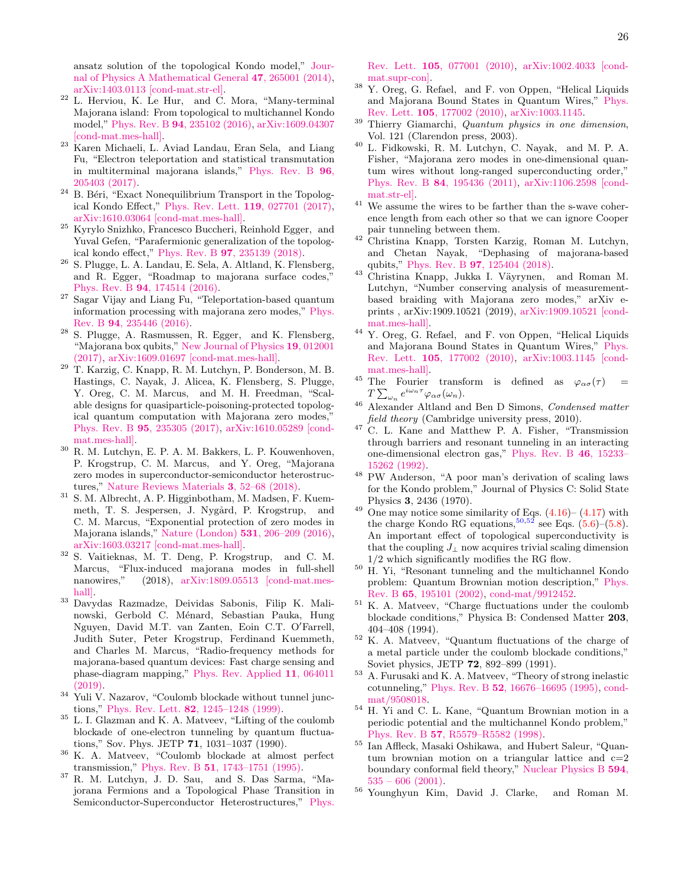ansatz solution of the topological Kondo model," [Jour](http://dx.doi.org/ 10.1088/1751-8113/47/26/265001)[nal of Physics A Mathematical General](http://dx.doi.org/ 10.1088/1751-8113/47/26/265001) 47, 265001 (2014), [arXiv:1403.0113 \[cond-mat.str-el\].](http://arxiv.org/abs/1403.0113)

- <span id="page-25-21"></span> $22$  L. Herviou, K. Le Hur, and C. Mora, "Many-terminal" Majorana island: From topological to multichannel Kondo model," Phys. Rev. B 94[, 235102 \(2016\),](http://dx.doi.org/ 10.1103/PhysRevB.94.235102) [arXiv:1609.04307](http://arxiv.org/abs/1609.04307) [\[cond-mat.mes-hall\].](http://arxiv.org/abs/1609.04307)
- <span id="page-25-20"></span><sup>23</sup> Karen Michaeli, L. Aviad Landau, Eran Sela, and Liang Fu, "Electron teleportation and statistical transmutation in multiterminal majorana islands," [Phys. Rev. B](http://dx.doi.org/10.1103/PhysRevB.96.205403) 96, [205403 \(2017\).](http://dx.doi.org/10.1103/PhysRevB.96.205403)
- $^{24}$  B. Béri, "Exact Nonequilibrium Transport in the Topological Kondo Effect," [Phys. Rev. Lett.](http://dx.doi.org/10.1103/PhysRevLett.119.027701) 119, 027701 (2017), [arXiv:1610.03064 \[cond-mat.mes-hall\].](http://arxiv.org/abs/1610.03064)
- <span id="page-25-0"></span><sup>25</sup> Kyrylo Snizhko, Francesco Buccheri, Reinhold Egger, and Yuval Gefen, "Parafermionic generalization of the topological kondo effect," Phys. Rev. B 97[, 235139 \(2018\).](http://dx.doi.org/ 10.1103/PhysRevB.97.235139)
- <span id="page-25-1"></span><sup>26</sup> S. Plugge, L. A. Landau, E. Sela, A. Altland, K. Flensberg, and R. Egger, "Roadmap to majorana surface codes," Phys. Rev. B 94[, 174514 \(2016\).](http://dx.doi.org/ 10.1103/PhysRevB.94.174514)
- <sup>27</sup> Sagar Vijay and Liang Fu, "Teleportation-based quantum information processing with majorana zero modes," [Phys.](http://dx.doi.org/ 10.1103/PhysRevB.94.235446) Rev. B 94[, 235446 \(2016\).](http://dx.doi.org/ 10.1103/PhysRevB.94.235446)
- <span id="page-25-31"></span><sup>28</sup> S. Plugge, A. Rasmussen, R. Egger, and K. Flensberg, "Majorana box qubits," [New Journal of Physics](http://dx.doi.org/10.1088/1367-2630/aa54e1) 19, 012001 [\(2017\),](http://dx.doi.org/10.1088/1367-2630/aa54e1) [arXiv:1609.01697 \[cond-mat.mes-hall\].](http://arxiv.org/abs/1609.01697)
- <span id="page-25-2"></span><sup>29</sup> T. Karzig, C. Knapp, R. M. Lutchyn, P. Bonderson, M. B. Hastings, C. Nayak, J. Alicea, K. Flensberg, S. Plugge, Y. Oreg, C. M. Marcus, and M. H. Freedman, "Scalable designs for quasiparticle-poisoning-protected topological quantum computation with Majorana zero modes," Phys. Rev. B 95[, 235305 \(2017\),](http://dx.doi.org/ 10.1103/PhysRevB.95.235305) [arXiv:1610.05289 \[cond](http://arxiv.org/abs/1610.05289)[mat.mes-hall\].](http://arxiv.org/abs/1610.05289)
- <span id="page-25-3"></span><sup>30</sup> R. M. Lutchyn, E. P. A. M. Bakkers, L. P. Kouwenhoven, P. Krogstrup, C. M. Marcus, and Y. Oreg, "Majorana zero modes in superconductor-semiconductor heterostructures," [Nature Reviews Materials](http://dx.doi.org/ 10.1038/s41578-018-0003-1) 3, 52–68 (2018).
- <sup>31</sup> S. M. Albrecht, A. P. Higginbotham, M. Madsen, F. Kuemmeth, T. S. Jespersen, J. Nygård, P. Krogstrup, and C. M. Marcus, "Exponential protection of zero modes in Majorana islands," [Nature \(London\)](http://dx.doi.org/ 10.1038/nature17162) 531, 206–209 (2016), [arXiv:1603.03217 \[cond-mat.mes-hall\].](http://arxiv.org/abs/1603.03217)
- <span id="page-25-4"></span><sup>32</sup> S. Vaitieknas, M. T. Deng, P. Krogstrup, and C. M. Marcus, "Flux-induced majorana modes in full-shell nanowires," (2018), [arXiv:1809.05513 \[cond-mat.mes](http://arxiv.org/abs/1809.05513)[hall\].](http://arxiv.org/abs/1809.05513)
- <span id="page-25-5"></span><sup>33</sup> Davydas Razmadze, Deividas Sabonis, Filip K. Malinowski, Gerbold C. Ménard, Sebastian Pauka, Hung Nguyen, David M.T. van Zanten, Eoin C.T. O'Farrell, Judith Suter, Peter Krogstrup, Ferdinand Kuemmeth, and Charles M. Marcus, "Radio-frequency methods for majorana-based quantum devices: Fast charge sensing and phase-diagram mapping," [Phys. Rev. Applied](http://dx.doi.org/ 10.1103/PhysRevApplied.11.064011) 11, 064011  $(2019)$ .
- <span id="page-25-6"></span><sup>34</sup> Yuli V. Nazarov, "Coulomb blockade without tunnel junctions," Phys. Rev. Lett. 82[, 1245–1248 \(1999\).](http://dx.doi.org/ 10.1103/PhysRevLett.82.1245)
- <span id="page-25-7"></span><sup>35</sup> L. I. Glazman and K. A. Matveev, "Lifting of the coulomb blockade of one-electron tunneling by quantum fluctuations," Sov. Phys. JETP 71, 1031–1037 (1990).
- <span id="page-25-8"></span><sup>36</sup> K. A. Matveev, "Coulomb blockade at almost perfect transmission," Phys. Rev. B 51[, 1743–1751 \(1995\).](http://dx.doi.org/ 10.1103/PhysRevB.51.1743)
- <span id="page-25-9"></span><sup>37</sup> R. M. Lutchyn, J. D. Sau, and S. Das Sarma, "Majorana Fermions and a Topological Phase Transition in Semiconductor-Superconductor Heterostructures," [Phys.](http://dx.doi.org/10.1103/PhysRevLett.105.077001)

Rev. Lett. 105[, 077001 \(2010\),](http://dx.doi.org/10.1103/PhysRevLett.105.077001) [arXiv:1002.4033 \[cond](http://arxiv.org/abs/1002.4033)[mat.supr-con\].](http://arxiv.org/abs/1002.4033)

- <span id="page-25-10"></span><sup>38</sup> Y. Oreg, G. Refael, and F. von Oppen, "Helical Liquids and Majorana Bound States in Quantum Wires," [Phys.](http://dx.doi.org/ 10.1103/PhysRevLett.105.177002) Rev. Lett. 105[, 177002 \(2010\),](http://dx.doi.org/ 10.1103/PhysRevLett.105.177002) [arXiv:1003.1145.](http://arxiv.org/abs/1003.1145)
- <span id="page-25-11"></span><sup>39</sup> Thierry Giamarchi, Quantum physics in one dimension, Vol. 121 (Clarendon press, 2003).
- <span id="page-25-12"></span><sup>40</sup> L. Fidkowski, R. M. Lutchyn, C. Nayak, and M. P. A. Fisher, "Majorana zero modes in one-dimensional quantum wires without long-ranged superconducting order," Phys. Rev. B 84[, 195436 \(2011\),](http://dx.doi.org/10.1103/PhysRevB.84.195436) [arXiv:1106.2598 \[cond](http://arxiv.org/abs/1106.2598)[mat.str-el\].](http://arxiv.org/abs/1106.2598)
- <span id="page-25-13"></span> $^{\rm 41}$  We assume the wires to be farther than the s-wave coherence length from each other so that we can ignore Cooper pair tunneling between them.
- <span id="page-25-14"></span><sup>42</sup> Christina Knapp, Torsten Karzig, Roman M. Lutchyn, and Chetan Nayak, "Dephasing of majorana-based qubits," Phys. Rev. B 97[, 125404 \(2018\).](http://dx.doi.org/ 10.1103/PhysRevB.97.125404)
- <span id="page-25-15"></span><sup>43</sup> Christina Knapp, Jukka I. Väyrynen, and Roman M. Lutchyn, "Number conserving analysis of measurementbased braiding with Majorana zero modes," arXiv eprints , arXiv:1909.10521 (2019), [arXiv:1909.10521 \[cond](http://arxiv.org/abs/1909.10521)[mat.mes-hall\].](http://arxiv.org/abs/1909.10521)
- <span id="page-25-16"></span><sup>44</sup> Y. Oreg, G. Refael, and F. von Oppen, "Helical Liquids and Majorana Bound States in Quantum Wires," [Phys.](http://dx.doi.org/ 10.1103/PhysRevLett.105.177002) Rev. Lett. 105[, 177002 \(2010\),](http://dx.doi.org/ 10.1103/PhysRevLett.105.177002) [arXiv:1003.1145 \[cond](http://arxiv.org/abs/1003.1145)[mat.mes-hall\].](http://arxiv.org/abs/1003.1145)
- <span id="page-25-17"></span><sup>45</sup> The Fourier transform is defined as  $\varphi_{\alpha\sigma}(\tau)$  =  $T\sum_{\omega_n}e^{i\omega_n\tau}\varphi_{\alpha\sigma}(\omega_n).$
- <span id="page-25-18"></span><sup>46</sup> Alexander Altland and Ben D Simons, Condensed matter field theory (Cambridge university press, 2010).
- <span id="page-25-19"></span><sup>47</sup> C. L. Kane and Matthew P. A. Fisher, "Transmission through barriers and resonant tunneling in an interacting one-dimensional electron gas," [Phys. Rev. B](http://dx.doi.org/10.1103/PhysRevB.46.15233) 46, 15233– [15262 \(1992\).](http://dx.doi.org/10.1103/PhysRevB.46.15233)
- <span id="page-25-22"></span><sup>48</sup> PW Anderson, "A poor man's derivation of scaling laws for the Kondo problem," Journal of Physics C: Solid State Physics 3, 2436 (1970).
- <span id="page-25-23"></span><sup>49</sup> One may notice some similarity of Eqs.  $(4.16)$ –  $(4.17)$  with the charge Kondo RG equations,  $50,52$  $50,52$  see Eqs. [\(5.6\)](#page-9-5)–[\(5.8\)](#page-9-1). An important effect of topological superconductivity is that the coupling  $J_{\perp}$  now acquires trivial scaling dimension 1/2 which significantly modifies the RG flow.
- <span id="page-25-24"></span><sup>50</sup> H. Yi, "Resonant tunneling and the multichannel Kondo problem: Quantum Brownian motion description," [Phys.](http://dx.doi.org/10.1103/PhysRevB.65.195101) Rev. B 65[, 195101 \(2002\),](http://dx.doi.org/10.1103/PhysRevB.65.195101) [cond-mat/9912452.](http://arxiv.org/abs/cond-mat/9912452)
- <span id="page-25-25"></span><sup>51</sup> K. A. Matveev, "Charge fluctuations under the coulomb blockade conditions," Physica B: Condensed Matter 203, 404–408 (1994).
- <span id="page-25-30"></span><sup>52</sup> K. A. Matveev, "Quantum fluctuations of the charge of a metal particle under the coulomb blockade conditions," Soviet physics, JETP 72, 892–899 (1991).
- <span id="page-25-26"></span><sup>53</sup> A. Furusaki and K. A. Matveev, "Theory of strong inelastic cotunneling," Phys. Rev. B 52[, 16676–16695 \(1995\),](http://dx.doi.org/10.1103/PhysRevB.52.16676) [cond](http://arxiv.org/abs/cond-mat/9508018)[mat/9508018.](http://arxiv.org/abs/cond-mat/9508018)
- <span id="page-25-27"></span><sup>54</sup> H. Yi and C. L. Kane, "Quantum Brownian motion in a periodic potential and the multichannel Kondo problem," Phys. Rev. B 57[, R5579–R5582 \(1998\).](http://dx.doi.org/10.1103/PhysRevB.57.R5579)
- <span id="page-25-28"></span><sup>55</sup> Ian Affleck, Masaki Oshikawa, and Hubert Saleur, "Quantum brownian motion on a triangular lattice and  $c=2$ boundary conformal field theory," [Nuclear Physics B](http://dx.doi.org/https://doi.org/10.1016/S0550-3213(00)00499-5) 594,  $535 - 606$  (2001).
- <span id="page-25-29"></span><sup>56</sup> Younghyun Kim, David J. Clarke, and Roman M.